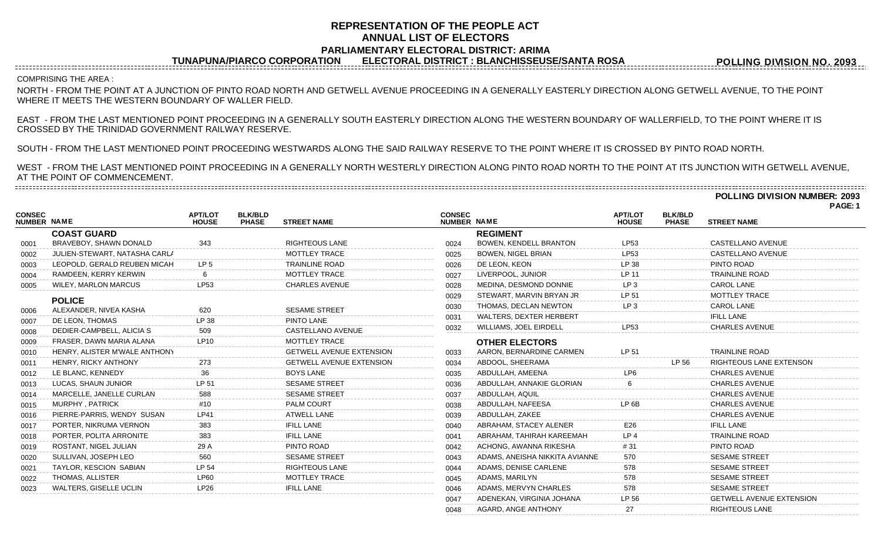# **REPRESENTATION OF THE PEOPLE ACT ANNUAL LIST OF ELECTORS PARLIAMENTARY ELECTORAL DISTRICT: ARIMA**

**TUNAPUNA/PIARCO CORPORATION ELECTORAL DISTRICT : BLANCHISSEUSE/SANTA ROSA**

**POLLING DIVISION NO. 2093**

---------------------------COMPRISING THE AREA :

NORTH - FROM THE POINT AT A JUNCTION OF PINTO ROAD NORTH AND GETWELL AVENUE PROCEEDING IN A GENERALLY EASTERLY DIRECTION ALONG GETWELL AVENUE, TO THE POINT WHERE IT MEETS THE WESTERN BOUNDARY OF WALLER FIELD.

EAST - FROM THE LAST MENTIONED POINT PROCEEDING IN A GENERALLY SOUTH EASTERLY DIRECTION ALONG THE WESTERN BOUNDARY OF WALLERFIELD, TO THE POINT WHERE IT IS CROSSED BY THE TRINIDAD GOVERNMENT RAILWAY RESERVE.

SOUTH - FROM THE LAST MENTIONED POINT PROCEEDING WESTWARDS ALONG THE SAID RAILWAY RESERVE TO THE POINT WHERE IT IS CROSSED BY PINTO ROAD NORTH.

WEST - FROM THE LAST MENTIONED POINT PROCEEDING IN A GENERALLY NORTH WESTERLY DIRECTION ALONG PINTO ROAD NORTH TO THE POINT AT ITS JUNCTION WITH GETWELL AVENUE, AT THE POINT OF COMMENCEMENT. 

**POLLING DIVISION NUMBER: 2093**

**PAGE: 1**

| <b>CONSEC</b><br>NUMBER NAME |                               | <b>APT/LOT</b><br><b>HOUSE</b> | <b>BLK/BLD</b><br><b>PHASE</b> | <b>STREET NAME</b>              | <b>CONSEC</b><br>NUMBER NAME |                                | <b>APT/LOT</b><br><b>HOUSE</b> | <b>BLK/BLD</b><br><b>PHASE</b> | <b>STREET NAME</b>              |
|------------------------------|-------------------------------|--------------------------------|--------------------------------|---------------------------------|------------------------------|--------------------------------|--------------------------------|--------------------------------|---------------------------------|
|                              | <b>COAST GUARD</b>            |                                |                                |                                 |                              | <b>REGIMENT</b>                |                                |                                |                                 |
| 0001                         | BRAVEBOY, SHAWN DONALD        | 343                            |                                | <b>RIGHTEOUS LANE</b>           | 0024                         | <b>BOWEN, KENDELL BRANTON</b>  | LP53                           |                                | CASTELLANO AVENUE               |
| 0002                         | JULIEN-STEWART, NATASHA CARLA |                                |                                | <b>MOTTLEY TRACE</b>            | 0025                         | <b>BOWEN, NIGEL BRIAN</b>      | LP53                           |                                | CASTELLANO AVENUE               |
| 0003                         | LEOPOLD, GERALD REUBEN MICAH  | LP <sub>5</sub>                |                                | <b>TRAINLINE ROAD</b>           | 0026                         | DE LEON, KEON                  | LP 38                          |                                | PINTO ROAD                      |
| 0004                         | RAMDEEN, KERRY KERWIN         |                                |                                | <b>MOTTLEY TRACE</b>            | 0027                         | LIVERPOOL, JUNIOR              | <b>LP 11</b>                   |                                | <b>TRAINLINE ROAD</b>           |
| 0005                         | <b>WILEY, MARLON MARCUS</b>   | LP53                           |                                | <b>CHARLES AVENUE</b>           | 0028                         | MEDINA, DESMOND DONNIE         | LP <sub>3</sub>                |                                | CAROL LANE                      |
|                              | <b>POLICE</b>                 |                                |                                |                                 | 0029                         | STEWART, MARVIN BRYAN JR       | LP 51                          |                                | <b>MOTTLEY TRACE</b>            |
| 0006                         | ALEXANDER, NIVEA KASHA        | 620                            |                                | <b>SESAME STREET</b>            | 0030                         | THOMAS, DECLAN NEWTON          | LP <sub>3</sub>                |                                | <b>CAROL LANE</b>               |
| 0007                         | DE LEON, THOMAS               | LP 38                          |                                | PINTO LANE                      | 0031                         | <b>WALTERS, DEXTER HERBERT</b> |                                |                                | <b>IFILL LANE</b>               |
| 0008                         | DEDIER-CAMPBELL, ALICIA S     | 509                            |                                | CASTELLANO AVENUE               | 0032                         | WILLIAMS, JOEL EIRDELL         | LP53                           |                                | <b>CHARLES AVENUE</b>           |
| 0009                         | FRASER, DAWN MARIA ALANA      | <b>LP10</b>                    |                                | MOTTLEY TRACE                   |                              | <b>OTHER ELECTORS</b>          |                                |                                |                                 |
| 0010                         | HENRY, ALISTER M'WALE ANTHONY |                                |                                | <b>GETWELL AVENUE EXTENSION</b> | 0033                         | AARON, BERNARDINE CARMEN       | LP 51                          |                                | <b>TRAINLINE ROAD</b>           |
| 0011                         | HENRY, RICKY ANTHONY          | 273                            |                                | <b>GETWELL AVENUE EXTENSION</b> | 0034                         | ABDOOL, SHEERAMA               |                                | LP 56                          | RIGHTEOUS LANE EXTENSON         |
| 0012                         | LE BLANC, KENNEDY             | 36                             |                                | <b>BOYS LANE</b>                | 0035                         | ABDULLAH, AMEENA               | LP <sub>6</sub>                |                                | <b>CHARLES AVENUE</b>           |
| 0013                         | LUCAS, SHAUN JUNIOR           | LP 51                          |                                | <b>SESAME STREET</b>            | 0036                         | ABDULLAH, ANNAKIE GLORIAN      | 6                              |                                | <b>CHARLES AVENUE</b>           |
| 0014                         | MARCELLE, JANELLE CURLAN      | 588                            |                                | <b>SESAME STREET</b>            | 0037                         | ABDULLAH, AQUIL                |                                |                                | <b>CHARLES AVENUE</b>           |
| 0015                         | MURPHY, PATRICK               | #10                            |                                | PALM COURT                      | 0038                         | ABDULLAH, NAFEESA              | LP <sub>6</sub> B              |                                | <b>CHARLES AVENUE</b>           |
| 0016                         | PIERRE-PARRIS, WENDY SUSAN    | <b>LP41</b>                    |                                | <b>ATWELL LANE</b>              | 0039                         | ABDULLAH, ZAKEE                |                                |                                | <b>CHARLES AVENUE</b>           |
| 0017                         | PORTER, NIKRUMA VERNON        | 383                            |                                | <b>IFILL LANE</b>               | 0040                         | ABRAHAM, STACEY ALENER         | E26                            |                                | <b>IFILL LANE</b>               |
| 0018                         | PORTER, POLITA ARRONITE       | 383                            |                                | <b>IFILL LANE</b>               | 0041                         | ABRAHAM, TAHIRAH KAREEMAH      | LP <sub>4</sub>                |                                | <b>TRAINLINE ROAD</b>           |
| 0019                         | ROSTANT, NIGEL JULIAN         | 29 A                           |                                | PINTO ROAD                      | 0042                         | ACHONG, AWANNA RIKESHA         | # 31                           |                                | PINTO ROAD                      |
| 0020                         | SULLIVAN, JOSEPH LEO          | 560                            |                                | <b>SESAME STREET</b>            | 0043                         | ADAMS, ANEISHA NIKKITA AVIANNE | 570                            |                                | <b>SESAME STREET</b>            |
| 0021                         | TAYLOR, KESCION SABIAN        | LP 54                          |                                | <b>RIGHTEOUS LANE</b>           | 0044                         | ADAMS, DENISE CARLENE          | 578                            |                                | <b>SESAME STREET</b>            |
| 0022                         | THOMAS, ALLISTER              | LP60                           |                                | <b>MOTTLEY TRACE</b>            | 0045                         | ADAMS, MARILYN                 | 578                            |                                | <b>SESAME STREET</b>            |
| 0023                         | WALTERS, GISELLE UCLIN        | LP26                           |                                | <b>IFILL LANE</b>               | 0046                         | ADAMS, MERVYN CHARLES          | 578                            |                                | <b>SESAME STREET</b>            |
|                              |                               |                                |                                |                                 | 0047                         | ADENEKAN, VIRGINIA JOHANA      | LP 56                          |                                | <b>GETWELL AVENUE EXTENSION</b> |

0048 AGARD, ANGE ANTHONY 27 27 RIGHTEOUS LANE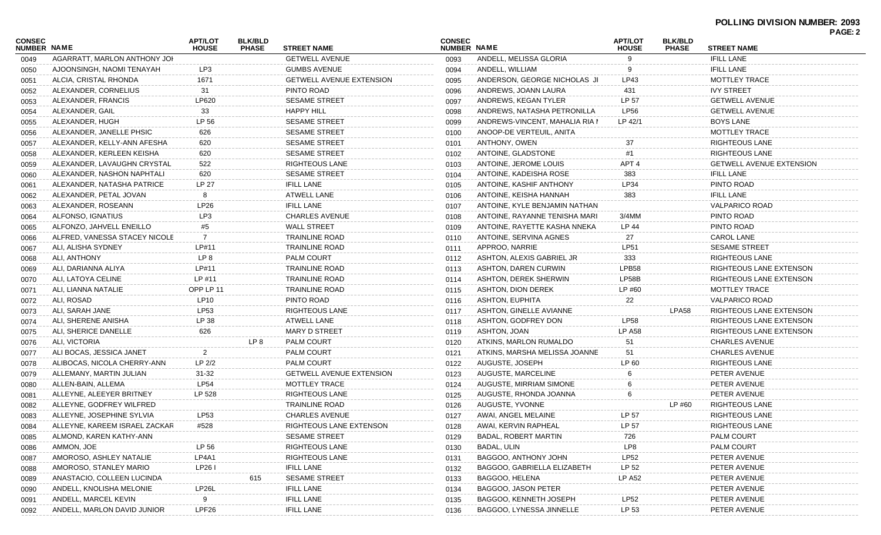| CONSEC<br><b>NUMBER NAME</b> |                               | <b>APT/LOT</b><br><b>HOUSE</b> | <b>BLK/BLD</b><br><b>PHASE</b> | <b>STREET NAME</b>              | <b>CONSEC</b><br><b>NUMBER NAME</b> |                                | <b>APT/LOT</b><br><b>HOUSE</b> | <b>BLK/BLD</b><br><b>PHASE</b> | <b>STREET NAME</b>              | <b>PAGE: 2</b> |
|------------------------------|-------------------------------|--------------------------------|--------------------------------|---------------------------------|-------------------------------------|--------------------------------|--------------------------------|--------------------------------|---------------------------------|----------------|
| 0049                         | AGARRATT, MARLON ANTHONY JOH  |                                |                                | <b>GETWELL AVENUE</b>           | 0093                                | ANDELL, MELISSA GLORIA         | 9                              |                                | <b>IFILL LANE</b>               |                |
| 0050                         | AJOONSINGH, NAOMI TENAYAH     | LP3                            |                                | <b>GUMBS AVENUE</b>             | 0094                                | ANDELL, WILLIAM                | 9                              |                                | <b>IFILL LANE</b>               |                |
| 0051                         | ALCIA, CRISTAL RHONDA         | 1671                           |                                | <b>GETWELL AVENUE EXTENSION</b> | 0095                                | ANDERSON, GEORGE NICHOLAS JI   | LP43                           |                                | <b>MOTTLEY TRACE</b>            |                |
| 0052                         | ALEXANDER, CORNELIUS          | 31                             |                                | PINTO ROAD                      | 0096                                | ANDREWS, JOANN LAURA           | 431                            |                                | <b>IVY STREET</b>               |                |
| 0053                         | ALEXANDER, FRANCIS            | LP620                          |                                | <b>SESAME STREET</b>            | 0097                                | ANDREWS, KEGAN TYLER           | LP 57                          |                                | <b>GETWELL AVENUE</b>           |                |
| 0054                         | ALEXANDER, GAIL               | 33                             |                                | <b>HAPPY HILL</b>               | 0098                                | ANDREWS, NATASHA PETRONILLA    | <b>LP56</b>                    |                                | <b>GETWELL AVENUE</b>           |                |
| 0055                         | ALEXANDER, HUGH               | LP 56                          |                                | <b>SESAME STREET</b>            | 0099                                | ANDREWS-VINCENT, MAHALIA RIA N | $LP$ 42/1                      |                                | <b>BOYS LANE</b>                |                |
| 0056                         | ALEXANDER, JANELLE PHSIC      | 626                            |                                | <b>SESAME STREET</b>            | 0100                                | ANOOP-DE VERTEUIL, ANITA       |                                |                                | <b>MOTTLEY TRACE</b>            |                |
| 0057                         | ALEXANDER, KELLY-ANN AFESHA   | 620                            |                                | <b>SESAME STREET</b>            | 0101                                | ANTHONY, OWEN                  | 37                             |                                | <b>RIGHTEOUS LANE</b>           |                |
| 0058                         | ALEXANDER, KERLEEN KEISHA     | 620                            |                                | <b>SESAME STREET</b>            | 0102                                | ANTOINE, GLADSTONE             | #1                             |                                | <b>RIGHTEOUS LANE</b>           |                |
| 0059                         | ALEXANDER, LAVAUGHN CRYSTAL   | 522                            |                                | RIGHTEOUS LANE                  | 0103                                | ANTOINE, JEROME LOUIS          | APT <sub>4</sub>               |                                | <b>GETWELL AVENUE EXTENSION</b> |                |
| 0060                         | ALEXANDER, NASHON NAPHTALI    | 620                            |                                | <b>SESAME STREET</b>            | 0104                                | ANTOINE, KADEISHA ROSE         | 383                            |                                | <b>IFILL LANE</b>               |                |
| 0061                         | ALEXANDER, NATASHA PATRICE    | LP 27                          |                                | <b>IFILL LANE</b>               | 0105                                | ANTOINE, KASHIF ANTHONY        | LP34                           |                                | PINTO ROAD                      |                |
| 0062                         | ALEXANDER, PETAL JOVAN        | 8                              |                                | <b>ATWELL LANE</b>              | 0106                                | ANTOINE, KEISHA HANNAH         | 383                            |                                | <b>IFILL LANE</b>               |                |
| 0063                         | ALEXANDER, ROSEANN            | LP26                           |                                | <b>IFILL LANE</b>               | 0107                                | ANTOINE, KYLE BENJAMIN NATHAN  |                                |                                | <b>VALPARICO ROAD</b>           |                |
| 0064                         | ALFONSO, IGNATIUS             | LP3                            |                                | <b>CHARLES AVENUE</b>           | 0108                                | ANTOINE, RAYANNE TENISHA MARI  | $3/4$ MM                       |                                | PINTO ROAD                      |                |
| 0065                         | ALFONZO, JAHVELL ENEILLO      | #5                             |                                | <b>WALL STREET</b>              | 0109                                | ANTOINE, RAYETTE KASHA NNEKA   | LP 44                          |                                | PINTO ROAD                      |                |
| 0066                         | ALFRED, VANESSA STACEY NICOLE | 7                              |                                | <b>TRAINLINE ROAD</b>           | 0110                                | ANTOINE, SERVINA AGNES         | 27                             |                                | <b>CAROL LANE</b>               |                |
| 0067                         | ALI, ALISHA SYDNEY            | LP#11                          |                                | <b>TRAINLINE ROAD</b>           | 0111                                | APPROO, NARRIE                 | <b>LP51</b>                    |                                | <b>SESAME STREET</b>            |                |
| 0068                         | ALI, ANTHONY                  | LP 8                           |                                | PALM COURT                      | 0112                                | ASHTON, ALEXIS GABRIEL JR      | 333                            |                                | <b>RIGHTEOUS LANE</b>           |                |
| 0069                         | ALI, DARIANNA ALIYA           | LP#11                          |                                | <b>TRAINLINE ROAD</b>           | 0113                                | <b>ASHTON, DAREN CURWIN</b>    | LPB58                          |                                | RIGHTEOUS LANE EXTENSON         |                |
| 0070                         | ALI, LATOYA CELINE            | LP #11                         |                                | <b>TRAINLINE ROAD</b>           | 0114                                | ASHTON, DEREK SHERWIN          | LP58B                          |                                | RIGHTEOUS LANE EXTENSON         |                |
| 0071                         | ALI, LIANNA NATALIE           | OPP LP 11                      |                                | <b>TRAINLINE ROAD</b>           | 0115                                | ASHTON, DION DEREK             | LP #60                         |                                | MOTTLEY TRACE                   |                |
| 0072                         | ALI, ROSAD                    | LP10                           |                                | PINTO ROAD                      | 0116                                | ASHTON, EUPHITA                | 22                             |                                | <b>VALPARICO ROAD</b>           |                |
| 0073                         | ALI, SARAH JANE               | <b>LP53</b>                    |                                | <b>RIGHTEOUS LANE</b>           | 0117                                | ASHTON, GINELLE AVIANNE        |                                | LPA58                          | RIGHTEOUS LANE EXTENSON         |                |
| 0074                         | ALI, SHERENE ANISHA           | LP 38                          |                                | <b>ATWELL LANE</b>              | 0118                                | ASHTON, GODFREY DON            | <b>LP58</b>                    |                                | RIGHTEOUS LANE EXTENSON         |                |
| 0075                         | ALI, SHERICE DANELLE          | 626                            |                                | MARY D STREET                   | 0119                                | ASHTON, JOAN                   | <b>LP A58</b>                  |                                | RIGHTEOUS LANE EXTENSON         |                |
| 0076                         | ALI, VICTORIA                 |                                | LP 8                           | <b>PALM COURT</b>               | 0120                                | ATKINS, MARLON RUMALDO         | 51                             |                                | <b>CHARLES AVENUE</b>           |                |
| 0077                         | ALI BOCAS, JESSICA JANET      | $\overline{2}$                 |                                | <b>PALM COURT</b>               | 0121                                | ATKINS, MARSHA MELISSA JOANNE  | 51                             |                                | <b>CHARLES AVENUE</b>           |                |
| 0078                         | ALIBOCAS, NICOLA CHERRY-ANN   | LP 2/2                         |                                | PALM COURT                      | 0122                                | AUGUSTE, JOSEPH                | LP 60                          |                                | <b>RIGHTEOUS LANE</b>           |                |
| 0079                         | ALLEMANY, MARTIN JULIAN       | 31-32                          |                                | <b>GETWELL AVENUE EXTENSION</b> | 0123                                | AUGUSTE, MARCELINE             | 6                              |                                | PETER AVENUE                    |                |
| 0080                         | ALLEN-BAIN, ALLEMA            | <b>LP54</b>                    |                                | MOTTLEY TRACE                   | 0124                                | AUGUSTE, MIRRIAM SIMONE        | 6                              |                                | PETER AVENUE                    |                |
| 0081                         | ALLEYNE, ALEEYER BRITNEY      | LP 528                         |                                | RIGHTEOUS LANE                  | 0125                                | AUGUSTE, RHONDA JOANNA         | 6                              |                                | PETER AVENUE                    |                |
| 0082                         | ALLEYNE, GODFREY WILFRED      |                                |                                | <b>TRAINLINE ROAD</b>           | 0126                                | AUGUSTE, YVONNE                |                                | LP #60                         | RIGHTEOUS LANE                  |                |
| 0083                         | ALLEYNE, JOSEPHINE SYLVIA     | LP53                           |                                | <b>CHARLES AVENUE</b>           | 0127                                | AWAI, ANGEL MELAINE            | LP 57                          |                                | <b>RIGHTEOUS LANE</b>           |                |
| 0084                         | ALLEYNE, KAREEM ISRAEL ZACKAR | #528                           |                                | RIGHTEOUS LANE EXTENSON         | 0128                                | AWAI, KERVIN RAPHEAL           | LP 57                          |                                | RIGHTEOUS LANE                  |                |
| 0085                         | ALMOND, KAREN KATHY-ANN       |                                |                                | <b>SESAME STREET</b>            | 0129                                | <b>BADAL, ROBERT MARTIN</b>    | 726                            |                                | PALM COURT                      |                |
| 0086                         | AMMON, JOE                    | LP 56                          |                                | <b>RIGHTEOUS LANE</b>           | 0130                                | BADAL, ULIN                    | LP8                            |                                | <b>PALM COURT</b>               |                |
| 0087                         | AMOROSO, ASHLEY NATALIE       | LP4A1                          |                                | <b>RIGHTEOUS LANE</b>           | 0131                                | BAGGOO, ANTHONY JOHN           | <b>LP52</b>                    |                                | PETER AVENUE                    |                |
| 0088                         | AMOROSO, STANLEY MARIO        | LP261                          |                                | <b>IFILL LANE</b>               | 0132                                | BAGGOO, GABRIELLA ELIZABETH    | LP 52                          |                                | PETER AVENUE                    |                |
| 0089                         | ANASTACIO, COLLEEN LUCINDA    |                                | 615                            | <b>SESAME STREET</b>            | 0133                                | BAGGOO, HELENA                 | LP A52                         |                                | PETER AVENUE                    |                |
| 0090                         | ANDELL, KNOLISHA MELONIE      | LP26L                          |                                | <b>IFILL LANE</b>               | 0134                                | BAGGOO, JASON PETER            |                                |                                | PETER AVENUE                    |                |
| 0091                         | ANDELL, MARCEL KEVIN          | 9                              |                                | <b>IFILL LANE</b>               | 0135                                | BAGGOO, KENNETH JOSEPH         | <b>LP52</b>                    |                                | PETER AVENUE                    |                |
| 0092                         | ANDELL, MARLON DAVID JUNIOR   | LPF26                          |                                | <b>IFILL LANE</b>               | 0136                                | BAGGOO, LYNESSA JINNELLE       | LP 53                          |                                | PETER AVENUE                    |                |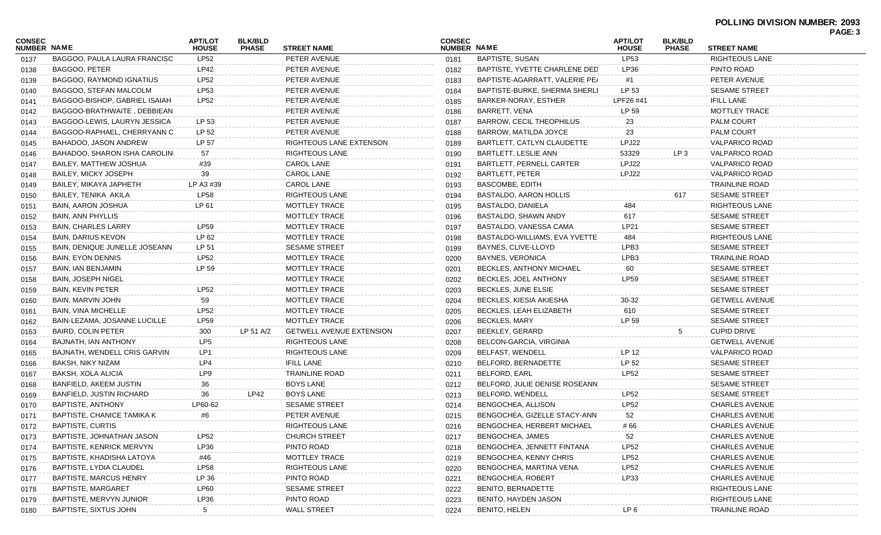| <b>CONSEC</b><br>NUMBER NAME |                                   | <b>APT/LOT</b><br><b>HOUSE</b> | <b>BLK/BLD</b><br><b>PHASE</b> | <b>STREET NAME</b>              | <b>CONSEC</b><br><b>NUMBER NAME</b> |                                 | <b>APT/LOT</b><br><b>HOUSE</b> | <b>BLK/BLD</b><br><b>PHASE</b> | <b>STREET NAME</b>    | . השכו |
|------------------------------|-----------------------------------|--------------------------------|--------------------------------|---------------------------------|-------------------------------------|---------------------------------|--------------------------------|--------------------------------|-----------------------|--------|
| 0137                         | BAGGOO, PAULA LAURA FRANCISC      | <b>LP52</b>                    |                                | PETER AVENUE                    | 0181                                | BAPTISTE, SUSAN                 | <b>LP53</b>                    |                                | RIGHTEOUS LANE        |        |
| 0138                         | BAGGOO, PETER                     | LP42                           |                                | PETER AVENUE                    | 0182                                | BAPTISTE, YVETTE CHARLENE DED   | LP36                           |                                | PINTO ROAD            |        |
| 0139                         | <b>BAGGOO, RAYMOND IGNATIUS</b>   | LP52                           |                                | PETER AVENUE                    | 0183                                | BAPTISTE-AGARRATT, VALERIE PE/  | #1                             |                                | PETER AVENUE          |        |
| 0140                         | BAGGOO, STEFAN MALCOLM            | LP53                           |                                | PETER AVENUE                    | 0184                                | BAPTISTE-BURKE, SHERMA SHERLI   | LP 53                          |                                | <b>SESAME STREET</b>  |        |
| 0141                         | BAGGOO-BISHOP, GABRIEL ISAIAH     | LP52                           |                                | PETER AVENUE                    | 0185                                | BARKER-NORAY, ESTHER            | LPF26 #41                      |                                | <b>IFILL LANE</b>     |        |
| 0142                         | BAGGOO-BRATHWAITE, DEBBIEAN       |                                |                                | PETER AVENUE                    | 0186                                | BARRETT, VENA                   | LP 59                          |                                | MOTTLEY TRACE         |        |
| 0143                         | BAGGOO-LEWIS, LAURYN JESSICA      | LP 53                          |                                | PETER AVENUE                    | 0187                                | <b>BARROW, CECIL THEOPHILUS</b> | 23                             |                                | <b>PALM COURT</b>     |        |
| 0144                         | BAGGOO-RAPHAEL, CHERRYANN C       | LP 52                          |                                | PETER AVENUE                    | 0188                                | BARROW, MATILDA JOYCE           | 23                             |                                | <b>PALM COURT</b>     |        |
| 0145                         | BAHADOO, JASON ANDREW             | LP 57                          |                                | RIGHTEOUS LANE EXTENSON         | 0189                                | BARTLETT, CATLYN CLAUDETTE      | LPJ22                          |                                | VALPARICO ROAD        |        |
| 0146                         | BAHADOO, SHARON ISHA CAROLINI     | 57                             |                                | <b>RIGHTEOUS LANE</b>           | 0190                                | <b>BARTLETT, LESLIE ANN</b>     | 53329                          | LP 3                           | VALPARICO ROAD        |        |
| 0147                         | BAILEY, MATTHEW JOSHUA            | #39                            |                                | CAROL LANE                      | 0191                                | <b>BARTLETT, PERNELL CARTER</b> | LPJ22                          |                                | VALPARICO ROAD        |        |
| 0148                         | <b>BAILEY, MICKY JOSEPH</b>       | 39                             |                                | CAROL LANE                      | 0192                                | <b>BARTLETT, PETER</b>          | LPJ22                          |                                | VALPARICO ROAD        |        |
| 0149                         | BAILEY, MIKAYA JAPHETH            | LP A3 #39                      |                                | CAROL LANE                      | 0193                                | <b>BASCOMBE, EDITH</b>          |                                |                                | TRAINLINE ROAD        |        |
| 0150                         | BAILEY, TENIKA AKILA              | <b>LP58</b>                    |                                | <b>RIGHTEOUS LANE</b>           | 0194                                | <b>BASTALDO, AARON HOLLIS</b>   |                                | 617                            | <b>SESAME STREET</b>  |        |
| 0151                         | <b>BAIN, AARON JOSHUA</b>         | LP 61                          |                                | MOTTLEY TRACE                   | 0195                                | BASTALDO, DANIELA               | 484                            |                                | <b>RIGHTEOUS LANE</b> |        |
| 0152                         | <b>BAIN, ANN PHYLLIS</b>          |                                |                                | MOTTLEY TRACE                   | 0196                                | BASTALDO, SHAWN ANDY            | 617                            |                                | <b>SESAME STREET</b>  |        |
| 0153                         | <b>BAIN, CHARLES LARRY</b>        | LP59                           |                                | <b>MOTTLEY TRACE</b>            | 0197                                | BASTALDO, VANESSA CAMA          | LP21                           |                                | <b>SESAME STREET</b>  |        |
| 0154                         | <b>BAIN, DARIUS KEVON</b>         | LP 62                          |                                | MOTTLEY TRACE                   | 0198                                | BASTALDO-WILLIAMS, EVA YVETTE   | 484                            |                                | <b>RIGHTEOUS LANE</b> |        |
| 0155                         | BAIN, DENIQUE JUNELLE JOSEANN     | LP 51                          |                                | <b>SESAME STREET</b>            | 0199                                | BAYNES, CLIVE-LLOYD             | LPB3                           |                                | <b>SESAME STREET</b>  |        |
| 0156                         | <b>BAIN, EYON DENNIS</b>          | LP52                           |                                | <b>MOTTLEY TRACE</b>            | 0200                                | <b>BAYNES, VERONICA</b>         | LPB3                           |                                | <b>TRAINLINE ROAD</b> |        |
| 0157                         | <b>BAIN, IAN BENJAMIN</b>         | LP 59                          |                                | MOTTLEY TRACE                   | 0201                                | <b>BECKLES, ANTHONY MICHAEL</b> | 60                             |                                | <b>SESAME STREET</b>  |        |
| 0158                         | <b>BAIN, JOSEPH NIGEL</b>         |                                |                                | MOTTLEY TRACE                   | 0202                                | BECKLES, JOEL ANTHONY           | <b>LP59</b>                    |                                | <b>SESAME STREET</b>  |        |
| 0159                         | BAIN, KEVIN PETER                 | LP52                           |                                | MOTTLEY TRACE                   | 0203                                | BECKLES, JUNE ELSIE             |                                |                                | <b>SESAME STREET</b>  |        |
| 0160                         | BAIN, MARVIN JOHN                 | 59                             |                                | MOTTLEY TRACE                   | 0204                                | BECKLES, KIESIA AKIESHA         | 30-32                          |                                | <b>GETWELL AVENUE</b> |        |
| 0161                         | <b>BAIN, VINA MICHELLE</b>        | LP52                           |                                | MOTTLEY TRACE                   | 0205                                | BECKLES, LEAH ELIZABETH         | 610                            |                                | <b>SESAME STREET</b>  |        |
| 0162                         | BAIN-LEZAMA, JOSANNE LUCILLE      | LP59                           |                                | MOTTLEY TRACE                   | 0206                                | <b>BECKLES, MARY</b>            | LP 59                          |                                | <b>SESAME STREET</b>  |        |
| 0163                         | BAIRD, COLIN PETER                | 300                            | LP 51 A/2                      | <b>GETWELL AVENUE EXTENSION</b> | 0207                                | <b>BEEKLEY, GERARD</b>          |                                |                                | <b>CUPID DRIVE</b>    |        |
| 0164                         | BAJNATH, IAN ANTHONY              | LP <sub>5</sub>                |                                | <b>RIGHTEOUS LANE</b>           | 0208                                | <b>BELCON-GARCIA, VIRGINIA</b>  |                                |                                | <b>GETWELL AVENUE</b> |        |
| 0165                         | BAJNATH, WENDELL CRIS GARVIN      | LP1                            |                                | <b>RIGHTEOUS LANE</b>           | 0209                                | <b>BELFAST, WENDELL</b>         | LP 12                          |                                | <b>VALPARICO ROAD</b> |        |
| 0166                         | BAKSH, NIKY NIZAM                 | LP4                            |                                | <b>IFILL LANE</b>               | 0210                                | BELFORD, BERNADETTE             | LP 52                          |                                | <b>SESAME STREET</b>  |        |
| 0167                         | BAKSH, XOLA ALICIA                | LP9                            |                                | <b>TRAINLINE ROAD</b>           | 0211                                | BELFORD, EARL                   | <b>LP52</b>                    |                                | <b>SESAME STREET</b>  |        |
| 0168                         | BANFIELD, AKEEM JUSTIN            | 36                             |                                | <b>BOYS LANE</b>                | 0212                                | BELFORD, JULIE DENISE ROSEANN.  |                                |                                | <b>SESAME STREET</b>  |        |
| 0169                         | <b>BANFIELD, JUSTIN RICHARD</b>   | 36                             | <b>LP42</b>                    | <b>BOYS LANE</b>                | 0213                                | BELFORD, WENDELL                | LP52                           |                                | <b>SESAME STREET</b>  |        |
| 0170                         | <b>BAPTISTE, ANTHONY</b>          | LP60-62                        |                                | <b>SESAME STREET</b>            | 0214                                | BENGOCHEA, ALLISON              | <b>LP52</b>                    |                                | <b>CHARLES AVENUE</b> |        |
| 0171                         | <b>BAPTISTE, CHANICE TAMIKA K</b> | #6                             |                                | PETER AVENUE                    | 0215                                | BENGOCHEA, GIZELLE STACY-ANN    | 52                             |                                | <b>CHARLES AVENUE</b> |        |
| 0172                         | <b>BAPTISTE, CURTIS</b>           |                                |                                | RIGHTEOUS LANE                  | 0216                                | BENGOCHEA, HERBERT MICHAEL      | # 66                           |                                | CHARLES AVENUE        |        |
| 0173                         | BAPTISTE, JOHNATHAN JASON         | LP52                           |                                | <b>CHURCH STREET</b>            | 0217                                | BENGOCHEA, JAMES                | 52                             |                                | <b>CHARLES AVENUE</b> |        |
| 0174                         | BAPTISTE, KENRICK MERVYN          | LP36                           |                                | PINTO ROAD                      | 0218                                | BENGOCHEA, JENNETT FINTANA      | <b>LP52</b>                    |                                | <b>CHARLES AVENUE</b> |        |
| 0175                         | BAPTISTE, KHADISHA LATOYA         | #46                            |                                | MOTTLEY TRACE                   | 0219                                | BENGOCHEA, KENNY CHRIS          | LP52                           |                                | <b>CHARLES AVENUE</b> |        |
| 0176                         | <b>BAPTISTE, LYDIA CLAUDEL</b>    | <b>LP58</b>                    |                                | <b>RIGHTEOUS LANE</b>           | 0220                                | BENGOCHEA, MARTINA VENA         | <b>LP52</b>                    |                                | <b>CHARLES AVENUE</b> |        |
|                              | <b>BAPTISTE, MARCUS HENRY</b>     | LP 36                          |                                | PINTO ROAD                      | 0221                                | <b>BENGOCHEA, ROBERT</b>        | LP33                           |                                | <b>CHARLES AVENUE</b> |        |
| 0177                         | <b>BAPTISTE, MARGARET</b>         | <b>LP60</b>                    |                                | <b>SESAME STREET</b>            |                                     | BENITO, BERNADETTE              |                                |                                | <b>RIGHTEOUS LANE</b> |        |
| 0178                         | BAPTISTE, MERVYN JUNIOR           | LP36                           |                                | PINTO ROAD                      | 0222                                | <b>BENITO, HAYDEN JASON</b>     |                                |                                | <b>RIGHTEOUS LANE</b> |        |
| 0179                         | <b>BAPTISTE, SIXTUS JOHN</b>      | 5                              |                                | <b>WALL STREET</b>              | 0223                                | <b>BENITO, HELEN</b>            | LP <sub>6</sub>                |                                | <b>TRAINLINE ROAD</b> |        |
| 0180                         |                                   |                                |                                |                                 | 0224                                |                                 |                                |                                |                       |        |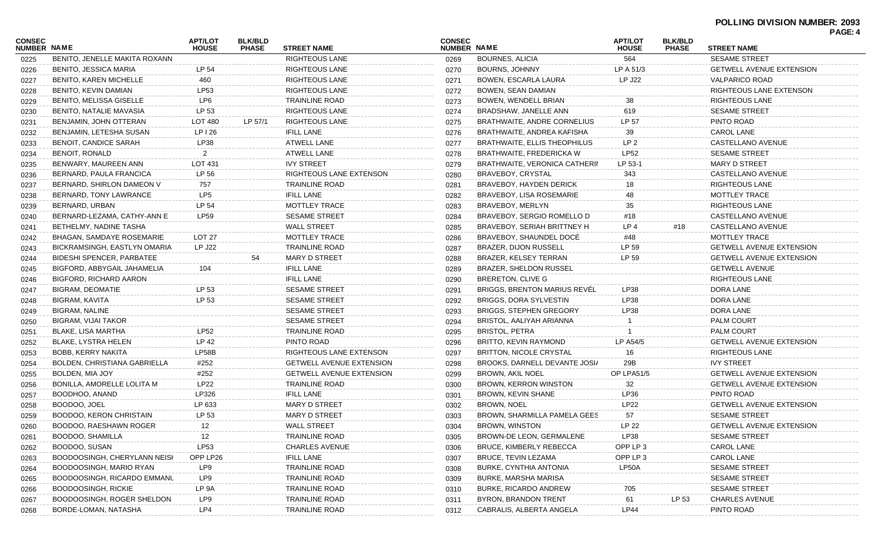|                              |                                     |                                |                                |                                 |                              |                                     |                                |                                |                                 | . פני |
|------------------------------|-------------------------------------|--------------------------------|--------------------------------|---------------------------------|------------------------------|-------------------------------------|--------------------------------|--------------------------------|---------------------------------|-------|
| <b>CONSEC</b><br>NUMBER NAME |                                     | <b>APT/LOT</b><br><b>HOUSE</b> | <b>BLK/BLD</b><br><b>PHASE</b> | <b>STREET NAME</b>              | <b>CONSEC</b><br>NUMBER NAME |                                     | <b>APT/LOT</b><br><b>HOUSE</b> | <b>BLK/BLD</b><br><b>PHASE</b> | <b>STREET NAME</b>              |       |
| 0225                         | BENITO. JENELLE MAKITA ROXANN       |                                |                                | <b>RIGHTEOUS LANE</b>           | 0269                         | <b>BOURNES, ALICIA</b>              | 564                            |                                | <b>SESAME STREET</b>            |       |
| 0226                         | BENITO, JESSICA MARIA               | LP 54                          |                                | <b>RIGHTEOUS LANE</b>           | 0270                         | <b>BOURNS, JOHNNY</b>               | LP A 51/3                      |                                | <b>GETWELL AVENUE EXTENSION</b> |       |
| 0227                         | <b>BENITO, KAREN MICHELLE</b>       | 460                            |                                | <b>RIGHTEOUS LANE</b>           | 0271                         | <b>BOWEN, ESCARLA LAURA</b>         | <b>LP J22</b>                  |                                | <b>VALPARICO ROAD</b>           |       |
| 0228                         | BENITO, KEVIN DAMIAN                | <b>LP53</b>                    |                                | <b>RIGHTEOUS LANE</b>           | 0272                         | BOWEN, SEAN DAMIAN                  |                                |                                | RIGHTEOUS LANE EXTENSON         |       |
| 0229                         | <b>BENITO, MELISSA GISELLE</b>      | LP6                            |                                | TRAINLINE ROAD                  | 0273                         | BOWEN, WENDELL BRIAN                | 38                             |                                | RIGHTEOUS LANE                  |       |
| 0230                         | BENITO, NATALIE MAVASIA             | LP 53                          |                                | <b>RIGHTEOUS LANE</b>           | 0274                         | BRADSHAW, JANELLE ANN               | 619                            |                                | <b>SESAME STREET</b>            |       |
| 0231                         | BENJAMIN, JOHN OTTERAN              | LOT 480                        | LP 57/1                        | <b>RIGHTEOUS LANE</b>           | 0275                         | <b>BRATHWAITE, ANDRE CORNELIUS</b>  | LP 57                          |                                | PINTO ROAD                      |       |
| 0232                         | BENJAMIN, LETESHA SUSAN             | LP 126                         |                                | <b>IFILL LANE</b>               | 0276                         | BRATHWAITE, ANDREA KAFISHA          | 39                             |                                | <b>CAROL LANE</b>               |       |
| 0233                         | <b>BENOIT, CANDICE SARAH</b>        | <b>LP38</b>                    |                                | ATWELL LANE                     | 0277                         | <b>BRATHWAITE, ELLIS THEOPHILUS</b> | LP <sub>2</sub>                |                                | CASTELLANO AVENUE               |       |
| 0234                         | <b>BENOIT, RONALD</b>               | 2                              |                                | <b>ATWELL LANE</b>              | 0278                         | BRATHWAITE, FREDERICKA W            | <b>LP52</b>                    |                                | <b>SESAME STREET</b>            |       |
| 0235                         | BENWARY, MAUREEN ANN                | LOT 431                        |                                | <b>IVY STREET</b>               | 0279                         | BRATHWAITE, VERONICA CATHERIN       | LP 53-1                        |                                | <b>MARY D STREET</b>            |       |
| 0236                         | BERNARD, PAULA FRANCICA             | LP 56                          |                                | RIGHTEOUS LANE EXTENSON         | 0280                         | BRAVEBOY, CRYSTAL                   | 343                            |                                | CASTELLANO AVENUE               |       |
| 0237                         | BERNARD, SHIRLON DAMEON V           | 757                            |                                | TRAINLINE ROAD                  | 0281                         | <b>BRAVEBOY, HAYDEN DERICK</b>      | 18                             |                                | RIGHTEOUS LANE                  |       |
| 0238                         | BERNARD, TONY LAWRANCE              | LP <sub>5</sub>                |                                | <b>IFILL LANE</b>               | 0282                         | BRAVEBOY, LISA ROSEMARIE            | 48                             |                                | MOTTLEY TRACE                   |       |
| 0239                         | BERNARD, URBAN                      | LP 54                          |                                | MOTTLEY TRACE                   | 0283                         | BRAVEBOY, MERLYN                    | 35                             |                                | RIGHTEOUS LANE                  |       |
| 0240                         | BERNARD-LEZAMA, CATHY-ANN E         | <b>LP59</b>                    |                                | <b>SESAME STREET</b>            | 0284                         | BRAVEBOY, SERGIO ROMELLO D          | #18                            |                                | CASTELLANO AVENUE               |       |
| 0241                         | BETHELMY, NADINE TASHA              |                                |                                | <b>WALL STREET</b>              | 0285                         | BRAVEBOY, SERIAH BRITTNEY H         | LP 4                           | #18                            | CASTELLANO AVENUE               |       |
| 0242                         | <b>BHAGAN, SAMDAYE ROSEMARIE</b>    | LOT 27                         |                                | <b>MOTTLEY TRACE</b>            | 0286                         | BRAVEBOY, SHAUNDEL DOCE             | #48                            |                                | MOTTLEY TRACE                   |       |
| 0243                         | BICKRAMSINGH, EASTLYN OMARIA        | <b>LP J22</b>                  |                                | <b>TRAINLINE ROAD</b>           | 0287                         | <b>BRAZER, DIJON RUSSELL</b>        | LP 59                          |                                | <b>GETWELL AVENUE EXTENSION</b> |       |
| 0244                         | <b>BIDESHI SPENCER, PARBATEE</b>    |                                | 54                             | <b>MARY D STREET</b>            | 0288                         | BRAZER, KELSEY TERRAN               | LP 59                          |                                | <b>GETWELL AVENUE EXTENSION</b> |       |
| 0245                         | BIGFORD, ABBYGAIL JAHAMELIA         | 104                            |                                | <b>IFILL LANE</b>               | 0289                         | <b>BRAZER, SHELDON RUSSEL</b>       |                                |                                | <b>GETWELL AVENUE</b>           |       |
| 0246                         | <b>BIGFORD, RICHARD AARON</b>       |                                |                                | <b>IFILL LANE</b>               | 0290                         | BRERETON, CLIVE G                   |                                |                                | RIGHTEOUS LANE                  |       |
| 0247                         | BIGRAM, DEOMATIE                    | LP 53                          |                                | <b>SESAME STREET</b>            | 0291                         | <b>BRIGGS, BRENTON MARIUS REVEL</b> | <b>LP38</b>                    |                                | DORA LANE                       |       |
| 0248                         | BIGRAM, KAVITA                      | LP 53                          |                                | <b>SESAME STREET</b>            | 0292                         | <b>BRIGGS, DORA SYLVESTIN</b>       | LP38                           |                                | DORA LANE                       |       |
| 0249                         | BIGRAM, NALINE                      |                                |                                | <b>SESAME STREET</b>            | 0293                         | <b>BRIGGS, STEPHEN GREGORY</b>      | LP38                           |                                | DORA LANE                       |       |
| 0250                         | BIGRAM, VIJAI TAKOR                 |                                |                                | <b>SESAME STREET</b>            | 0294                         | BRISTOL, AALIYAH ARIANNA            |                                |                                | <b>PALM COURT</b>               |       |
| 0251                         | BLAKE, LISA MARTHA                  | <b>LP52</b>                    |                                | TRAINLINE ROAD                  | 0295                         | <b>BRISTOL, PETRA</b>               |                                |                                | <b>PALM COURT</b>               |       |
| 0252                         | <b>BLAKE, LYSTRA HELEN</b>          | LP 42                          |                                | PINTO ROAD                      | 0296                         | BRITTO, KEVIN RAYMOND               | LP A54/5                       |                                | <b>GETWELL AVENUE EXTENSION</b> |       |
| 0253                         | BOBB, KERRY NAKITA                  | LP58B                          |                                | RIGHTEOUS LANE EXTENSON         | 0297                         | BRITTON, NICOLE CRYSTAL             | 16                             |                                | RIGHTEOUS LANE                  |       |
| 0254                         | <b>BOLDEN, CHRISTIANA GABRIELLA</b> | #252                           |                                | <b>GETWELL AVENUE EXTENSION</b> | 0298                         | BROOKS, DARNELL DEVANTE JOSI/       | 29B                            |                                | <b>IVY STREET</b>               |       |
| 0255                         | BOLDEN, MIA JOY                     | #252                           |                                | <b>GETWELL AVENUE EXTENSION</b> | 0299                         | <b>BROWN, AKIL NOEL</b>             | OP LPA51/5                     |                                | <b>GETWELL AVENUE EXTENSION</b> |       |
| 0256                         | <b>BONILLA, AMORELLE LOLITA M</b>   | <b>LP22</b>                    |                                | TRAINLINE ROAD                  | 0300                         | <b>BROWN, KERRON WINSTON</b>        | 32                             |                                | <b>GETWELL AVENUE EXTENSION</b> |       |
| 0257                         | BOODHOO, ANAND                      | LP326                          |                                | <b>IFILL LANE</b>               | 0301                         | BROWN, KEVIN SHANE                  | LP36                           |                                | PINTO ROAD                      |       |
| 0258                         | BOODOO, JOEL                        | LP 633                         |                                | <b>MARY D STREET</b>            | 0302                         | <b>BROWN, NOEL</b>                  | <b>LP22</b>                    |                                | <b>GETWELL AVENUE EXTENSION</b> |       |
| 0259                         | <b>BOODOO, KERON CHRISTAIN</b>      | LP 53                          |                                | <b>MARY D STREET</b>            | 0303                         | BROWN, SHARMILLA PAMELA GEES        | 57                             |                                | <b>SESAME STREET</b>            |       |
| 0260                         | BOODOO, RAESHAWN ROGER              | 12                             |                                | WALL STREET                     | 0304                         | <b>BROWN, WINSTON</b>               | LP 22                          |                                | GETWELL AVENUE EXTENSION        |       |
| 0261                         | BOODOO, SHAMILLA                    | 12                             |                                | <b>TRAINLINE ROAD</b>           | 0305                         | BROWN-DE LEON, GERMALENE            | <b>LP38</b>                    |                                | <b>SESAME STREET</b>            |       |
| 0262                         | BOODOO, SUSAN                       | LP53                           |                                | <b>CHARLES AVENUE</b>           | 0306                         | <b>BRUCE, KIMBERLY REBECCA</b>      | OPP LP 3                       |                                | <b>CAROL LANE</b>               |       |
| 0263                         | BOODOOSINGH, CHERYLANN NEISH        | OPP LP26                       |                                | <b>IFILL LANE</b>               | 0307                         | BRUCE, TEVIN LEZAMA                 | OPP LP 3                       |                                | CAROL LANE                      |       |
| 0264                         | BOODOOSINGH, MARIO RYAN             | LP9                            |                                | <b>TRAINLINE ROAD</b>           | 0308                         | <b>BURKE, CYNTHIA ANTONIA</b>       | LP50A                          |                                | <b>SESAME STREET</b>            |       |
| 0265                         | <b>BOODOOSINGH, RICARDO EMMANU</b>  | LP9                            |                                | <b>TRAINLINE ROAD</b>           | 0309                         | <b>BURKE, MARSHA MARISA</b>         |                                |                                | <b>SESAME STREET</b>            |       |
| 0266                         | <b>BOODOOSINGH, RICKIE</b>          | LP 9A                          |                                | TRAINLINE ROAD                  | 0310                         | BURKE, RICARDO ANDREW               | 705                            |                                | <b>SESAME STREET</b>            |       |
| 0267                         | BOODOOSINGH, ROGER SHELDON          | LP9                            |                                | <b>TRAINLINE ROAD</b>           | 0311                         | BYRON, BRANDON TRENT                | 61                             | LP 53                          | <b>CHARLES AVENUE</b>           |       |
| 0268                         | BORDE-LOMAN, NATASHA                | LP4                            |                                | TRAINLINE ROAD                  | 0312                         | CABRALIS, ALBERTA ANGELA            | <b>LP44</b>                    |                                | PINTO ROAD                      |       |
|                              |                                     |                                |                                |                                 |                              |                                     |                                |                                |                                 |       |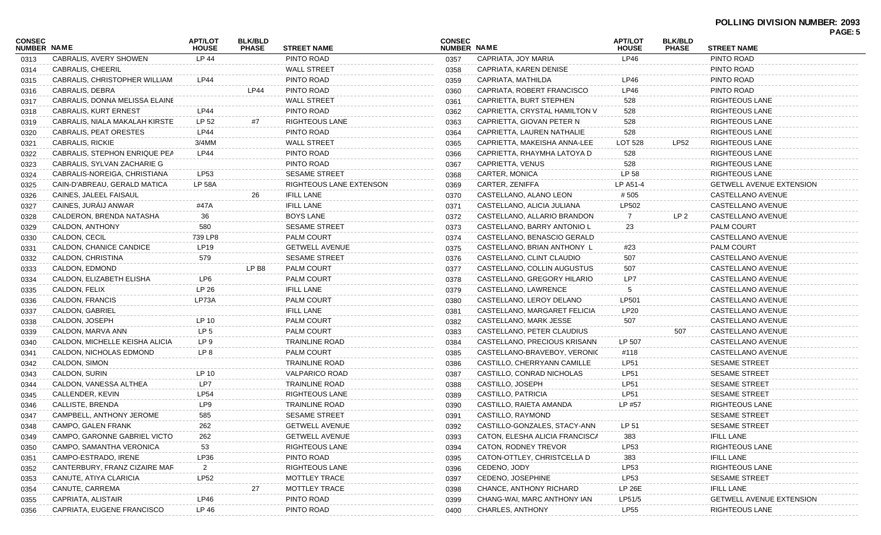| <b>CONSEC</b> |                                | <b>APT/LOT</b>       | <b>BLK/BLD</b> |                         | <b>CONSEC</b> |                                | <b>APT/LOT</b>   | <b>BLK/BLD</b> |                                                      | <b>FAGE.J</b> |
|---------------|--------------------------------|----------------------|----------------|-------------------------|---------------|--------------------------------|------------------|----------------|------------------------------------------------------|---------------|
| NUMBER NAME   |                                | <b>HOUSE</b>         | <b>PHASE</b>   | <b>STREET NAME</b>      | NUMBER NAME   |                                | <b>HOUSE</b>     | <b>PHASE</b>   | <b>STREET NAME</b>                                   |               |
| 0313          | CABRALIS, AVERY SHOWEN         | LP 44                |                | PINTO ROAD              | 0357          | CAPRIATA, JOY MARIA            | LP46             |                | PINTO ROAD                                           |               |
| 0314          | CABRALIS, CHEERIL              |                      |                | <b>WALL STREET</b>      | 0358          | CAPRIATA, KAREN DENISE         |                  |                | PINTO ROAD                                           |               |
| 0315          | CABRALIS, CHRISTOPHER WILLIAM  | LP44                 |                | PINTO ROAD              | 0359          | CAPRIATA, MATHILDA             | LP46             |                | PINTO ROAD                                           |               |
| 0316          | CABRALIS, DEBRA                |                      | <b>LP44</b>    | PINTO ROAD              | 0360          | CAPRIATA, ROBERT FRANCISCO     | <b>LP46</b>      |                | PINTO ROAD                                           |               |
| 0317          | CABRALIS, DONNA MELISSA ELAINE |                      |                | <b>WALL STREET</b>      | 0361          | CAPRIETTA, BURT STEPHEN        | 528              |                | <b>RIGHTEOUS LANE</b>                                |               |
| 0318          | CABRALIS, KURT ERNEST          | LP44                 |                | PINTO ROAD              | 0362          | CAPRIETTA, CRYSTAL HAMILTON V  | 528              |                | RIGHTEOUS LANE                                       |               |
| 0319          | CABRALIS, NIALA MAKALAH KIRSTE | LP 52                | #7             | <b>RIGHTEOUS LANE</b>   | 0363          | CAPRIETTA, GIOVAN PETER N      | 528              |                | RIGHTEOUS LANE                                       |               |
| 0320          | CABRALIS, PEAT ORESTES         | LP44                 |                | PINTO ROAD              | 0364          | CAPRIETTA, LAUREN NATHALIE     | 528              |                | RIGHTEOUS LANE                                       |               |
| 0321          | <b>CABRALIS, RICKIE</b>        | 3/4MM                |                | <b>WALL STREET</b>      | 0365          | CAPRIETTA, MAKEISHA ANNA-LEE   | LOT 528          | LP52           | RIGHTEOUS LANE                                       |               |
| 0322          | CABRALIS, STEPHON ENRIQUE PEA  | <b>LP44</b>          |                | PINTO ROAD              | 0366          | CAPRIETTA, RHAYMHA LATOYA D    | 528              |                | RIGHTEOUS LANE                                       |               |
| 0323          | CABRALIS, SYLVAN ZACHARIE G    |                      |                | PINTO ROAD              | 0367          | CAPRIETTA, VENUS               | 528              |                | RIGHTEOUS LANE                                       |               |
| 0324          | CABRALIS-NOREIGA, CHRISTIANA   | LP53                 |                | <b>SESAME STREET</b>    | 0368          | CARTER, MONICA                 | LP 58            |                | RIGHTEOUS LANE                                       |               |
| 0325          | CAIN-D'ABREAU, GERALD MATICA   | <b>LP 58A</b>        |                | RIGHTEOUS LANE EXTENSON | 0369          | CARTER, ZENIFFA                | LP A51-4         |                | <b>GETWELL AVENUE EXTENSION</b>                      |               |
| 0326          | CAINES, JALEEL FAISAUL         |                      | 26             | <b>IFILL LANE</b>       | 0370          | CASTELLANO, ALANO LEON         | #505             |                | CASTELLANO AVENUE                                    |               |
| 0327          | CAINES, JURÁIJ ANWAR           | #47A                 |                | <b>IFILL LANE</b>       | 0371          | CASTELLANO, ALICIA JULIANA     | LP502            |                | CASTELLANO AVENUE                                    |               |
| 0328          | CALDERON, BRENDA NATASHA       | 36                   |                | <b>BOYS LANE</b>        | 0372          | CASTELLANO, ALLARIO BRANDON    | 7                | LP 2           | CASTELLANO AVENUE                                    |               |
| 0329          | CALDON, ANTHONY                | 580                  |                | <b>SESAME STREET</b>    | 0373          | CASTELLANO, BARRY ANTONIO L    | 23               |                | <b>PALM COURT</b>                                    |               |
| 0330          | CALDON, CECIL                  | 739 LP8              |                | <b>PALM COURT</b>       | 0374          | CASTELLANO, BENASCIO GERALD    |                  |                | CASTELLANO AVENUE                                    |               |
| 0331          | CALDON, CHANICE CANDICE        | <b>LP19</b>          |                | <b>GETWELL AVENUE</b>   | 0375          | CASTELLANO, BRIAN ANTHONY L    | #23              |                | PALM COURT                                           |               |
| 0332          | CALDON, CHRISTINA              | 579                  |                | <b>SESAME STREET</b>    | 0376          | CASTELLANO, CLINT CLAUDIO      | 507              |                | CASTELLANO AVENUE                                    |               |
| 0333          | CALDON, EDMOND                 |                      | LP B8          | <b>PALM COURT</b>       | 0377          | CASTELLANO, COLLIN AUGUSTUS    | 507              |                | CASTELLANO AVENUE                                    |               |
| 0334          | CALDON, ELIZABETH ELISHA       | LP6                  |                | <b>PALM COURT</b>       | 0378          | CASTELLANO, GREGORY HILARIO    | LP7              |                | CASTELLANO AVENUE                                    |               |
| 0335          | CALDON, FELIX                  | LP 26                |                | <b>IFILL LANE</b>       | 0379          | CASTELLANO, LAWRENCE           |                  |                | CASTELLANO AVENUE                                    |               |
| 0336          | CALDON, FRANCIS                | LP73A                |                | <b>PALM COURT</b>       | 0380          | CASTELLANO, LEROY DELANO       | LP501            |                | CASTELLANO AVENUE                                    |               |
| 0337          | CALDON, GABRIEL                |                      |                | <b>IFILL LANE</b>       | 0381          | CASTELLANO, MARGARET FELICIA   | LP20             |                | CASTELLANO AVENUE                                    |               |
| 0338          | CALDON, JOSEPH                 | LP 10                |                | <b>PALM COURT</b>       | 0382          | CASTELLANO, MARK JESSE         | 507              |                | CASTELLANO AVENUE                                    |               |
| 0339          | CALDON, MARVA ANN              | LP <sub>5</sub>      |                | <b>PALM COURT</b>       | 0383          | CASTELLANO, PETER CLAUDIUS     |                  | 507            | CASTELLANO AVENUE                                    |               |
| 0340          | CALDON, MICHELLE KEISHA ALICIA | LP 9                 |                | <b>TRAINLINE ROAD</b>   | 0384          | CASTELLANO, PRECIOUS KRISANN   | LP 507           |                | CASTELLANO AVENUE                                    |               |
| 0341          | CALDON, NICHOLAS EDMOND        | LP 8                 |                | <b>PALM COURT</b>       | 0385          | CASTELLANO-BRAVEBOY, VERONIC   | #118             |                | CASTELLANO AVENUE                                    |               |
| 0342          | CALDON, SIMON                  |                      |                | TRAINLINE ROAD          | 0386          | CASTILLO, CHERRYANN CAMILLE    | LP51             |                | <b>SESAME STREET</b>                                 |               |
| 0343          | CALDON, SURIN                  | LP 10                |                | <b>VALPARICO ROAD</b>   | 0387          | CASTILLO, CONRAD NICHOLAS      | <b>LP51</b>      |                | <b>SESAME STREET</b>                                 |               |
| 0344          | CALDON, VANESSA ALTHEA         | LP7                  |                | TRAINLINE ROAD          | 0388          | CASTILLO, JOSEPH               | LP51             |                | <b>SESAME STREET</b>                                 |               |
| 0345          | CALLENDER, KEVIN               | <b>LP54</b>          |                | <b>RIGHTEOUS LANE</b>   | 0389          | CASTILLO, PATRICIA             | <b>LP51</b>      |                | <b>SESAME STREET</b>                                 |               |
| 0346          | CALLISTE, BRENDA               | LP9                  |                | <b>TRAINLINE ROAD</b>   | 0390          | CASTILLO, RAIETA AMANDA        | LP #57           |                | <b>RIGHTEOUS LANE</b>                                |               |
| 0347          | CAMPBELL, ANTHONY JEROME       | 585                  |                | <b>SESAME STREET</b>    | 0391          | CASTILLO, RAYMOND              |                  |                | <b>SESAME STREET</b>                                 |               |
| 0348          | CAMPO, GALEN FRANK             | 262                  |                | <b>GETWELL AVENUE</b>   | 0392          | CASTILLO-GONZALES, STACY-ANN   | LP 51            |                | SESAME STREET                                        |               |
| 0349          | CAMPO, GARONNE GABRIEL VICTO   | 262                  |                | <b>GETWELL AVENUE</b>   | 0393          | CATON, ELESHA ALICIA FRANCISCA | 383              |                | <b>IFILL LANE</b>                                    |               |
| 0350          | CAMPO, SAMANTHA VERONICA       | 53                   |                | <b>RIGHTEOUS LANE</b>   | 0394          | CATON, RODNEY TREVOR           | LP <sub>53</sub> |                | <b>RIGHTEOUS LANE</b>                                |               |
|               | CAMPO-ESTRADO, IRENE           |                      |                | PINTO ROAD              |               | CATON-OTTLEY, CHRISTCELLA D    |                  |                | <b>IFILL LANE</b>                                    |               |
| 0351          | CANTERBURY, FRANZ CIZAIRE MAR  | LP36                 |                | <b>RIGHTEOUS LANE</b>   | 0395          | CEDENO, JODY                   | 383<br>LP53      |                | <b>RIGHTEOUS LANE</b>                                |               |
| 0352          | CANUTE, ATIYA CLARICIA         | $\mathbf{2}$<br>LP52 |                |                         | 0396          | CEDENO, JOSEPHINE              |                  |                | <b>SESAME STREET</b>                                 |               |
| 0353          |                                |                      |                | MOTTLEY TRACE           | 0397          |                                | LP53             |                |                                                      |               |
| 0354          | CANUTE, CARREMA                |                      | 27             | MOTTLEY TRACE           | 0398          | CHANCE, ANTHONY RICHARD        | LP 26E           |                | <b>IFILL LANE</b><br><b>GETWELL AVENUE EXTENSION</b> |               |
| 0355          | CAPRIATA, ALISTAIR             | LP46                 |                | PINTO ROAD              | 0399          | CHANG-WAI, MARC ANTHONY IAN    | LP51/5           |                |                                                      |               |
| 0356          | CAPRIATA, EUGENE FRANCISCO     | LP 46                |                | PINTO ROAD              | 0400          | CHARLES, ANTHONY               | LP55             |                | <b>RIGHTEOUS LANE</b>                                |               |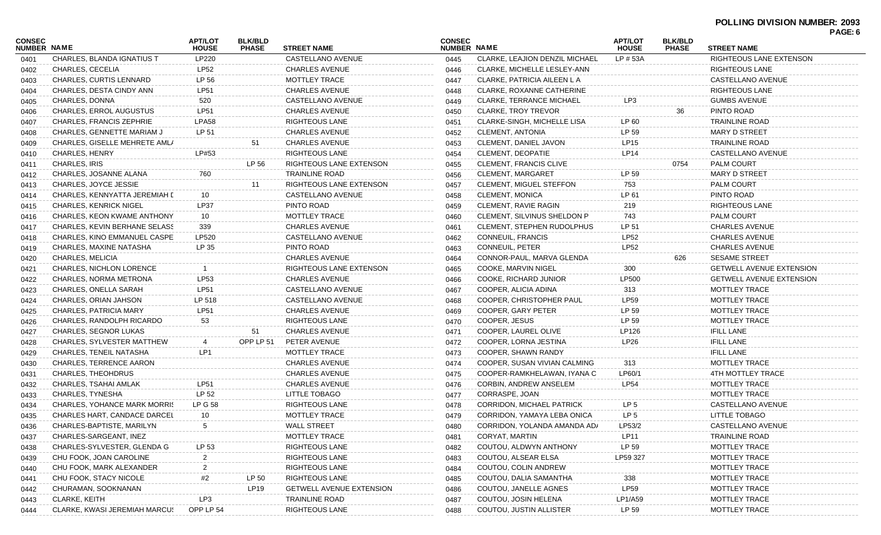|                              |                                      |                                |                                |                                 |                              |                                   |                                |                                |                                 | <b>FAGE.</b> 0 |
|------------------------------|--------------------------------------|--------------------------------|--------------------------------|---------------------------------|------------------------------|-----------------------------------|--------------------------------|--------------------------------|---------------------------------|----------------|
| CONSEC<br><b>NUMBER NAME</b> |                                      | <b>APT/LOT</b><br><b>HOUSE</b> | <b>BLK/BLD</b><br><b>PHASE</b> | <b>STREET NAME</b>              | <b>CONSEC</b><br>NUMBER NAME |                                   | <b>APT/LOT</b><br><b>HOUSE</b> | <b>BLK/BLD</b><br><b>PHASE</b> | <b>STREET NAME</b>              |                |
| 0401                         | CHARLES, BLANDA IGNATIUS T           | LP220                          |                                | CASTELLANO AVENUE               | 0445                         | CLARKE, LEAJION DENZIL MICHAEL    | LP # 53A                       |                                | RIGHTEOUS LANE EXTENSON         |                |
| 0402                         | CHARLES, CECELIA                     | <b>LP52</b>                    |                                | CHARLES AVENUE                  | 0446                         | CLARKE, MICHELLE LESLEY-ANN       |                                |                                | <b>RIGHTEOUS LANE</b>           |                |
| 0403                         | CHARLES, CURTIS LENNARD              | LP 56                          |                                | MOTTLEY TRACE                   | 0447                         | CLARKE, PATRICIA AILEEN L A       |                                |                                | CASTELLANO AVENUE               |                |
| 0404                         | CHARLES, DESTA CINDY ANN             | LP51                           |                                | CHARLES AVENUE                  | 0448                         | CLARKE, ROXANNE CATHERINE         |                                |                                | RIGHTEOUS LANE                  |                |
| 0405                         | CHARLES, DONNA                       | 520                            |                                | CASTELLANO AVENUE               | 0449                         | <b>CLARKE, TERRANCE MICHAEL</b>   | LP3                            |                                | <b>GUMBS AVENUE</b>             |                |
| 0406                         | CHARLES, ERROL AUGUSTUS              | LP51                           |                                | CHARLES AVENUE                  | 0450                         | CLARKE, TROY TREVOR               |                                | 36                             | PINTO ROAD                      |                |
| 0407                         | CHARLES, FRANCIS ZEPHRIE             | LPA58                          |                                | RIGHTEOUS LANE                  | 0451                         | CLARKE-SINGH, MICHELLE LISA       | LP 60                          |                                | <b>TRAINLINE ROAD</b>           |                |
| 0408                         | CHARLES, GENNETTE MARIAM J           | LP 51                          |                                | CHARLES AVENUE                  | 0452                         | <b>CLEMENT, ANTONIA</b>           | LP 59                          |                                | MARY D STREET                   |                |
| 0409                         | CHARLES, GISELLE MEHRETE AMLA        |                                | 51                             | <b>CHARLES AVENUE</b>           | 0453                         | CLEMENT, DANIEL JAVON             | LP15                           |                                | <b>TRAINLINE ROAD</b>           |                |
| 0410                         | <b>CHARLES, HENRY</b>                | LP#53                          |                                | <b>RIGHTEOUS LANE</b>           | 0454                         | CLEMENT, DEOPATIE                 | LP <sub>14</sub>               |                                | CASTELLANO AVENUE               |                |
| 0411                         | CHARLES, IRIS                        |                                | LP 56                          | RIGHTEOUS LANE EXTENSON         | 0455                         | CLEMENT, FRANCIS CLIVE            |                                | 0754                           | <b>PALM COURT</b>               |                |
| 0412                         | CHARLES, JOSANNE ALANA               | 760                            |                                | TRAINLINE ROAD                  | 0456                         | <b>CLEMENT, MARGARET</b>          | LP 59                          |                                | <b>MARY D STREET</b>            |                |
| 0413                         | CHARLES, JOYCE JESSIE                |                                | 11                             | RIGHTEOUS LANE EXTENSON         | 0457                         | <b>CLEMENT, MIGUEL STEFFON</b>    | 753                            |                                | <b>PALM COURT</b>               |                |
| 0414                         | CHARLES, KENNYATTA JEREMIAH [        | 10                             |                                | CASTELLANO AVENUE               | 0458                         | <b>CLEMENT, MONICA</b>            | LP 61                          |                                | PINTO ROAD                      |                |
| 0415                         | <b>CHARLES, KENRICK NIGEL</b>        | LP37                           |                                | PINTO ROAD                      | 0459                         | CLEMENT, RAVIE RAGIN              | 219                            |                                | RIGHTEOUS LANE                  |                |
| 0416                         | CHARLES, KEON KWAME ANTHONY          | 10                             |                                | MOTTLEY TRACE                   | 0460                         | CLEMENT, SILVINUS SHELDON P       | 743                            |                                | <b>PALM COURT</b>               |                |
| 0417                         | CHARLES, KEVIN BERHANE SELASS        | 339                            |                                | <b>CHARLES AVENUE</b>           | 0461                         | <b>CLEMENT, STEPHEN RUDOLPHUS</b> | LP 51                          |                                | <b>CHARLES AVENUE</b>           |                |
| 0418                         | CHARLES, KINO EMMANUEL CASPE         | LP520                          |                                | CASTELLANO AVENUE               | 0462                         | CONNEUIL, FRANCIS                 | <b>LP52</b>                    |                                | <b>CHARLES AVENUE</b>           |                |
| 0419                         | CHARLES, MAXINE NATASHA              | LP 35                          |                                | PINTO ROAD                      | 0463                         | CONNEUIL, PETER                   | LP52                           |                                | <b>CHARLES AVENUE</b>           |                |
| 0420                         | CHARLES, MELICIA                     |                                |                                | CHARLES AVENUE                  | 0464                         | CONNOR-PAUL, MARVA GLENDA         |                                | 626                            | <b>SESAME STREET</b>            |                |
| 0421                         | <b>CHARLES, NICHLON LORENCE</b>      |                                |                                | RIGHTEOUS LANE EXTENSON         | 0465                         | COOKE, MARVIN NIGEL               | 300                            |                                | <b>GETWELL AVENUE EXTENSION</b> |                |
| 0422                         | CHARLES, NORMA METRONA               | LP53                           |                                | CHARLES AVENUE                  | 0466                         | COOKE, RICHARD JUNIOR             | LP500                          |                                | <b>GETWELL AVENUE EXTENSION</b> |                |
| 0423                         | CHARLES, ONELLA SARAH                | LP51                           |                                | CASTELLANO AVENUE               | 0467                         | COOPER, ALICIA ADINA              | 313                            |                                | MOTTLEY TRACE                   |                |
| 0424                         | CHARLES, ORIAN JAHSON                | LP 518                         |                                | CASTELLANO AVENUE               | 0468                         | COOPER, CHRISTOPHER PAUL          | LP59                           |                                | MOTTLEY TRACE                   |                |
| 0425                         | CHARLES, PATRICIA MARY               | LP51                           |                                | <b>CHARLES AVENUE</b>           | 0469                         | COOPER, GARY PETER                | LP 59                          |                                | MOTTLEY TRACE                   |                |
| 0426                         | CHARLES, RANDOLPH RICARDO            | 53                             |                                | RIGHTEOUS LANE                  | 0470                         | COOPER, JESUS                     | LP 59                          |                                | MOTTLEY TRACE                   |                |
| 0427                         | CHARLES, SEGNOR LUKAS                |                                | 51                             | <b>CHARLES AVENUE</b>           | 0471                         | COOPER, LAUREL OLIVE              | LP126                          |                                | <b>IFILL LANE</b>               |                |
| 0428                         | CHARLES, SYLVESTER MATTHEW           | 4                              | OPP LP 51                      | PETER AVENUE                    | 0472                         | COOPER, LORNA JESTINA             | LP26                           |                                | <b>IFILL LANE</b>               |                |
| 0429                         | CHARLES, TENEIL NATASHA              | LP1                            |                                | MOTTLEY TRACE                   | 0473                         | COOPER, SHAWN RANDY               |                                |                                | <b>IFILL LANE</b>               |                |
| 0430                         | CHARLES, TERRENCE AARON              |                                |                                | CHARLES AVENUE                  | 0474                         | COOPER, SUSAN VIVIAN CALMING      | 313                            |                                | MOTTLEY TRACE                   |                |
| 0431                         | CHARLES, THEOHDRUS                   |                                |                                | CHARLES AVENUE                  | 0475                         | COOPER-RAMKHELAWAN, IYANA C       | LP60/1                         |                                | 4TH MOTTLEY TRACE               |                |
| 0432                         | CHARLES, TSAHAI AMLAK                | LP51                           |                                | <b>CHARLES AVENUE</b>           | 0476                         | <b>CORBIN, ANDREW ANSELEM</b>     | <b>LP54</b>                    |                                | MOTTLEY TRACE                   |                |
| 0433                         | CHARLES, TYNESHA                     | LP 52                          |                                | LITTLE TOBAGO                   | 0477                         | CORRASPE, JOAN                    |                                |                                | <b>MOTTLEY TRACE</b>            |                |
| 0434                         | <b>CHARLES, YOHANCE MARK MORRIS</b>  | LP G 58                        |                                | <b>RIGHTEOUS LANE</b>           | 0478                         | <b>CORRIDON, MICHAEL PATRICK</b>  | LP 5                           |                                | CASTELLANO AVENUE               |                |
| 0435                         | CHARLES HART, CANDACE DARCEL         | 10                             |                                | MOTTLEY TRACE                   | 0479                         | CORRIDON, YAMAYA LEBA ONICA       | LP 5                           |                                | LITTLE TOBAGO                   |                |
| 0436                         | CHARLES-BAPTISTE, MARILYN            |                                |                                | WALL STREET                     | 0480                         | CORRIDON, YOLANDA AMANDA AD/      | LP53/2                         |                                | CASTELLANO AVENUE               |                |
| 0437                         | CHARLES-SARGEANT, INEZ               |                                |                                | <b>MOTTLEY TRACE</b>            | 0481                         | CORYAT, MARTIN                    | LP11                           |                                | <b>TRAINLINE ROAD</b>           |                |
| 0438                         | CHARLES-SYLVESTER, GLENDA G          | LP 53                          |                                | RIGHTEOUS LANE                  | 0482                         | COUTOU, ALDWYN ANTHONY            | LP 59                          |                                | MOTTLEY TRACE                   |                |
| 0439                         | CHU FOOK, JOAN CAROLINE              | 2                              |                                | RIGHTEOUS LANE                  | 0483                         | COUTOU, ALSEAR ELSA               | LP59 327                       |                                | MOTTLEY TRACE                   |                |
| 0440                         | CHU FOOK, MARK ALEXANDER             | 2                              |                                | RIGHTEOUS LANE                  | 0484                         | COUTOU, COLIN ANDREW              |                                |                                | MOTTLEY TRACE                   |                |
| 0441                         | CHU FOOK, STACY NICOLE               | #2                             | LP 50                          | RIGHTEOUS LANE                  | 0485                         | COUTOU, DALIA SAMANTHA            | 338                            |                                | MOTTLEY TRACE                   |                |
| 0442                         | CHURAMAN, SOOKNANAN                  |                                | LP19                           | <b>GETWELL AVENUE EXTENSION</b> | 0486                         | COUTOU, JANELLE AGNES             | <b>LP59</b>                    |                                | MOTTLEY TRACE                   |                |
| 0443                         | <b>CLARKE, KEITH</b>                 | LP3                            |                                | TRAINLINE ROAD                  | 0487                         | COUTOU, JOSIN HELENA              | LP1/A59                        |                                | MOTTLEY TRACE                   |                |
| 0444                         | <b>CLARKE, KWASI JEREMIAH MARCUS</b> | OPP LP 54                      |                                | RIGHTEOUS LANE                  | 0488                         | COUTOU, JUSTIN ALLISTER           | LP 59                          |                                | MOTTLEY TRACE                   |                |
|                              |                                      |                                |                                |                                 |                              |                                   |                                |                                |                                 |                |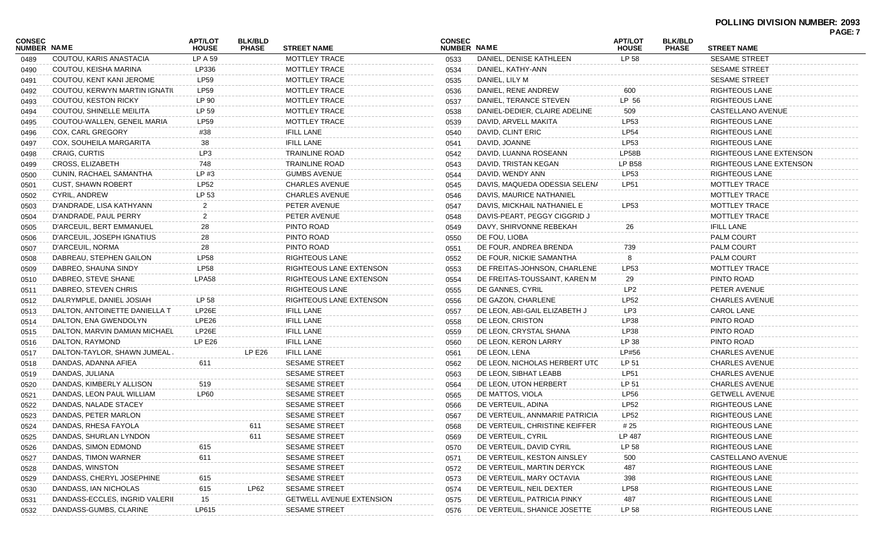## **POLLING DIVISION NUMBER: 2093**

| <b>CONSEC</b><br>NUMBER NAME |                                | <b>APT/LOT</b><br><b>HOUSE</b> | <b>BLK/BLD</b><br><b>PHASE</b> | <b>STREET NAME</b>              | <b>CONSEC</b><br><b>NUMBER NAME</b> |                                | <b>APT/LOT</b><br><b>HOUSE</b> | <b>BLK/BLD</b><br><b>PHASE</b> | <b>STREET NAME</b>      | г AGL. <i>I</i> |
|------------------------------|--------------------------------|--------------------------------|--------------------------------|---------------------------------|-------------------------------------|--------------------------------|--------------------------------|--------------------------------|-------------------------|-----------------|
| 0489                         | COUTOU, KARIS ANASTACIA        | LP A 59                        |                                | MOTTLEY TRACE                   | 0533                                | DANIEL, DENISE KATHLEEN        | LP 58                          |                                | <b>SESAME STREET</b>    |                 |
| 0490                         | COUTOU, KEISHA MARINA          | LP336                          |                                | MOTTLEY TRACE                   | 0534                                | DANIEL, KATHY-ANN              |                                |                                | <b>SESAME STREET</b>    |                 |
| 0491                         | COUTOU, KENT KANI JEROME       | <b>LP59</b>                    |                                | MOTTLEY TRACE                   | 0535                                | DANIEL, LILY M                 |                                |                                | <b>SESAME STREET</b>    |                 |
| 0492                         | COUTOU, KERWYN MARTIN IGNATIL  | <b>LP59</b>                    |                                | <b>MOTTLEY TRACE</b>            | 0536                                | DANIEL, RENE ANDREW            | 600                            |                                | RIGHTEOUS LANE          |                 |
| 0493                         | COUTOU, KESTON RICKY           | LP 90                          |                                | MOTTLEY TRACE                   | 0537                                | DANIEL, TERANCE STEVEN         | LP 56                          |                                | RIGHTEOUS LANE          |                 |
| 0494                         | COUTOU, SHINELLE MEILITA       | LP 59                          |                                | MOTTLEY TRACE                   | 0538                                | DANIEL-DEDIER, CLAIRE ADELINE  | 509                            |                                | CASTELLANO AVENUE       |                 |
| 0495                         | COUTOU-WALLEN, GENEIL MARIA    | <b>LP59</b>                    |                                | <b>MOTTLEY TRACE</b>            | 0539                                | DAVID, ARVELL MAKITA           | LP53                           |                                | RIGHTEOUS LANE          |                 |
| 0496                         | <b>COX, CARL GREGORY</b>       | #38                            |                                | <b>IFILL LANE</b>               | 0540                                | DAVID, CLINT ERIC              | <b>LP54</b>                    |                                | RIGHTEOUS LANE          |                 |
| 0497                         | COX, SOUHEILA MARGARITA        | 38                             |                                | <b>IFILL LANE</b>               | 0541                                | DAVID, JOANNE                  | LP53                           |                                | RIGHTEOUS LANE          |                 |
| 0498                         | <b>CRAIG, CURTIS</b>           | LP3                            |                                | TRAINLINE ROAD                  | 0542                                | DAVID, LUANNA ROSEANN          | LP58B                          |                                | RIGHTEOUS LANE EXTENSON |                 |
| 0499                         | CROSS, ELIZABETH               | 748                            |                                | TRAINLINE ROAD                  | 0543                                | DAVID, TRISTAN KEGAN           | <b>LP B58</b>                  |                                | RIGHTEOUS LANE EXTENSON |                 |
| 0500                         | CUNIN, RACHAEL SAMANTHA        | LP#3                           |                                | <b>GUMBS AVENUE</b>             | 0544                                | DAVID, WENDY ANN               | <b>LP53</b>                    |                                | RIGHTEOUS LANE          |                 |
| 0501                         | <b>CUST, SHAWN ROBERT</b>      | <b>LP52</b>                    |                                | <b>CHARLES AVENUE</b>           | 0545                                | DAVIS, MAQUEDA ODESSIA SELENA  | LP51                           |                                | MOTTLEY TRACE           |                 |
| 0502                         | CYRIL, ANDREW                  | LP 53                          |                                | <b>CHARLES AVENUE</b>           | 0546                                | DAVIS, MAURICE NATHANIEL       |                                |                                | MOTTLEY TRACE           |                 |
| 0503                         | D'ANDRADE, LISA KATHYANN       |                                |                                | PETER AVENUE                    | 0547                                | DAVIS, MICKHAIL NATHANIEL E    | LP53                           |                                | MOTTLEY TRACE           |                 |
| 0504                         | D'ANDRADE, PAUL PERRY          |                                |                                | PETER AVENUE                    | 0548                                | DAVIS-PEART, PEGGY CIGGRID J   |                                |                                | MOTTLEY TRACE           |                 |
| 0505                         | D'ARCEUIL, BERT EMMANUEL       | 28                             |                                | PINTO ROAD                      | 0549                                | DAVY, SHIRVONNE REBEKAH        | 26                             |                                | <b>IFILL LANE</b>       |                 |
| 0506                         | D'ARCEUIL, JOSEPH IGNATIUS     | 28                             |                                | PINTO ROAD                      | 0550                                | DE FOU, LIOBA                  |                                |                                | <b>PALM COURT</b>       |                 |
| 0507                         | D'ARCEUIL, NORMA               | 28                             |                                | PINTO ROAD                      | 0551                                | DE FOUR, ANDREA BRENDA         | 739                            |                                | PALM COURT              |                 |
| 0508                         | DABREAU, STEPHEN GAILON        | <b>LP58</b>                    |                                | RIGHTEOUS LANE                  | 0552                                | DE FOUR, NICKIE SAMANTHA       |                                |                                | <b>PALM COURT</b>       |                 |
| 0509                         | DABREO, SHAUNA SINDY           | <b>LP58</b>                    |                                | RIGHTEOUS LANE EXTENSON         | 0553                                | DE FREITAS-JOHNSON, CHARLENE   | LP53                           |                                | MOTTLEY TRACE           |                 |
| 0510                         | DABREO, STEVE SHANE            | <b>LPA58</b>                   |                                | RIGHTEOUS LANE EXTENSON         | 0554                                | DE FREITAS-TOUSSAINT, KAREN M  | 29                             |                                | PINTO ROAD              |                 |
| 0511                         | DABREO, STEVEN CHRIS           |                                |                                | RIGHTEOUS LANE                  | 0555                                | DE GANNES, CYRIL               | LP2                            |                                | PETER AVENUE            |                 |
| 0512                         | DALRYMPLE, DANIEL JOSIAH       | LP 58                          |                                | RIGHTEOUS LANE EXTENSON         | 0556                                | DE GAZON, CHARLENE             | <b>LP52</b>                    |                                | <b>CHARLES AVENUE</b>   |                 |
| 0513                         | DALTON, ANTOINETTE DANIELLA T  | LP26E                          |                                | <b>IFILL LANE</b>               | 0557                                | DE LEON, ABI-GAIL ELIZABETH J  | LP3                            |                                | CAROL LANE              |                 |
| 0514                         | DALTON, ENA GWENDOLYN          | LPE26                          |                                | <b>IFILL LANE</b>               | 0558                                | DE LEON, CRISTON               | LP38                           |                                | PINTO ROAD              |                 |
| 0515                         | DALTON, MARVIN DAMIAN MICHAEL  | LP26E                          |                                | <b>IFILL LANE</b>               | 0559                                | DE LEON, CRYSTAL SHANA         | LP38                           |                                | PINTO ROAD              |                 |
| 0516                         | DALTON, RAYMOND                | <b>LP E26</b>                  |                                | <b>IFILL LANE</b>               | 0560                                | DE LEON, KERON LARRY           | LP 38                          |                                | PINTO ROAD              |                 |
| 0517                         | DALTON-TAYLOR, SHAWN JUMEAL.   |                                | LPE26                          | IFILL LANE                      | 0561                                | DE LEON, LENA                  | LP#56                          |                                | <b>CHARLES AVENUE</b>   |                 |
| 0518                         | DANDAS, ADANNA AFIEA           | 611                            |                                | <b>SESAME STREET</b>            | 0562                                | DE LEON, NICHOLAS HERBERT UTC  | LP 51                          |                                | <b>CHARLES AVENUE</b>   |                 |
| 0519                         | DANDAS, JULIANA                |                                |                                | <b>SESAME STREET</b>            | 0563                                | DE LEON, SIBHAT LEABB          | LP51                           |                                | <b>CHARLES AVENUE</b>   |                 |
| 0520                         | DANDAS, KIMBERLY ALLISON       | 519                            |                                | SESAME STREET                   | 0564                                | DE LEON, UTON HERBERT          | LP 51                          |                                | <b>CHARLES AVENUE</b>   |                 |
| 0521                         | DANDAS, LEON PAUL WILLIAM      | LP60                           |                                | <b>SESAME STREET</b>            | 0565                                | DE MATTOS, VIOLA               | <b>LP56</b>                    |                                | <b>GETWELL AVENUE</b>   |                 |
| 0522                         | DANDAS, NALADE STACEY          |                                |                                | SESAME STREET                   | 0566                                | DE VERTEUIL, ADINA             | LP52                           |                                | RIGHTEOUS LANE          |                 |
| 0523                         | DANDAS, PETER MARLON           |                                |                                | <b>SESAME STREET</b>            | 0567                                | DE VERTEUIL, ANNMARIE PATRICIA | LP52                           |                                | RIGHTEOUS LANE          |                 |
| 0524                         | DANDAS, RHESA FAYOLA           |                                |                                | SESAME STREET                   | 0568                                | DE VERTEUIL, CHRISTINE KEIFFER | # 25                           |                                | RIGHTEOUS LANE          |                 |
| 0525                         | DANDAS, SHURLAN LYNDON         |                                | <b>DII</b><br>611              | <b>SESAME STREET</b>            | 0569                                | DE VERTEUIL, CYRIL             | LP 487                         |                                | RIGHTEOUS LANE          |                 |
|                              | DANDAS, SIMON EDMOND           | 615                            |                                | <b>SESAME STREET</b>            |                                     | DE VERTEUIL, DAVID CYRIL       | LP 58                          |                                | RIGHTEOUS LANE          |                 |
| 0526                         | DANDAS, TIMON WARNER           | 611                            |                                | <b>SESAME STREET</b>            | 0570                                | DE VERTEUIL, KESTON AINSLEY    |                                |                                | CASTELLANO AVENUE       |                 |
| 0527                         | DANDAS, WINSTON                |                                |                                | <b>SESAME STREET</b>            | 0571                                | DE VERTEUIL, MARTIN DERYCK     | 500                            |                                | RIGHTEOUS LANE          |                 |
| 0528                         |                                |                                |                                |                                 | 0572                                | DE VERTEUIL, MARY OCTAVIA      | 487                            |                                |                         |                 |
| 0529                         | DANDASS, CHERYL JOSEPHINE      | 615                            |                                | <b>SESAME STREET</b>            | 0573                                |                                | 398                            |                                | RIGHTEOUS LANE          |                 |
| 0530                         | DANDASS, IAN NICHOLAS          | 615                            | LP62                           | <b>SESAME STREET</b>            | 0574                                | DE VERTEUIL, NEIL DEXTER       | LP58                           |                                | RIGHTEOUS LANE          |                 |
| 0531                         | DANDASS-ECCLES, INGRID VALERII | 15                             |                                | <b>GETWELL AVENUE EXTENSION</b> | 0575                                | DE VERTEUIL, PATRICIA PINKY    | 487                            |                                | RIGHTEOUS LANE          |                 |
| 0532                         | DANDASS-GUMBS, CLARINE         | LP615                          |                                | <b>SESAME STREET</b>            | 0576                                | DE VERTEUIL, SHANICE JOSETTE   | LP 58                          |                                | RIGHTEOUS LANE          |                 |

**PAGE: 7**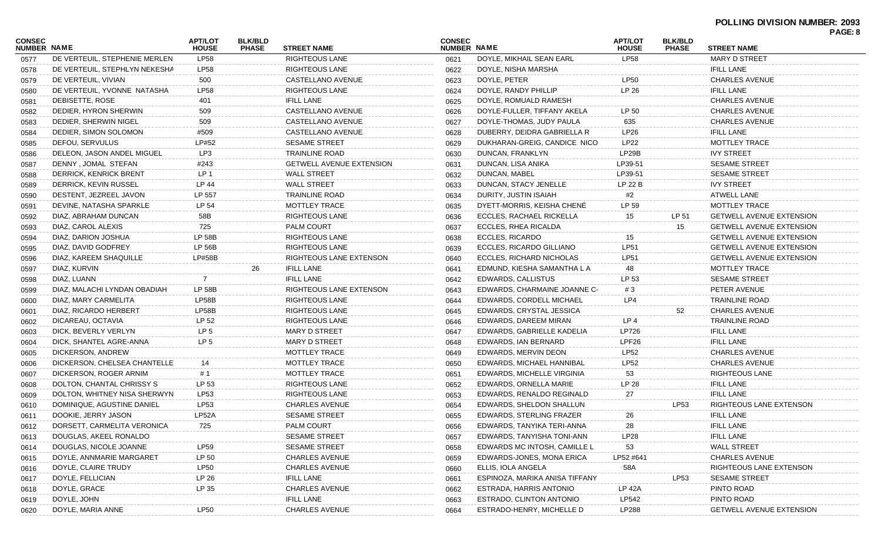| <b>CONSEC</b> |                               | APT/LOT         | <b>BLK/BLD</b> |                                 | <b>CONSEC</b> |                                | <b>APT/LOT</b> | <b>BLK/BLD</b> |                                 | PAGE: 8 |
|---------------|-------------------------------|-----------------|----------------|---------------------------------|---------------|--------------------------------|----------------|----------------|---------------------------------|---------|
| NUMBER NAME   |                               | <b>HOUSE</b>    | <b>PHASE</b>   | <b>STREET NAME</b>              | NUMBER NAME   |                                | <b>HOUSE</b>   | <b>PHASE</b>   | <b>STREET NAME</b>              |         |
| 0577          | DE VERTEUIL, STEPHENIE MERLEN | <b>LP58</b>     |                | <b>RIGHTEOUS LANE</b>           | 0621          | DOYLE, MIKHAIL SEAN EARL       | <b>LP58</b>    |                | <b>MARY D STREET</b>            |         |
| 0578          | DE VERTEUIL, STEPHLYN NEKESHA | LP58            |                | RIGHTEOUS LANE                  | 0622          | DOYLE, NISHA MARSHA            |                |                | <b>IFILL LANE</b>               |         |
| 0579          | DE VERTEUIL, VIVIAN           | 500             |                | CASTELLANO AVENUE               | 0623          | DOYLE, PETER                   | <b>LP50</b>    |                | <b>CHARLES AVENUE</b>           |         |
| 0580          | DE VERTEUIL, YVONNE NATASHA   | <b>LP58</b>     |                | <b>RIGHTEOUS LANE</b>           | 0624          | DOYLE, RANDY PHILLIP           | LP 26          |                | <b>IFILL LANE</b>               |         |
| 0581          | DEBISETTE, ROSE               | 401             |                | <b>IFILL LANE</b>               | 0625          | DOYLE, ROMUALD RAMESH          |                |                | <b>CHARLES AVENUE</b>           |         |
| 0582          | DEDIER, HYRON SHERWIN         | 509             |                | CASTELLANO AVENUE               | 0626          | DOYLE-FULLER, TIFFANY AKELA    | LP 50          |                | <b>CHARLES AVENUE</b>           |         |
| 0583          | DEDIER, SHERWIN NIGEL         | 509             |                | CASTELLANO AVENUE               | 0627          | DOYLE-THOMAS, JUDY PAULA       | 635            |                | <b>CHARLES AVENUE</b>           |         |
| 0584          | DEDIER, SIMON SOLOMON         | #509            |                | CASTELLANO AVENUE               | 0628          | DUBERRY, DEIDRA GABRIELLA R    | <b>LP26</b>    |                | <b>IFILL LANE</b>               |         |
| 0585          | DEFOU, SERVULUS               | LP#52           |                | <b>SESAME STREET</b>            | 0629          | DUKHARAN-GREIG, CANDICE NICO   | <b>LP22</b>    |                | <b>MOTTLEY TRACE</b>            |         |
| 0586          | DELEON, JASON ANDEL MIGUEL    | LP3             |                | <b>TRAINLINE ROAD</b>           | 0630          | DUNCAN, FRANKLYN               | LP29B          |                | <b>IVY STREET</b>               |         |
| 0587          | DENNY, JOMAL STEFAN           | #243            |                | <b>GETWELL AVENUE EXTENSION</b> | 0631          | DUNCAN, LISA ANIKA             | LP39-51        |                | <b>SESAME STREET</b>            |         |
| 0588          | DERRICK, KENRICK BRENT        | LP 1            |                | <b>WALL STREET</b>              | 0632          | DUNCAN, MABEL                  | LP39-51        |                | <b>SESAME STREET</b>            |         |
| 0589          | DERRICK, KEVIN RUSSEL         | LP 44           |                | <b>WALL STREET</b>              | 0633          | DUNCAN, STACY JENELLE          | LP 22 B        |                | <b>IVY STREET</b>               |         |
| 0590          | DESTENT, JEZREEL JAVON        | LP 557          |                | <b>TRAINLINE ROAD</b>           | 0634          | DURITY, JUSTIN ISAIAH          | #2             |                | <b>ATWELL LANE</b>              |         |
| 0591          | DEVINE, NATASHA SPARKLE       | LP 54           |                | <b>MOTTLEY TRACE</b>            | 0635          | DYETT-MORRIS, KEISHA CHENE     | LP 59          |                | <b>MOTTLEY TRACE</b>            |         |
| 0592          | DIAZ, ABRAHAM DUNCAN          | 58B             |                | <b>RIGHTEOUS LANE</b>           | 0636          | ECCLES, RACHAEL RICKELLA       | 15             | LP 51          | <b>GETWELL AVENUE EXTENSION</b> |         |
| 0593          | DIAZ, CAROL ALEXIS            | 725             |                | <b>PALM COURT</b>               | 0637          | ECCLES, RHEA RICALDA           |                | 15             | <b>GETWELL AVENUE EXTENSION</b> |         |
| 0594          | DIAZ, DARION JOSHUA           | <b>LP 58B</b>   |                | <b>RIGHTEOUS LANE</b>           | 0638          | <b>ECCLES, RICARDO</b>         | 15             |                | <b>GETWELL AVENUE EXTENSION</b> |         |
| 0595          | DIAZ, DAVID GODFREY           | <b>LP 56B</b>   |                | RIGHTEOUS LANE                  | 0639          | ECCLES, RICARDO GILLIANO       | <b>LP51</b>    |                | <b>GETWELL AVENUE EXTENSION</b> |         |
| 0596          | DIAZ, KAREEM SHAQUILLE        | LP#58B          |                | RIGHTEOUS LANE EXTENSON         | 0640          | ECCLES. RICHARD NICHOLAS       | <b>LP51</b>    |                | <b>GETWELL AVENUE EXTENSION</b> |         |
| 0597          | DIAZ, KURVIN                  |                 | 26             | <b>IFILL LANE</b>               | 0641          | EDMUND, KIESHA SAMANTHA L A    | 48             |                | MOTTLEY TRACE                   |         |
| 0598          | DIAZ, LUANN                   | 7               |                | <b>IFILL LANE</b>               | 0642          | EDWARDS, CALLISTUS             | LP 53          |                | <b>SESAME STREET</b>            |         |
| 0599          | DIAZ, MALACHI LYNDAN OBADIAH  | <b>LP 58B</b>   |                | RIGHTEOUS LANE EXTENSON         | 0643          | EDWARDS, CHARMAINE JOANNE C-   | #3             |                | PETER AVENUE                    |         |
| 0600          | DIAZ, MARY CARMELITA          | LP58B           |                | RIGHTEOUS LANE                  | 0644          | EDWARDS, CORDELL MICHAEL       | LP4            |                | <b>TRAINLINE ROAD</b>           |         |
| 0601          | DIAZ, RICARDO HERBERT         | LP58B           |                | RIGHTEOUS LANE                  | 0645          | EDWARDS, CRYSTAL JESSICA       |                | 52             | <b>CHARLES AVENUE</b>           |         |
| 0602          | DICAREAU, OCTAVIA             | LP 52           |                | RIGHTEOUS LANE                  | 0646          | EDWARDS, DAREEM MIRAN          | LP 4           |                | <b>TRAINLINE ROAD</b>           |         |
| 0603          | DICK, BEVERLY VERLYN          | LP <sub>5</sub> |                | MARY D STREET                   | 0647          | EDWARDS, GABRIELLE KADELIA     | LP726          |                | <b>IFILL LANE</b>               |         |
| 0604          | DICK, SHANTEL AGRE-ANNA       | LP <sub>5</sub> |                | MARY D STREET                   | 0648          | EDWARDS, IAN BERNARD           | LPF26          |                | <b>IFILL LANE</b>               |         |
| 0605          | DICKERSON, ANDREW             |                 |                | <b>MOTTLEY TRACE</b>            | 0649          | EDWARDS, MERVIN DEON           | <b>LP52</b>    |                | <b>CHARLES AVENUE</b>           |         |
| 0606          | DICKERSON, CHELSEA CHANTELLE  | 14              |                | <b>MOTTLEY TRACE</b>            | 0650          | EDWARDS, MICHAEL HANNIBAL      | <b>LP52</b>    |                | <b>CHARLES AVENUE</b>           |         |
| 0607          | DICKERSON, ROGER ARNIM        | # 1             |                | MOTTLEY TRACE                   | 0651          | EDWARDS, MICHELLE VIRGINIA     | 53             |                | <b>RIGHTEOUS LANE</b>           |         |
| 0608          | DOLTON, CHANTAL CHRISSY S     | LP 53           |                | <b>RIGHTEOUS LANE</b>           | 0652          | EDWARDS, ORNELLA MARIE         | LP 28          |                | <b>IFILL LANE</b>               |         |
| 0609          | DOLTON, WHITNEY NISA SHERWYN  | LP53            |                | RIGHTEOUS LANE                  | 0653          | EDWARDS, RENALDO REGINALD      | 27             |                | <b>IFILL LANE</b>               |         |
| 0610          | DOMINIQUE, AGUSTINE DANIEL    | LP53            |                | CHARLES AVENUE                  | 0654          | EDWARDS, SHELDON SHALLUN       |                | LP53           | RIGHTEOUS LANE EXTENSON         |         |
| 0611          | DOOKIE, JERRY JASON           | LP52A           |                | <b>SESAME STREET</b>            | 0655          | EDWARDS, STERLING FRAZER       | 26             |                | <b>IFILL LANE</b>               |         |
| 0612          | DORSETT, CARMELITA VERONICA   | 725             |                | PALM COURT                      | 0656          | EDWARDS, TANYIKA TERI-ANNA     | 28             |                | <b>IFILL LANE</b>               |         |
| 0613          | DOUGLAS, AKEEL RONALDO        |                 |                | <b>SESAME STREET</b>            | 0657          | EDWARDS, TANYISHA TONI-ANN     | LP28           |                | <b>IFILL LANE</b>               |         |
| 0614          | DOUGLAS, NICOLE JOANNE        | LP59            |                | <b>SESAME STREET</b>            | 0658          | EDWARDS MC INTOSH, CAMILLE L   | 53             |                | <b>WALL STREET</b>              |         |
| 0615          | DOYLE, ANNMARIE MARGARET      | LP 50           |                | <b>CHARLES AVENUE</b>           | 0659          | EDWARDS-JONES, MONA ERICA      | LP52 #641      |                | <b>CHARLES AVENUE</b>           |         |
| 0616          | DOYLE, CLAIRE TRUDY           | <b>LP50</b>     |                | <b>CHARLES AVENUE</b>           | 0660          | ELLIS, IOLA ANGELA             | 58A            |                | RIGHTEOUS LANE EXTENSON         |         |
|               | DOYLE, FELLICIAN              | LP 26           |                | <b>IFILL LANE</b>               |               | ESPINOZA, MARIKA ANISA TIFFANY |                | LP53           | <b>SESAME STREET</b>            |         |
| 0617          | DOYLE, GRACE                  | LP 35           |                | <b>CHARLES AVENUE</b>           | 0661          | ESTRADA, HARRIS ANTONIO        | <b>LP 42A</b>  |                | PINTO ROAD                      |         |
| 0618          | DOYLE, JOHN                   |                 |                | <b>IFILL LANE</b>               | 0662          | ESTRADO, CLINTON ANTONIO       | LP542          |                | PINTO ROAD                      |         |
| 0619          |                               |                 |                | <b>CHARLES AVENUE</b>           | 0663          |                                | LP288          |                | <b>GETWELL AVENUE EXTENSION</b> |         |
| 0620          | DOYLE, MARIA ANNE             | <b>LP50</b>     |                |                                 | 0664          | ESTRADO-HENRY, MICHELLE D      |                |                |                                 |         |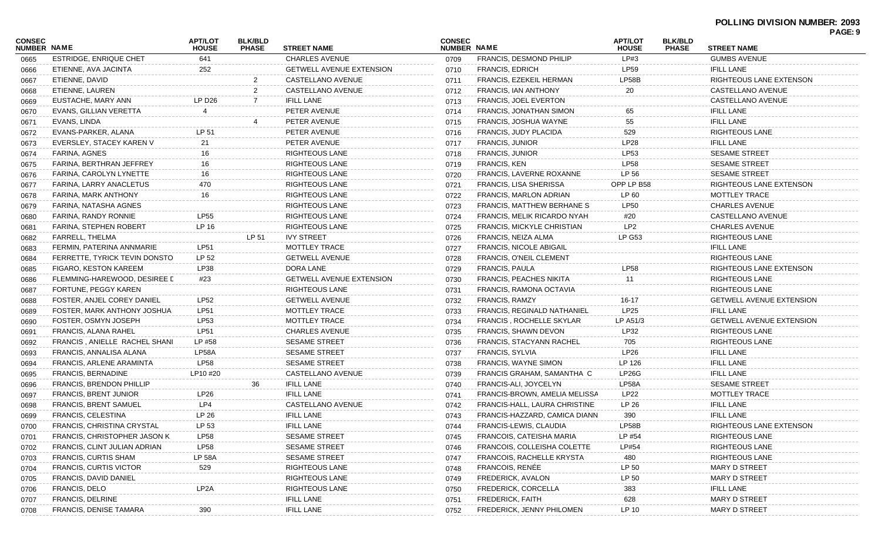| <b>CONSEC</b><br>NUMBER NAME |                                     | <b>APT/LOT</b><br><b>HOUSE</b> | <b>BLK/BLD</b><br><b>PHASE</b> | <b>STREET NAME</b>              | <b>CONSEC</b><br>NUMBER NAME |                                    | <b>APT/LOT</b><br><b>HOUSE</b> | <b>BLK/BLD</b><br><b>PHASE</b> | <b>STREET NAME</b>              | PAGE: 9 |
|------------------------------|-------------------------------------|--------------------------------|--------------------------------|---------------------------------|------------------------------|------------------------------------|--------------------------------|--------------------------------|---------------------------------|---------|
| 0665                         | <b>ESTRIDGE, ENRIQUE CHET</b>       | 641                            |                                | <b>CHARLES AVENUE</b>           | 0709                         | <b>FRANCIS, DESMOND PHILIP</b>     | LP#3                           |                                | <b>GUMBS AVENUE</b>             |         |
| 0666                         | ETIENNE, AVA JACINTA                | 252                            |                                | <b>GETWELL AVENUE EXTENSION</b> | 0710                         | <b>FRANCIS, EDRICH</b>             | <b>LP59</b>                    |                                | <b>IFILL LANE</b>               |         |
| 0667                         | ETIENNE, DAVID                      |                                | 2                              | CASTELLANO AVENUE               | 0711                         | <b>FRANCIS, EZEKEIL HERMAN</b>     | LP58B                          |                                | RIGHTEOUS LANE EXTENSON         |         |
| 0668                         | ETIENNE, LAUREN                     |                                | 2                              | CASTELLANO AVENUE               | 0712                         | FRANCIS, IAN ANTHONY               | 20                             |                                | CASTELLANO AVENUE               |         |
| 0669                         | EUSTACHE, MARY ANN                  | LP D26                         |                                | <b>IFILL LANE</b>               | 0713                         | <b>FRANCIS, JOEL EVERTON</b>       |                                |                                | CASTELLANO AVENUE               |         |
| 0670                         | EVANS, GILLIAN VERETTA              | 4                              |                                | PETER AVENUE                    | 0714                         | FRANCIS, JONATHAN SIMON            | 65                             |                                | <b>IFILL LANE</b>               |         |
| 0671                         | EVANS, LINDA                        |                                |                                | PETER AVENUE                    | 0715                         | <b>FRANCIS, JOSHUA WAYNE</b>       | 55                             |                                | <b>IFILL LANE</b>               |         |
| 0672                         | EVANS-PARKER, ALANA                 | LP 51                          |                                | PETER AVENUE                    | 0716                         | FRANCIS, JUDY PLACIDA              | 529                            |                                | <b>RIGHTEOUS LANE</b>           |         |
| 0673                         | EVERSLEY, STACEY KAREN V            | 21                             |                                | PETER AVENUE                    | 0717                         | <b>FRANCIS, JUNIOR</b>             | <b>LP28</b>                    |                                | <b>IFILL LANE</b>               |         |
| 0674                         | <b>FARINA, AGNES</b>                | 16                             |                                | <b>RIGHTEOUS LANE</b>           | 0718                         | <b>FRANCIS, JUNIOR</b>             | LP53                           |                                | <b>SESAME STREET</b>            |         |
| 0675                         | FARINA, BERTHRAN JEFFREY            | 16                             |                                | <b>RIGHTEOUS LANE</b>           | 0719                         | <b>FRANCIS, KEN</b>                | <b>LP58</b>                    |                                | <b>SESAME STREET</b>            |         |
| 0676                         | FARINA, CAROLYN LYNETTE             | 16                             |                                | <b>RIGHTEOUS LANE</b>           | 0720                         | FRANCIS, LAVERNE ROXANNE           | LP 56                          |                                | <b>SESAME STREET</b>            |         |
| 0677                         | FARINA, LARRY ANACLETUS             | 470                            |                                | <b>RIGHTEOUS LANE</b>           | 0721                         | FRANCIS, LISA SHERISSA             | OPP LP B58                     |                                | RIGHTEOUS LANE EXTENSON         |         |
| 0678                         | FARINA, MARK ANTHONY                | 16                             |                                | <b>RIGHTEOUS LANE</b>           | 0722                         | FRANCIS, MARLON ADRIAN             | LP 60                          |                                | MOTTLEY TRACE                   |         |
| 0679                         | FARINA, NATASHA AGNES               |                                |                                | <b>RIGHTEOUS LANE</b>           | 0723                         | <b>FRANCIS, MATTHEW BERHANE S</b>  | <b>LP50</b>                    |                                | <b>CHARLES AVENUE</b>           |         |
| 0680                         | FARINA, RANDY RONNIE                | <b>LP55</b>                    |                                | <b>RIGHTEOUS LANE</b>           | 0724                         | FRANCIS, MELIK RICARDO NYAH        | #20                            |                                | CASTELLANO AVENUE               |         |
| 0681                         | FARINA, STEPHEN ROBERT              | LP 16                          |                                | <b>RIGHTEOUS LANE</b>           | 0725                         | FRANCIS, MICKYLE CHRISTIAN         | LP <sub>2</sub>                |                                | <b>CHARLES AVENUE</b>           |         |
| 0682                         | FARRELL, THELMA                     |                                | LP 51                          | <b>IVY STREET</b>               | 0726                         | FRANCIS, NEIZA ALMA                | <b>LP G53</b>                  |                                | RIGHTEOUS LANE                  |         |
| 0683                         | FERMIN, PATERINA ANNMARIE           | <b>LP51</b>                    |                                | <b>MOTTLEY TRACE</b>            | 0727                         | FRANCIS, NICOLE ABIGAIL            |                                |                                | <b>IFILL LANE</b>               |         |
| 0684                         | FERRETTE, TYRICK TEVIN DONSTO       | LP 52                          |                                | <b>GETWELL AVENUE</b>           | 0728                         | <b>FRANCIS, O'NEIL CLEMENT</b>     |                                |                                | RIGHTEOUS LANE                  |         |
| 0685                         | FIGARO, KESTON KAREEM               | LP38                           |                                | DORA LANE                       | 0729                         | <b>FRANCIS, PAULA</b>              | <b>LP58</b>                    |                                | RIGHTEOUS LANE EXTENSON         |         |
| 0686                         | FLEMMING-HAREWOOD, DESIREE L        | #23                            |                                | <b>GETWELL AVENUE EXTENSION</b> | 0730                         | <b>FRANCIS, PEACHES NIKITA</b>     | 11                             |                                | <b>RIGHTEOUS LANE</b>           |         |
| 0687                         | FORTUNE, PEGGY KAREN                |                                |                                | <b>RIGHTEOUS LANE</b>           | 0731                         | FRANCIS, RAMONA OCTAVIA            |                                |                                | RIGHTEOUS LANE                  |         |
| 0688                         | FOSTER, ANJEL COREY DANIEL          | <b>LP52</b>                    |                                | <b>GETWELL AVENUE</b>           | 0732                         | <b>FRANCIS, RAMZY</b>              | 16-17                          |                                | <b>GETWELL AVENUE EXTENSION</b> |         |
| 0689                         | FOSTER, MARK ANTHONY JOSHUA         | <b>LP51</b>                    |                                | MOTTLEY TRACE                   | 0733                         | <b>FRANCIS, REGINALD NATHANIEL</b> | <b>LP25</b>                    |                                | <b>IFILL LANE</b>               |         |
| 0690                         | FOSTER, OSMYN JOSEPH                | LP53                           |                                | <b>MOTTLEY TRACE</b>            | 0734                         | <b>FRANCIS, ROCHELLE SKYLAR</b>    | LP A51/3                       |                                | <b>GETWELL AVENUE EXTENSION</b> |         |
| 0691                         | FRANCIS, ALANA RAHEL                | LP51                           |                                | <b>CHARLES AVENUE</b>           | 0735                         | FRANCIS, SHAWN DEVON               | LP32                           |                                | RIGHTEOUS LANE                  |         |
| 0692                         | FRANCIS, ANIELLE RACHEL SHANI       | LP #58                         |                                | <b>SESAME STREET</b>            | 0736                         | FRANCIS, STACYANN RACHEL           | 705                            |                                | RIGHTEOUS LANE                  |         |
| 0693                         | FRANCIS, ANNALISA ALANA             | LP58A                          |                                | <b>SESAME STREET</b>            | 0737                         | <b>FRANCIS, SYLVIA</b>             | LP26                           |                                | <b>IFILL LANE</b>               |         |
| 0694                         | FRANCIS, ARLENE ARAMINTA            | <b>LP58</b>                    |                                | SESAME STREET                   | 0738                         | <b>FRANCIS, WAYNE SIMON</b>        | LP 126                         |                                | <b>IFILL LANE</b>               |         |
| 0695                         | <b>FRANCIS, BERNADINE</b>           | LP10 #20                       |                                | CASTELLANO AVENUE               | 0739                         | FRANCIS GRAHAM, SAMANTHA C         | LP26G                          |                                | <b>IFILL LANE</b>               |         |
| 0696                         | <b>FRANCIS, BRENDON PHILLIP</b>     |                                | 36                             | <b>IFILL LANE</b>               | 0740                         | FRANCIS-ALI, JOYCELYN              | LP58A                          |                                | <b>SESAME STREET</b>            |         |
| 0697                         | <b>FRANCIS, BRENT JUNIOR</b>        | LP <sub>26</sub>               |                                | <b>IFILL LANE</b>               | 0741                         | FRANCIS-BROWN, AMELIA MELISSA      | LP22                           |                                | <b>MOTTLEY TRACE</b>            |         |
| 0698                         | <b>FRANCIS, BRENT SAMUEL</b>        | LP4                            |                                | CASTELLANO AVENUE               | 0742                         | FRANCIS-HALL, LAURA CHRISTINE      | LP 26                          |                                | <b>IFILL LANE</b>               |         |
| 0699                         | <b>FRANCIS, CELESTINA</b>           | LP 26                          |                                | <b>IFILL LANE</b>               | 0743                         | FRANCIS-HAZZARD, CAMICA DIANN      | 390                            |                                | <b>IFILL LANE</b>               |         |
| 0700                         | FRANCIS, CHRISTINA CRYSTAL          | LP 53                          |                                | <b>IFILL LANE</b>               | 0744                         | FRANCIS-LEWIS, CLAUDIA             | LP58B                          |                                | RIGHTEOUS LANE EXTENSON         |         |
| 0701                         | <b>FRANCIS, CHRISTOPHER JASON K</b> | <b>LP58</b>                    |                                | <b>SESAME STREET</b>            | 0745                         | FRANCOIS, CATEISHA MARIA           | LP #54                         |                                | <b>RIGHTEOUS LANE</b>           |         |
| 0702                         | FRANCIS, CLINT JULIAN ADRIAN        | <b>LP58</b>                    |                                | <b>SESAME STREET</b>            | 0746                         | FRANCOIS, COLLEISHA COLETTE        | LP#54                          |                                | <b>RIGHTEOUS LANE</b>           |         |
| 0703                         | <b>FRANCIS, CURTIS SHAM</b>         | <b>LP 58A</b>                  |                                | <b>SESAME STREET</b>            | 0747                         | <b>FRANCOIS, RACHELLE KRYSTA</b>   | 480                            |                                | <b>RIGHTEOUS LANE</b>           |         |
| 0704                         | <b>FRANCIS, CURTIS VICTOR</b>       | 529                            |                                | RIGHTEOUS LANE                  | 0748                         | FRANCOIS, RENÉE                    | LP 50                          |                                | <b>MARY D STREET</b>            |         |
| 0705                         | <b>FRANCIS, DAVID DANIEL</b>        |                                |                                | <b>RIGHTEOUS LANE</b>           | 0749                         | FREDERICK, AVALON                  | LP 50                          |                                | <b>MARY D STREET</b>            |         |
| 0706                         | FRANCIS, DELO                       | LP <sub>2</sub> A              |                                | <b>RIGHTEOUS LANE</b>           | 0750                         | FREDERICK, CORCELLA                | 383                            |                                | <b>IFILL LANE</b>               |         |
| 0707                         | <b>FRANCIS, DELRINE</b>             |                                |                                | <b>IFILL LANE</b>               | 0751                         | <b>FREDERICK, FAITH</b>            | 628                            |                                | <b>MARY D STREET</b>            |         |
| 0708                         | <b>FRANCIS, DENISE TAMARA</b>       | 390                            |                                | <b>IFILL LANE</b>               | 0752                         | FREDERICK, JENNY PHILOMEN          | LP 10                          |                                | <b>MARY D STREET</b>            |         |
|                              |                                     |                                |                                |                                 |                              |                                    |                                |                                |                                 |         |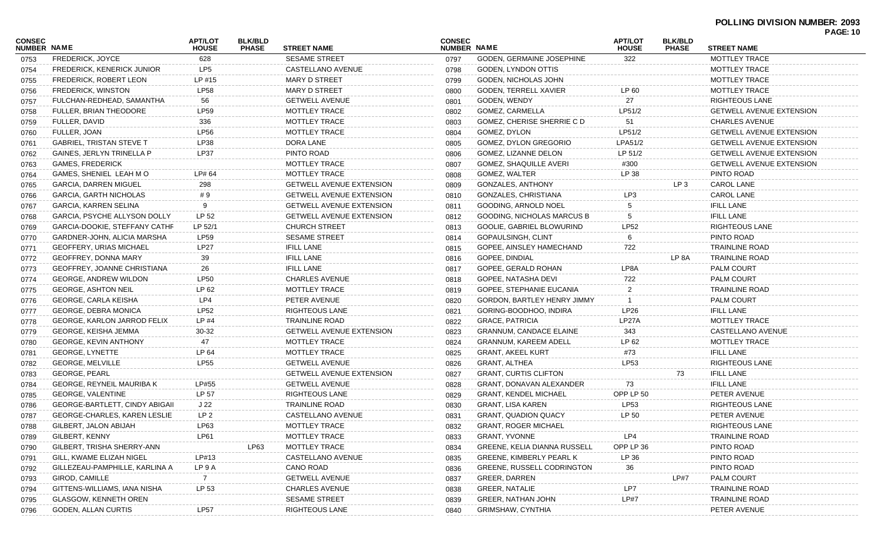| <b>CONSEC</b>      |                                       | <b>APT/LOT</b>  | <b>BLK/BLD</b> |                                 | <b>CONSEC</b> |                                     | <b>APT/LOT</b> | <b>BLK/BLD</b>  |                                 | , <sub>nul.</sub> , v |
|--------------------|---------------------------------------|-----------------|----------------|---------------------------------|---------------|-------------------------------------|----------------|-----------------|---------------------------------|-----------------------|
| <b>NUMBER NAME</b> |                                       | <b>HOUSE</b>    | <b>PHASE</b>   | <b>STREET NAME</b>              | NUMBER NAME   |                                     | <b>HOUSE</b>   | <b>PHASE</b>    | <b>STREET NAME</b>              |                       |
| 0753               | <b>FREDERICK, JOYCE</b>               | 628             |                | <b>SESAME STREET</b>            | 0797          | <b>GODEN. GERMAINE JOSEPHINE</b>    | 322            |                 | MOTTLEY TRACE                   |                       |
| 0754               | <b>FREDERICK, KENERICK JUNIOR</b>     | LP5             |                | CASTELLANO AVENUE               | 0798          | GODEN, LYNDON OTTIS                 |                |                 | MOTTLEY TRACE                   |                       |
| 0755               | <b>FREDERICK, ROBERT LEON</b>         | LP #15          |                | <b>MARY D STREET</b>            | 0799          | GODEN, NICHOLAS JOHN                |                |                 | MOTTLEY TRACE                   |                       |
| 0756               | <b>FREDERICK, WINSTON</b>             | <b>LP58</b>     |                | <b>MARY D STREET</b>            | 0800          | <b>GODEN, TERRELL XAVIER</b>        | LP 60          |                 | MOTTLEY TRACE                   |                       |
| 0757               | FULCHAN-REDHEAD, SAMANTHA             | 56              |                | <b>GETWELL AVENUE</b>           | 0801          | GODEN, WENDY                        | 27             |                 | RIGHTEOUS LANE                  |                       |
| 0758               | <b>FULLER, BRIAN THEODORE</b>         | LP59            |                | MOTTLEY TRACE                   | 0802          | GOMEZ, CARMELLA                     | LP51/2         |                 | <b>GETWELL AVENUE EXTENSION</b> |                       |
| 0759               | FULLER, DAVID                         | 336             |                | MOTTLEY TRACE                   | 0803          | <b>GOMEZ. CHERISE SHERRIE C D</b>   | 51             |                 | <b>CHARLES AVENUE</b>           |                       |
| 0760               | FULLER, JOAN                          | <b>LP56</b>     |                | <b>MOTTLEY TRACE</b>            | 0804          | GOMEZ, DYLON                        | LP51/2         |                 | <b>GETWELL AVENUE EXTENSION</b> |                       |
| 0761               | <b>GABRIEL, TRISTAN STEVE T</b>       | LP38            |                | DORA LANE                       | 0805          | <b>GOMEZ, DYLON GREGORIO</b>        | LPA51/2        |                 | <b>GETWELL AVENUE EXTENSION</b> |                       |
| 0762               | <b>GAINES, JERLYN TRINELLA P</b>      | LP37            |                | PINTO ROAD                      | 0806          | GOMEZ, LIZANNE DELON                | LP 51/2        |                 | <b>GETWELL AVENUE EXTENSION</b> |                       |
| 0763               | <b>GAMES, FREDERICK</b>               |                 |                | MOTTLEY TRACE                   | 0807          | <b>GOMEZ, SHAQUILLE AVERI</b>       | #300           |                 | <b>GETWELL AVENUE EXTENSION</b> |                       |
| 0764               | GAMES, SHENIEL LEAH MO                | LP# 64          |                | <b>MOTTLEY TRACE</b>            | 0808          | GOMEZ, WALTER                       | LP 38          |                 | PINTO ROAD                      |                       |
| 0765               | <b>GARCIA, DARREN MIGUEL</b>          | 298             |                | <b>GETWELL AVENUE EXTENSION</b> | 0809          | <b>GONZALES, ANTHONY</b>            |                | LP <sub>3</sub> | <b>CAROL LANE</b>               |                       |
| 0766               | <b>GARCIA, GARTH NICHOLAS</b>         | #9              |                | <b>GETWELL AVENUE EXTENSION</b> | 0810          | <b>GONZALES, CHRISTIANA</b>         | LP3            |                 | CAROL LANE                      |                       |
| 0767               | GARCIA, KARREN SELINA                 | 9               |                | <b>GETWELL AVENUE EXTENSION</b> | 0811          | GOODING, ARNOLD NOEL                |                |                 | <b>IFILL LANE</b>               |                       |
| 0768               | GARCIA, PSYCHE ALLYSON DOLLY          | LP 52           |                | <b>GETWELL AVENUE EXTENSION</b> | 0812          | <b>GOODING, NICHOLAS MARCUS B</b>   |                |                 | <b>IFILL LANE</b>               |                       |
| 0769               | GARCIA-DOOKIE, STEFFANY CATHF         | LP 52/1         |                | <b>CHURCH STREET</b>            | 0813          | GOOLIE, GABRIEL BLOWURIND           | <b>LP52</b>    |                 | RIGHTEOUS LANE                  |                       |
| 0770               | GARDNER-JOHN, ALICIA MARSHA           | <b>LP59</b>     |                | <b>SESAME STREET</b>            | 0814          | GOPAULSINGH, CLINT                  |                |                 | PINTO ROAD                      |                       |
| 0771               | <b>GEOFFERY, URIAS MICHAEL</b>        | <b>LP27</b>     |                | <b>IFILL LANE</b>               | 0815          | GOPEE, AINSLEY HAMECHAND            | 722            |                 | <b>TRAINLINE ROAD</b>           |                       |
| 0772               | GEOFFREY, DONNA MARY                  | 39              |                | <b>IFILL LANE</b>               | 0816          | <b>GOPEE, DINDIAL</b>               |                | LP 8A           | <b>TRAINLINE ROAD</b>           |                       |
| 0773               | GEOFFREY, JOANNE CHRISTIANA           | 26              |                | <b>IFILL LANE</b>               | 0817          | GOPEE, GERALD ROHAN                 | LP8A           |                 | <b>PALM COURT</b>               |                       |
| 0774               | <b>GEORGE, ANDREW WILDON</b>          | <b>LP50</b>     |                | <b>CHARLES AVENUE</b>           | 0818          | GOPEE, NATASHA DEVI                 | 722            |                 | <b>PALM COURT</b>               |                       |
| 0775               | <b>GEORGE, ASHTON NEIL</b>            | LP 62           |                | MOTTLEY TRACE                   | 0819          | GOPEE, STEPHANIE EUCANIA            |                |                 | TRAINLINE ROAD                  |                       |
| 0776               | GEORGE, CARLA KEISHA                  | LP4             |                | PETER AVENUE                    | 0820          | <b>GORDON, BARTLEY HENRY JIMMY</b>  |                |                 | <b>PALM COURT</b>               |                       |
| 0777               | <b>GEORGE, DEBRA MONICA</b>           | <b>LP52</b>     |                | <b>RIGHTEOUS LANE</b>           | 0821          | GORING-BOODHOO, INDIRA              | LP26           |                 | <b>IFILL LANE</b>               |                       |
| 0778               | <b>GEORGE, KARLON JARROD FELIX</b>    | $LP$ #4         |                | <b>TRAINLINE ROAD</b>           | 0822          | <b>GRACE, PATRICIA</b>              | LP27A          |                 | MOTTLEY TRACE                   |                       |
| 0779               | GEORGE, KEISHA JEMMA                  | 30-32           |                | <b>GETWELL AVENUE EXTENSION</b> | 0823          | <b>GRANNUM, CANDACE ELAINE</b>      | 343            |                 | CASTELLANO AVENUE               |                       |
| 0780               | <b>GEORGE, KEVIN ANTHONY</b>          | 47              |                | MOTTLEY TRACE                   | 0824          | <b>GRANNUM, KAREEM ADELL</b>        | LP 62          |                 | <b>MOTTLEY TRACE</b>            |                       |
| 0781               | <b>GEORGE, LYNETTE</b>                | LP 64           |                | <b>MOTTLEY TRACE</b>            | 0825          | <b>GRANT, AKEEL KURT</b>            | #73            |                 | <b>IFILL LANE</b>               |                       |
| 0782               | <b>GEORGE, MELVILLE</b>               | <b>LP55</b>     |                | <b>GETWELL AVENUE</b>           | 0826          | <b>GRANT, ALTHEA</b>                | LP53           |                 | RIGHTEOUS LANE                  |                       |
| 0783               | <b>GEORGE, PEARL</b>                  |                 |                | <b>GETWELL AVENUE EXTENSION</b> | 0827          | <b>GRANT, CURTIS CLIFTON</b>        |                | 73              | <b>IFILL LANE</b>               |                       |
| 0784               | <b>GEORGE, REYNEIL MAURIBA K</b>      | LP#55           |                | <b>GETWELL AVENUE</b>           | 0828          | GRANT, DONAVAN ALEXANDER            | 73             |                 | <b>IFILL LANE</b>               |                       |
| 0785               | GEORGE, VALENTINE                     | LP 57           |                | <b>RIGHTEOUS LANE</b>           | 0829          | <b>GRANT, KENDEL MICHAEL</b>        | OPP LP 50      |                 | PETER AVENUE                    |                       |
| 0786               | <b>GEORGE-BARTLETT, CINDY ABIGAIL</b> | J 22            |                | <b>TRAINLINE ROAD</b>           | 0830          | GRANT, LISA KAREN                   | <b>LP53</b>    |                 | RIGHTEOUS LANE                  |                       |
| 0787               | <b>GEORGE-CHARLES, KAREN LESLIE</b>   | LP <sub>2</sub> |                | CASTELLANO AVENUE               | 0831          | <b>GRANT, QUADION QUACY</b>         | LP 50          |                 | PETER AVENUE                    |                       |
| 0788               | GILBERT, JALON ABIJAH                 | LP63            |                | MOTTLEY TRACE                   | 0832          | <b>GRANT, ROGER MICHAEL</b>         |                |                 | RIGHTEOUS LANE                  |                       |
| 0789               | GILBERT, KENNY                        | LP61            |                | MOTTLEY TRACE                   | 0833          | <b>GRANT, YVONNE</b>                | LP4            |                 | <b>TRAINLINE ROAD</b>           |                       |
| 0790               | GILBERT, TRISHA SHERRY-ANN            |                 | LP63           | MOTTLEY TRACE                   | 0834          | <b>GREENE, KELIA DIANNA RUSSELL</b> | OPP LP 36      |                 | PINTO ROAD                      |                       |
| 0791               | GILL, KWAME ELIZAH NIGEL              | LP#13           |                | CASTELLANO AVENUE               | 0835          | <b>GREENE, KIMBERLY PEARL K</b>     | LP 36          |                 | PINTO ROAD                      |                       |
| 0792               | GILLEZEAU-PAMPHILLE, KARLINA A        | LP 9 A          |                | <b>CANO ROAD</b>                | 0836          | <b>GREENE, RUSSELL CODRINGTON</b>   | 36             |                 | PINTO ROAD                      |                       |
| 0793               | GIROD, CAMILLE                        | 7               |                | <b>GETWELL AVENUE</b>           | 0837          | <b>GREER, DARREN</b>                |                | LP#7            | <b>PALM COURT</b>               |                       |
| 0794               | GITTENS-WILLIAMS, IANA NISHA          | LP 53           |                | <b>CHARLES AVENUE</b>           | 0838          | <b>GREER, NATALIE</b>               | LP7            |                 | <b>TRAINLINE ROAD</b>           |                       |
| 0795               | <b>GLASGOW, KENNETH OREN</b>          |                 |                | <b>SESAME STREET</b>            | 0839          | <b>GREER, NATHAN JOHN</b>           | <b>LP#7</b>    |                 | <b>TRAINLINE ROAD</b>           |                       |
| 0796               | GODEN, ALLAN CURTIS                   | <b>LP57</b>     |                | <b>RIGHTEOUS LANE</b>           | 0840          | <b>GRIMSHAW, CYNTHIA</b>            |                |                 | PETER AVENUE                    |                       |
|                    |                                       |                 |                |                                 |               |                                     |                |                 |                                 |                       |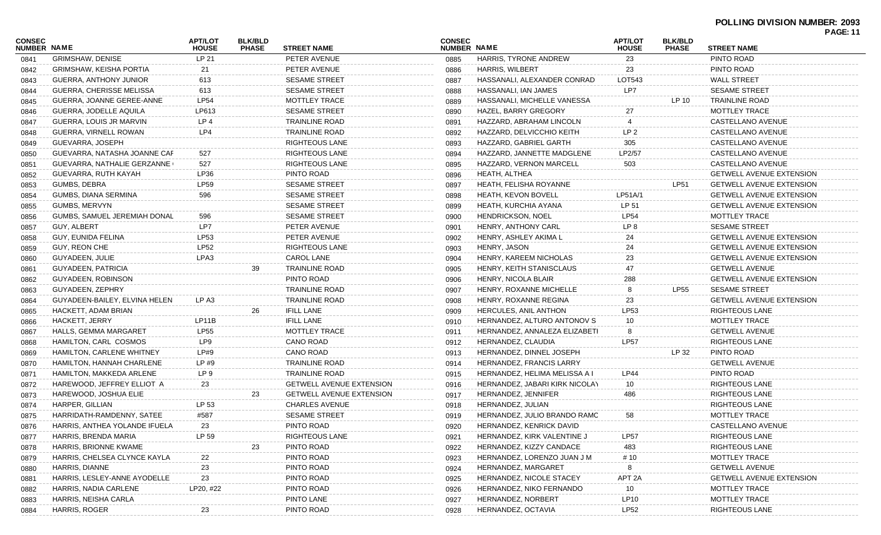|                              |                                  |                                |                                |                                 |                              |                                |                                |                                |                                 | <b>PAGE: 11</b> |
|------------------------------|----------------------------------|--------------------------------|--------------------------------|---------------------------------|------------------------------|--------------------------------|--------------------------------|--------------------------------|---------------------------------|-----------------|
| <b>CONSEC</b><br>NUMBER NAME |                                  | <b>APT/LOT</b><br><b>HOUSE</b> | <b>BLK/BLD</b><br><b>PHASE</b> | <b>STREET NAME</b>              | <b>CONSEC</b><br>NUMBER NAME |                                | <b>APT/LOT</b><br><b>HOUSE</b> | <b>BLK/BLD</b><br><b>PHASE</b> | <b>STREET NAME</b>              |                 |
| 0841                         | <b>GRIMSHAW, DENISE</b>          | LP 21                          |                                | PETER AVENUE                    | 0885                         | HARRIS, TYRONE ANDREW          | 23                             |                                | PINTO ROAD                      |                 |
| 0842                         | <b>GRIMSHAW, KEISHA PORTIA</b>   | 21                             |                                | PETER AVENUE                    | 0886                         | <b>HARRIS, WILBERT</b>         | 23                             |                                | PINTO ROAD                      |                 |
| 0843                         | GUERRA, ANTHONY JUNIOR           | 613                            |                                | <b>SESAME STREET</b>            | 0887                         | HASSANALI, ALEXANDER CONRAD    | LOT543                         |                                | <b>WALL STREET</b>              |                 |
| 0844                         | <b>GUERRA, CHERISSE MELISSA</b>  | 613                            |                                | <b>SESAME STREET</b>            | 0888                         | HASSANALI, IAN JAMES           | LP7                            |                                | <b>SESAME STREET</b>            |                 |
| 0845                         | GUERRA, JOANNE GEREE-ANNE        | <b>LP54</b>                    |                                | MOTTLEY TRACE                   | 0889                         | HASSANALI, MICHELLE VANESSA    |                                | LP 10                          | TRAINLINE ROAD                  |                 |
| 0846                         | GUERRA, JODELLE AQUILA           | LP613                          |                                | <b>SESAME STREET</b>            | 0890                         | HAZEL, BARRY GREGORY           | 27                             |                                | MOTTLEY TRACE                   |                 |
| 0847                         | GUERRA, LOUIS JR MARVIN          | LP 4                           |                                | <b>TRAINLINE ROAD</b>           | 0891                         | HAZZARD, ABRAHAM LINCOLN       | 4                              |                                | CASTELLANO AVENUE               |                 |
| 0848                         | GUERRA, VIRNELL ROWAN            | LP4                            |                                | TRAINLINE ROAD                  | 0892                         | HAZZARD, DELVICCHIO KEITH      | LP <sub>2</sub>                |                                | CASTELLANO AVENUE               |                 |
| 0849                         | GUEVARRA, JOSEPH                 |                                |                                | <b>RIGHTEOUS LANE</b>           | 0893                         | HAZZARD, GABRIEL GARTH         | 305                            |                                | CASTELLANO AVENUE               |                 |
| 0850                         | GUEVARRA, NATASHA JOANNE CAF     | 527                            |                                | RIGHTEOUS LANE                  | 0894                         | HAZZARD, JANNETTE MADGLENE     | LP2/57                         |                                | CASTELLANO AVENUE               |                 |
| 0851                         | GUEVARRA, NATHALIE GERZANNE (    | 527                            |                                | RIGHTEOUS LANE                  | 0895                         | HAZZARD, VERNON MARCELL        | 503                            |                                | CASTELLANO AVENUE               |                 |
| 0852                         | GUEVARRA, RUTH KAYAH             | LP36                           |                                | PINTO ROAD                      | 0896                         | HEATH, ALTHEA                  |                                |                                | <b>GETWELL AVENUE EXTENSION</b> |                 |
| 0853                         | GUMBS, DEBRA                     | <b>LP59</b>                    |                                | <b>SESAME STREET</b>            | 0897                         | HEATH, FELISHA ROYANNE         |                                | LP51                           | <b>GETWELL AVENUE EXTENSION</b> |                 |
| 0854                         | GUMBS, DIANA SERMINA             | 596                            |                                | <b>SESAME STREET</b>            | 0898                         | <b>HEATH, KEVON BOVELL</b>     | LP51A/1                        |                                | <b>GETWELL AVENUE EXTENSION</b> |                 |
| 0855                         | GUMBS, MERVYN                    |                                |                                | <b>SESAME STREET</b>            | 0899                         | HEATH, KURCHIA AYANA           | LP 51                          |                                | <b>GETWELL AVENUE EXTENSION</b> |                 |
| 0856                         | GUMBS, SAMUEL JEREMIAH DONAL     | 596                            |                                | <b>SESAME STREET</b>            | 0900                         | <b>HENDRICKSON, NOEL</b>       | <b>LP54</b>                    |                                | MOTTLEY TRACE                   |                 |
| 0857                         | GUY, ALBERT                      | LP7                            |                                | PETER AVENUE                    | 0901                         | HENRY, ANTHONY CARL            | LP <sub>8</sub>                |                                | <b>SESAME STREET</b>            |                 |
| 0858                         | GUY, EUNIDA FELINA               | LP53                           |                                | PETER AVENUE                    | 0902                         | HENRY, ASHLEY AKIMA L          | 24                             |                                | <b>GETWELL AVENUE EXTENSION</b> |                 |
| 0859                         | GUY, REON CHE                    | <b>LP52</b>                    |                                | RIGHTEOUS LANE                  | 0903                         | HENRY, JASON                   | 24                             |                                | <b>GETWELL AVENUE EXTENSION</b> |                 |
| 0860                         | GUYADEEN, JULIE                  | LPA3                           |                                | <b>CAROL LANE</b>               | 0904                         | HENRY, KAREEM NICHOLAS         | 23                             |                                | <b>GETWELL AVENUE EXTENSION</b> |                 |
| 0861                         | GUYADEEN, PATRICIA               |                                | 39                             | <b>TRAINLINE ROAD</b>           | 0905                         | HENRY, KEITH STANISCLAUS       | 47                             |                                | <b>GETWELL AVENUE</b>           |                 |
| 0862                         | GUYADEEN, ROBINSON               |                                |                                | PINTO ROAD                      | 0906                         | HENRY, NICOLA BLAIR            | 288                            |                                | <b>GETWELL AVENUE EXTENSION</b> |                 |
| 0863                         | GUYADEEN, ZEPHRY                 |                                |                                | <b>TRAINLINE ROAD</b>           | 0907                         | HENRY, ROXANNE MICHELLE        | 8                              | LP55                           | <b>SESAME STREET</b>            |                 |
| 0864                         | GUYADEEN-BAILEY, ELVINA HELEN    | LP A3                          |                                | TRAINLINE ROAD                  | 0908                         | HENRY, ROXANNE REGINA          | 23                             |                                | <b>GETWELL AVENUE EXTENSION</b> |                 |
| 0865                         | HACKETT, ADAM BRIAN              |                                | 26                             | <b>IFILL LANE</b>               | 0909                         | HERCULES, ANIL ANTHON          | LP53                           |                                | <b>RIGHTEOUS LANE</b>           |                 |
| 0866                         | HACKETT, JERRY                   | LP11B                          |                                | <b>IFILL LANE</b>               | 0910                         | HERNANDEZ, ALTURO ANTONOV S    | 10                             |                                | MOTTLEY TRACE                   |                 |
| 0867                         | HALLS, GEMMA MARGARET            | <b>LP55</b>                    |                                | MOTTLEY TRACE                   | 0911                         | HERNANDEZ, ANNALEZA ELIZABETI  | 8                              |                                | <b>GETWELL AVENUE</b>           |                 |
| 0868                         | HAMILTON, CARL COSMOS            | LP9                            |                                | CANO ROAD                       | 0912                         | HERNANDEZ, CLAUDIA             | <b>LP57</b>                    |                                | RIGHTEOUS LANE                  |                 |
| 0869                         | <b>HAMILTON, CARLENE WHITNEY</b> | LP#9                           |                                | <b>CANO ROAD</b>                | 0913                         | HERNANDEZ, DINNEL JOSEPH       |                                | LP 32                          | PINTO ROAD                      |                 |
| 0870                         | HAMILTON, HANNAH CHARLENE        | LP#9                           |                                | <b>TRAINLINE ROAD</b>           | 0914                         | HERNANDEZ, FRANCIS LARRY       |                                |                                | <b>GETWELL AVENUE</b>           |                 |
| 0871                         | HAMILTON, MAKKEDA ARLENE         | LP 9                           |                                | <b>TRAINLINE ROAD</b>           | 0915                         | HERNANDEZ, HELIMA MELISSA A I  | <b>LP44</b>                    |                                | PINTO ROAD                      |                 |
| 0872                         | HAREWOOD, JEFFREY ELLIOT A       | 23                             |                                | <b>GETWELL AVENUE EXTENSION</b> | 0916                         | HERNANDEZ, JABARI KIRK NICOLAY | 10                             |                                | RIGHTEOUS LANE                  |                 |
| 0873                         | HAREWOOD, JOSHUA ELIE            |                                | 23                             | <b>GETWELL AVENUE EXTENSION</b> | 0917                         | HERNANDEZ, JENNIFER            | 486                            |                                | RIGHTEOUS LANE                  |                 |
| 0874                         | HARPER, GILLIAN                  | LP 53                          |                                | <b>CHARLES AVENUE</b>           | 0918                         | HERNANDEZ, JULIAN              |                                |                                | <b>RIGHTEOUS LANE</b>           |                 |
| 0875                         | HARRIDATH-RAMDENNY, SATEE        | #587                           |                                | <b>SESAME STREET</b>            | 0919                         | HERNANDEZ, JULIO BRANDO RAMO   | 58                             |                                | MOTTLEY TRACE                   |                 |
| 0876                         | HARRIS, ANTHEA YOLANDE IFUELA    | 23                             |                                | PINTO ROAD                      | 0920                         | HERNANDEZ, KENRICK DAVID       |                                |                                | CASTELLANO AVENUE               |                 |
| 0877                         | HARRIS, BRENDA MARIA             | LP 59                          |                                | RIGHTEOUS LANE                  | 0921                         | HERNANDEZ, KIRK VALENTINE J    | LP <sub>57</sub>               |                                | RIGHTEOUS LANE                  |                 |
| 0878                         | HARRIS, BRIONNE KWAME            |                                | 23                             | PINTO ROAD                      | 0922                         | HERNANDEZ, KIZZY CANDACE       | 483                            |                                | RIGHTEOUS LANE                  |                 |
| 0879                         | HARRIS, CHELSEA CLYNCE KAYLA     | 22                             |                                | PINTO ROAD                      | 0923                         | HERNANDEZ, LORENZO JUAN J M    | # 10                           |                                | MOTTLEY TRACE                   |                 |
| 0880                         | HARRIS, DIANNE                   | 23                             |                                | PINTO ROAD                      | 0924                         | HERNANDEZ, MARGARET            |                                |                                | <b>GETWELL AVENUE</b>           |                 |
| 0881                         | HARRIS, LESLEY-ANNE AYODELLE     | 23                             |                                | PINTO ROAD                      | 0925                         | HERNANDEZ, NICOLE STACEY       | APT <sub>2A</sub>              |                                | <b>GETWELL AVENUE EXTENSION</b> |                 |
| 0882                         | HARRIS, NADIA CARLENE            | LP20, #22                      |                                | PINTO ROAD                      | 0926                         | HERNANDEZ, NIKO FERNANDO       | 10                             |                                | MOTTLEY TRACE                   |                 |
| 0883                         | HARRIS, NEISHA CARLA             |                                |                                | PINTO LANE                      | 0927                         | HERNANDEZ, NORBERT             | LP10                           |                                | MOTTLEY TRACE                   |                 |
| 0884                         | HARRIS, ROGER                    | 23                             |                                | PINTO ROAD                      | 0928                         | HERNANDEZ, OCTAVIA             | <b>LP52</b>                    |                                | RIGHTEOUS LANE                  |                 |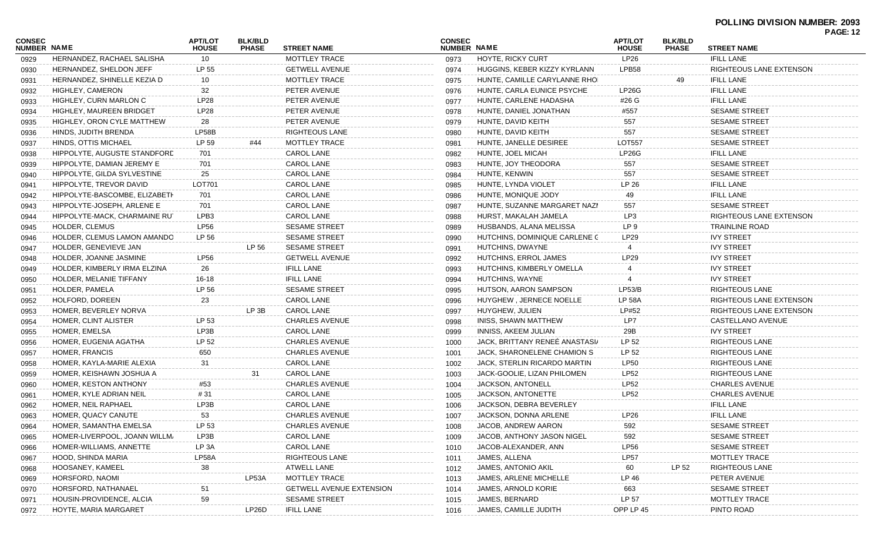|                              |                                 |                                |                                |                                 |                              |                                |                                |                                |                         | FAUL.IZ |
|------------------------------|---------------------------------|--------------------------------|--------------------------------|---------------------------------|------------------------------|--------------------------------|--------------------------------|--------------------------------|-------------------------|---------|
| CONSEC<br><b>NUMBER NAME</b> |                                 | <b>APT/LOT</b><br><b>HOUSE</b> | <b>BLK/BLD</b><br><b>PHASE</b> | <b>STREET NAME</b>              | <b>CONSEC</b><br>NUMBER NAME |                                | <b>APT/LOT</b><br><b>HOUSE</b> | <b>BLK/BLD</b><br><b>PHASE</b> | <b>STREET NAME</b>      |         |
| 0929                         | HERNANDEZ, RACHAEL SALISHA      | 10                             |                                | MOTTLEY TRACE                   | 0973                         | <b>HOYTE, RICKY CURT</b>       | LP26                           |                                | <b>IFILL LANE</b>       |         |
| 0930                         | HERNANDEZ, SHELDON JEFF         | LP 55                          |                                | <b>GETWELL AVENUE</b>           | 0974                         | HUGGINS, KEBER KIZZY KYRLANN   | LPB58                          |                                | RIGHTEOUS LANE EXTENSON |         |
| 0931                         | HERNANDEZ, SHINELLE KEZIA D     | 10                             |                                | MOTTLEY TRACE                   | 0975                         | HUNTE, CAMILLE CARYLANNE RHOI  |                                | 49                             | <b>IFILL LANE</b>       |         |
| 0932                         | HIGHLEY, CAMERON                | 32                             |                                | PETER AVENUE                    | 0976                         | HUNTE, CARLA EUNICE PSYCHE     | LP26G                          |                                | <b>IFILL LANE</b>       |         |
| 0933                         | HIGHLEY, CURN MARLON C          | LP28                           |                                | PETER AVENUE                    | 0977                         | HUNTE, CARLENE HADASHA         | #26 G                          |                                | <b>IFILL LANE</b>       |         |
| 0934                         | <b>HIGHLEY, MAUREEN BRIDGET</b> | LP28                           |                                | PETER AVENUE                    | 0978                         | HUNTE, DANIEL JONATHAN         | #557                           |                                | <b>SESAME STREET</b>    |         |
| 0935                         | HIGHLEY, ORON CYLE MATTHEW      | 28                             |                                | PETER AVENUE                    | 0979                         | HUNTE, DAVID KEITH             | 557                            |                                | <b>SESAME STREET</b>    |         |
| 0936                         | HINDS, JUDITH BRENDA            | LP58B                          |                                | RIGHTEOUS LANE                  | 0980                         | HUNTE, DAVID KEITH             | 557                            |                                | <b>SESAME STREET</b>    |         |
| 0937                         | HINDS, OTTIS MICHAEL            | LP 59                          | #44                            | MOTTLEY TRACE                   | 0981                         | HUNTE, JANELLE DESIREE         | LOT557                         |                                | <b>SESAME STREET</b>    |         |
| 0938                         | HIPPOLYTE, AUGUSTE STANDFORD    | 701                            |                                | <b>CAROL LANE</b>               | 0982                         | HUNTE, JOEL MICAH              | <b>LP26G</b>                   |                                | <b>IFILL LANE</b>       |         |
| 0939                         | HIPPOLYTE, DAMIAN JEREMY E      | 701                            |                                | <b>CAROL LANE</b>               | 0983                         | HUNTE, JOY THEODORA            | 557                            |                                | <b>SESAME STREET</b>    |         |
| 0940                         | HIPPOLYTE, GILDA SYLVESTINE     | 25                             |                                | <b>CAROL LANE</b>               | 0984                         | HUNTE, KENWIN                  | 557                            |                                | <b>SESAME STREET</b>    |         |
| 0941                         | HIPPOLYTE, TREVOR DAVID         | LOT701                         |                                | <b>CAROL LANE</b>               | 0985                         | HUNTE, LYNDA VIOLET            | LP 26                          |                                | <b>IFILL LANE</b>       |         |
| 0942                         | HIPPOLYTE-BASCOMBE, ELIZABETH   | 701                            |                                | CAROL LANE                      | 0986                         | HUNTE, MONIQUE JODY            | 49                             |                                | <b>IFILL LANE</b>       |         |
| 0943                         | HIPPOLYTE-JOSEPH, ARLENE E      | 701                            |                                | <b>CAROL LANE</b>               | 0987                         | HUNTE, SUZANNE MARGARET NAZI   | 557                            |                                | <b>SESAME STREET</b>    |         |
| 0944                         | HIPPOLYTE-MACK, CHARMAINE RUT   | LPB3                           |                                | CAROL LANE                      | 0988                         | HURST, MAKALAH JAMELA          | LP3                            |                                | RIGHTEOUS LANE EXTENSON |         |
| 0945                         | HOLDER, CLEMUS                  | <b>LP56</b>                    |                                | <b>SESAME STREET</b>            | 0989                         | HUSBANDS, ALANA MELISSA        | LP 9                           |                                | TRAINLINE ROAD          |         |
| 0946                         | HOLDER, CLEMUS LAMON AMANDO     | LP 56                          |                                | <b>SESAME STREET</b>            | 0990                         | HUTCHINS, DOMINIQUE CARLENE C  | LP29                           |                                | <b>IVY STREET</b>       |         |
| 0947                         | HOLDER, GENEVIEVE JAN           |                                | LP 56                          | <b>SESAME STREET</b>            | 0991                         | HUTCHINS, DWAYNE               |                                |                                | <b>IVY STREET</b>       |         |
| 0948                         | HOLDER, JOANNE JASMINE          | <b>LP56</b>                    |                                | <b>GETWELL AVENUE</b>           | 0992                         | HUTCHINS, ERROL JAMES          | LP29                           |                                | <b>IVY STREET</b>       |         |
| 0949                         | HOLDER, KIMBERLY IRMA ELZINA    | 26                             |                                | <b>IFILL LANE</b>               | 0993                         | HUTCHINS, KIMBERLY OMELLA      |                                |                                | <b>IVY STREET</b>       |         |
| 0950                         | HOLDER, MELANIE TIFFANY         | 16-18                          |                                | <b>IFILL LANE</b>               | 0994                         | HUTCHINS, WAYNE                |                                |                                | <b>IVY STREET</b>       |         |
| 0951                         | HOLDER, PAMELA                  | LP 56                          |                                | <b>SESAME STREET</b>            | 0995                         | HUTSON, AARON SAMPSON          | LP53/B                         |                                | RIGHTEOUS LANE          |         |
| 0952                         | HOLFORD, DOREEN                 | 23                             |                                | <b>CAROL LANE</b>               | 0996                         | HUYGHEW, JERNECE NOELLE        | <b>LP 58A</b>                  |                                | RIGHTEOUS LANE EXTENSON |         |
| 0953                         | HOMER, BEVERLEY NORVA           |                                | LP 3B                          | <b>CAROL LANE</b>               | 0997                         | HUYGHEW, JULIEN                | LP#52                          |                                | RIGHTEOUS LANE EXTENSON |         |
| 0954                         | HOMER, CLINT ALISTER            | LP 53                          |                                | <b>CHARLES AVENUE</b>           | 0998                         | INISS, SHAWN MATTHEW           | LP7                            |                                | CASTELLANO AVENUE       |         |
| 0955                         | HOMER, EMELSA                   | LP3B                           |                                | <b>CAROL LANE</b>               | 0999                         | INNISS, AKEEM JULIAN           | 29B                            |                                | <b>IVY STREET</b>       |         |
| 0956                         | HOMER, EUGENIA AGATHA           | LP 52                          |                                | <b>CHARLES AVENUE</b>           | 1000                         | JACK, BRITTANY RENEE ANASTASI/ | LP 52                          |                                | RIGHTEOUS LANE          |         |
| 0957                         | HOMER, FRANCIS                  | 650                            |                                | <b>CHARLES AVENUE</b>           | 1001                         | JACK, SHARONELENE CHAMION S    | LP 52                          |                                | RIGHTEOUS LANE          |         |
| 0958                         | HOMER, KAYLA-MARIE ALEXIA       | 31                             |                                | CAROL LANE                      | 1002                         | JACK, STERLIN RICARDO MARTIN   | <b>LP50</b>                    |                                | RIGHTEOUS LANE          |         |
| 0959                         | HOMER, KEISHAWN JOSHUA A        |                                |                                | CAROL LANE                      | 1003                         | JACK-GOOLIE, LIZAN PHILOMEN    | LP52                           |                                | RIGHTEOUS LANE          |         |
| 0960                         | HOMER, KESTON ANTHONY           | #53                            |                                | <b>CHARLES AVENUE</b>           | 1004                         | JACKSON, ANTONELL              | <b>LP52</b>                    |                                | <b>CHARLES AVENUE</b>   |         |
| 0961                         | HOMER, KYLE ADRIAN NEIL         | # 31                           |                                | CAROL LANE                      | 1005                         | JACKSON, ANTONETTE             | LP52                           |                                | <b>CHARLES AVENUE</b>   |         |
| 0962                         | HOMER, NEIL RAPHAEL             | LP3B                           |                                | CAROL LANE                      | 1006                         | JACKSON, DEBRA BEVERLEY        |                                |                                | <b>IFILL LANE</b>       |         |
| 0963                         | HOMER, QUACY CANUTE             | 53                             |                                | <b>CHARLES AVENUE</b>           | 1007                         | JACKSON, DONNA ARLENE          | LP <sub>26</sub>               |                                | <b>IFILL LANE</b>       |         |
| 0964                         | HOMER, SAMANTHA EMELSA          | LP 53                          |                                | CHARLES AVENUE                  | 1008                         | JACOB, ANDREW AARON            | 592                            |                                | SESAME STREET           |         |
| 0965                         | HOMER-LIVERPOOL, JOANN WILLM,   | LP3B                           |                                | <b>CAROL LANE</b>               | 1009                         | JACOB, ANTHONY JASON NIGEL     | 592                            |                                | <b>SESAME STREET</b>    |         |
| 0966                         | HOMER-WILLIAMS, ANNETTE         | LP 3A                          |                                | <b>CAROL LANE</b>               | 1010                         | JACOB-ALEXANDER, ANN           | LP <sub>56</sub>               |                                | <b>SESAME STREET</b>    |         |
| 0967                         | HOOD, SHINDA MARIA              | LP58A                          |                                | <b>RIGHTEOUS LANE</b>           | 1011                         | JAMES, ALLENA                  | <b>LP57</b>                    |                                | MOTTLEY TRACE           |         |
| 0968                         | HOOSANEY, KAMEEL                |                                |                                | <b>ATWELL LANE</b>              | 1012                         | JAMES, ANTONIO AKIL            | 60                             | LP 52                          | <b>RIGHTEOUS LANE</b>   |         |
|                              | HORSFORD, NAOMI                 | $\frac{38}{1}$                 | LP53A                          | MOTTLEY TRACE                   |                              | JAMES, ARLENE MICHELLE         | LP 46                          |                                | PETER AVENUE            |         |
| 0969                         | HORSFORD, NATHANAEL             | 51                             |                                | <b>GETWELL AVENUE EXTENSION</b> | 1013<br>1014                 | JAMES, ARNOLD KORIE            | 663                            |                                | <b>SESAME STREET</b>    |         |
| 0970<br>0971                 | HOUSIN-PROVIDENCE, ALCIA        | 59                             |                                | <b>SESAME STREET</b>            |                              | JAMES, BERNARD                 | LP 57                          |                                | MOTTLEY TRACE           |         |
|                              | HOYTE, MARIA MARGARET           |                                | LP26D                          | <b>IFILL LANE</b>               | 1015<br>1016                 | JAMES, CAMILLE JUDITH          | OPP LP 45                      |                                | PINTO ROAD              |         |
| 0972                         |                                 |                                |                                |                                 |                              |                                |                                |                                |                         |         |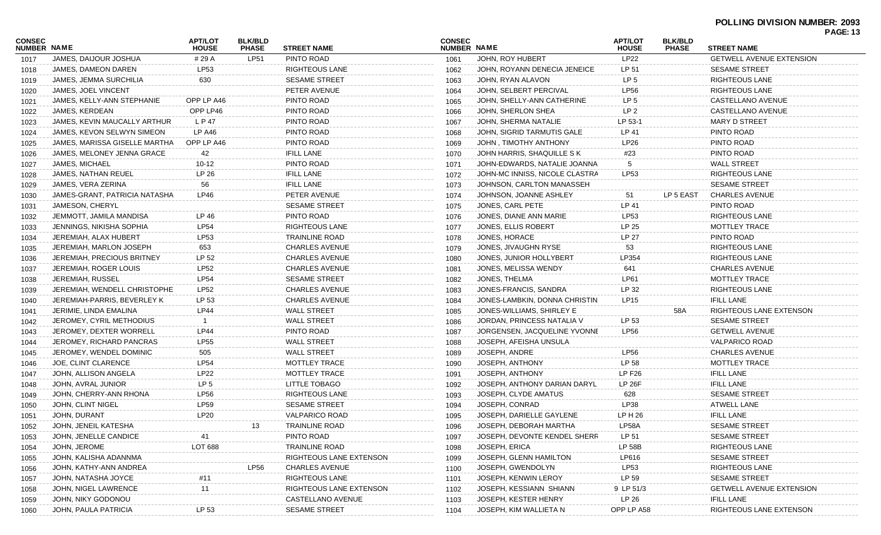|                              |                               |                                |                                |                         |                              |                                |                                |                                |                                 | FAUL.IJ |
|------------------------------|-------------------------------|--------------------------------|--------------------------------|-------------------------|------------------------------|--------------------------------|--------------------------------|--------------------------------|---------------------------------|---------|
| <b>CONSEC</b><br>NUMBER NAME |                               | <b>APT/LOT</b><br><b>HOUSE</b> | <b>BLK/BLD</b><br><b>PHASE</b> | <b>STREET NAME</b>      | <b>CONSEC</b><br>NUMBER NAME |                                | <b>APT/LOT</b><br><b>HOUSE</b> | <b>BLK/BLD</b><br><b>PHASE</b> | <b>STREET NAME</b>              |         |
| 1017                         | JAMES, DAIJOUR JOSHUA         | # 29 A                         | LP51                           | PINTO ROAD              | 1061                         | JOHN, ROY HUBERT               | <b>LP22</b>                    |                                | GETWELL AVENUE EXTENSION        |         |
| 1018                         | JAMES, DAMEON DAREN           | LP53                           |                                | RIGHTEOUS LANE          | 1062                         | JOHN, ROYANN DENECIA JENEICE   | LP 51                          |                                | <b>SESAME STREET</b>            |         |
| 1019                         | JAMES, JEMMA SURCHILIA        | 630                            |                                | <b>SESAME STREET</b>    | 1063                         | JOHN, RYAN ALAVON              | LP 5                           |                                | RIGHTEOUS LANE                  |         |
| 1020                         | JAMES, JOEL VINCENT           |                                |                                | PETER AVENUE            | 1064                         | JOHN, SELBERT PERCIVAL         | <b>LP56</b>                    |                                | RIGHTEOUS LANE                  |         |
| 1021                         | JAMES, KELLY-ANN STEPHANIE    | OPP LP A46                     |                                | PINTO ROAD              | 1065                         | JOHN, SHELLY-ANN CATHERINE     | LP 5                           |                                | CASTELLANO AVENUE               |         |
| 1022                         | JAMES, KERDEAN                | OPP LP46                       |                                | PINTO ROAD              | 1066                         | JOHN, SHERLON SHEA             | LP 2                           |                                | CASTELLANO AVENUE               |         |
| 1023                         | JAMES, KEVIN MAUCALLY ARTHUR  | L P 47                         |                                | PINTO ROAD              | 1067                         | JOHN, SHERMA NATALIE           | LP 53-1                        |                                | <b>MARY D STREET</b>            |         |
| 1024                         | JAMES, KEVON SELWYN SIMEON    | LP A46                         |                                | PINTO ROAD              | 1068                         | JOHN, SIGRID TARMUTIS GALE     | LP 41                          |                                | PINTO ROAD                      |         |
| 1025                         | JAMES, MARISSA GISELLE MARTHA | OPP LP A46                     |                                | PINTO ROAD              | 1069                         | JOHN, TIMOTHY ANTHONY          | LP26                           |                                | PINTO ROAD                      |         |
| 1026                         | JAMES, MELONEY JENNA GRACE    | 42                             |                                | <b>IFILL LANE</b>       | 1070                         | JOHN HARRIS, SHAQUILLE S K     | #23                            |                                | PINTO ROAD                      |         |
| 1027                         | JAMES, MICHAEL                | 10-12                          |                                | PINTO ROAD              | 1071                         | JOHN-EDWARDS, NATALIE JOANNA   |                                |                                | <b>WALL STREET</b>              |         |
| 1028                         | JAMES, NATHAN REUEL           | LP 26                          |                                | <b>IFILL LANE</b>       | 1072                         | JOHN-MC INNISS, NICOLE CLASTRA | LP53                           |                                | RIGHTEOUS LANE                  |         |
| 1029                         | JAMES, VERA ZERINA            | 56                             |                                | <b>IFILL LANE</b>       | 1073                         | JOHNSON, CARLTON MANASSEH      |                                |                                | <b>SESAME STREET</b>            |         |
| 1030                         | JAMES-GRANT, PATRICIA NATASHA | LP46                           |                                | PETER AVENUE            | 1074                         | JOHNSON, JOANNE ASHLEY         | 51                             | LP 5 EAST                      | <b>CHARLES AVENUE</b>           |         |
| 1031                         | JAMESON, CHERYL               |                                |                                | <b>SESAME STREET</b>    | 1075                         | JONES, CARL PETE               | LP 41                          |                                | PINTO ROAD                      |         |
| 1032                         | JEMMOTT, JAMILA MANDISA       | LP 46                          |                                | PINTO ROAD              | 1076                         | JONES, DIANE ANN MARIE         | <b>LP53</b>                    |                                | RIGHTEOUS LANE                  |         |
| 1033                         | JENNINGS, NIKISHA SOPHIA      | <b>LP54</b>                    |                                | RIGHTEOUS LANE          | 1077                         | JONES, ELLIS ROBERT            | LP 25                          |                                | MOTTLEY TRACE                   |         |
| 1034                         | JEREMIAH, ALAX HUBERT         | LP53                           |                                | TRAINLINE ROAD          | 1078                         | JONES, HORACE                  | LP 27                          |                                | PINTO ROAD                      |         |
| 1035                         | JEREMIAH, MARLON JOSEPH       | 653                            |                                | <b>CHARLES AVENUE</b>   | 1079                         | JONES, JIVAUGHN RYSE           | 53                             |                                | RIGHTEOUS LANE                  |         |
| 1036                         | JEREMIAH, PRECIOUS BRITNEY    | LP 52                          |                                | <b>CHARLES AVENUE</b>   | 1080                         | JONES, JUNIOR HOLLYBERT        | LP354                          |                                | RIGHTEOUS LANE                  |         |
| 1037                         | JEREMIAH, ROGER LOUIS         | LP52                           |                                | <b>CHARLES AVENUE</b>   | 1081                         | JONES, MELISSA WENDY           | 641                            |                                | <b>CHARLES AVENUE</b>           |         |
| 1038                         | JEREMIAH, RUSSEL              | <b>LP54</b>                    |                                | <b>SESAME STREET</b>    | 1082                         | JONES, THELMA                  | LP61                           |                                | MOTTLEY TRACE                   |         |
| 1039                         | JEREMIAH, WENDELL CHRISTOPHE  | <b>LP52</b>                    |                                | <b>CHARLES AVENUE</b>   | 1083                         | JONES-FRANCIS, SANDRA          | LP 32                          |                                | RIGHTEOUS LANE                  |         |
| 1040                         | JEREMIAH-PARRIS, BEVERLEY K   | LP 53                          |                                | <b>CHARLES AVENUE</b>   | 1084                         | JONES-LAMBKIN, DONNA CHRISTIN  | LP15                           |                                | <b>IFILL LANE</b>               |         |
| 1041                         | JERIMIE, LINDA EMALINA        | <b>LP44</b>                    |                                | <b>WALL STREET</b>      | 1085                         | JONES-WILLIAMS, SHIRLEY E      |                                | 58A                            | RIGHTEOUS LANE EXTENSON         |         |
| 1042                         | JEROMEY, CYRIL METHODIUS      |                                |                                | <b>WALL STREET</b>      | 1086                         | JORDAN, PRINCESS NATALIA V     | LP 53                          |                                | <b>SESAME STREET</b>            |         |
| 1043                         | JEROMEY, DEXTER WORRELL       | <b>LP44</b>                    |                                | PINTO ROAD              | 1087                         | JORGENSEN, JACQUELINE YVONNE   | <b>LP56</b>                    |                                | <b>GETWELL AVENUE</b>           |         |
| 1044                         | JEROMEY, RICHARD PANCRAS      | <b>LP55</b>                    |                                | <b>WALL STREET</b>      | 1088                         | JOSEPH, AFEISHA UNSULA         |                                |                                | <b>VALPARICO ROAD</b>           |         |
| 1045                         | JEROMEY, WENDEL DOMINIC       | 505                            |                                | <b>WALL STREET</b>      | 1089                         | JOSEPH, ANDRE                  | <b>LP56</b>                    |                                | <b>CHARLES AVENUE</b>           |         |
| 1046                         | JOE, CLINT CLARENCE           | <b>LP54</b>                    |                                | MOTTLEY TRACE           | 1090                         | JOSEPH, ANTHONY                | LP 58                          |                                | MOTTLEY TRACE                   |         |
| 1047                         | JOHN, ALLISON ANGELA          | LP22                           |                                | MOTTLEY TRACE           | 1091                         | JOSEPH, ANTHONY                | <b>LP F26</b>                  |                                | <b>IFILL LANE</b>               |         |
| 1048                         | JOHN, AVRAL JUNIOR            | LP <sub>5</sub>                |                                | LITTLE TOBAGO           | 1092                         | JOSEPH, ANTHONY DARIAN DARYL   | <b>LP 26F</b>                  |                                | <b>IFILL LANE</b>               |         |
| 1049                         | JOHN, CHERRY-ANN RHONA        | <b>LP56</b>                    |                                | <b>RIGHTEOUS LANE</b>   | 1093                         | JOSEPH, CLYDE AMATUS           | 628                            |                                | <b>SESAME STREET</b>            |         |
| 1050                         | JOHN, CLINT NIGEL             | <b>LP59</b>                    |                                | <b>SESAME STREET</b>    | 1094                         | JOSEPH, CONRAD                 | LP38                           |                                | <b>ATWELL LANE</b>              |         |
| 1051                         | JOHN, DURANT                  | LP20                           |                                | <b>VALPARICO ROAD</b>   | 1095                         | JOSEPH, DARIELLE GAYLENE       | LP H 26                        |                                | <b>IFILL LANE</b>               |         |
| 1052                         | JOHN, JENEIL KATESHA          |                                | 13                             | TRAINLINE ROAD          | 1096                         | JOSEPH, DEBORAH MARTHA         | LP58A                          |                                | SESAME STREET                   |         |
| 1053                         | JOHN, JENELLE CANDICE         | 41                             |                                | PINTO ROAD              | 1097                         | JOSEPH, DEVONTE KENDEL SHERR   | LP 51                          |                                | <b>SESAME STREET</b>            |         |
| 1054                         | JOHN, JEROME                  | LOT 688                        |                                | TRAINLINE ROAD          | 1098                         | JOSEPH, ERICA                  | LP 58B                         |                                | RIGHTEOUS LANE                  |         |
| 1055                         | JOHN, KALISHA ADANNMA         |                                |                                | RIGHTEOUS LANE EXTENSON | 1099                         | JOSEPH, GLENN HAMILTON         | LP616                          |                                | <b>SESAME STREET</b>            |         |
| 1056                         | JOHN, KATHY-ANN ANDREA        |                                | LP56                           | <b>CHARLES AVENUE</b>   | 1100                         | JOSEPH, GWENDOLYN              | LP53                           |                                | RIGHTEOUS LANE                  |         |
| 1057                         | JOHN, NATASHA JOYCE           | #1′                            |                                | <b>RIGHTEOUS LANE</b>   | 1101                         | JOSEPH, KENWIN LEROY           | LP 59                          |                                | <b>SESAME STREET</b>            |         |
| 1058                         | JOHN, NIGEL LAWRENCE          | 11                             |                                | RIGHTEOUS LANE EXTENSON | 1102                         | JOSEPH, KESSIANN SHIANN        | 9 LP 51/3                      |                                | <b>GETWELL AVENUE EXTENSION</b> |         |
| 1059                         | JOHN, NIKY GODONOU            |                                |                                | CASTELLANO AVENUE       | 1103                         | JOSEPH, KESTER HENRY           | LP 26                          |                                | <b>IFILL LANE</b>               |         |
| 1060                         | JOHN, PAULA PATRICIA          | LP 53                          |                                | <b>SESAME STREET</b>    | 1104                         | JOSEPH, KIM WALLIETA N         | OPP LP A58                     |                                | RIGHTEOUS LANE EXTENSON         |         |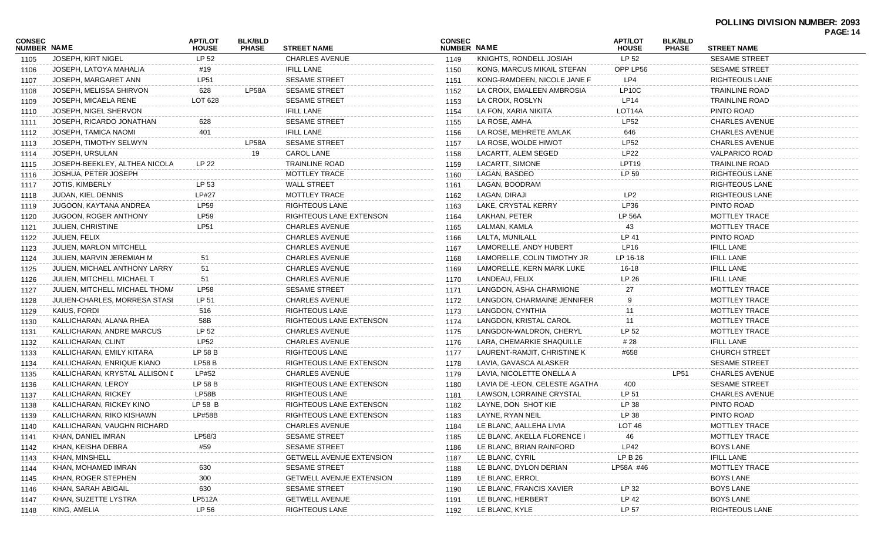|                              |                                   |                                |                                |                                 |                              |                                |                                |                                |                       | <b>PAGE: 14</b> |
|------------------------------|-----------------------------------|--------------------------------|--------------------------------|---------------------------------|------------------------------|--------------------------------|--------------------------------|--------------------------------|-----------------------|-----------------|
| <b>CONSEC</b><br>NUMBER NAME |                                   | <b>APT/LOT</b><br><b>HOUSE</b> | <b>BLK/BLD</b><br><b>PHASE</b> | <b>STREET NAME</b>              | <b>CONSEC</b><br>NUMBER NAME |                                | <b>APT/LOT</b><br><b>HOUSE</b> | <b>BLK/BLD</b><br><b>PHASE</b> | <b>STREET NAME</b>    |                 |
| 1105                         | JOSEPH, KIRT NIGEL                | LP 52                          |                                | <b>CHARLES AVENUE</b>           | 1149                         | KNIGHTS, RONDELL JOSIAH        | LP 52                          |                                | <b>SESAME STREET</b>  |                 |
| 1106                         | JOSEPH, LATOYA MAHALIA            | #19                            |                                | <b>IFILL LANE</b>               | 1150                         | KONG, MARCUS MIKAIL STEFAN     | OPP LP56                       |                                | <b>SESAME STREET</b>  |                 |
| 1107                         | JOSEPH, MARGARET ANN              | LP51                           |                                | <b>SESAME STREET</b>            | 1151                         | KONG-RAMDEEN, NICOLE JANE F    | LP4                            |                                | <b>RIGHTEOUS LANE</b> |                 |
| 1108                         | JOSEPH, MELISSA SHIRVON           | 628                            | LP58A                          | <b>SESAME STREET</b>            | 1152                         | LA CROIX, EMALEEN AMBROSIA     | LP <sub>10</sub> C             |                                | <b>TRAINLINE ROAD</b> |                 |
| 1109                         | JOSEPH, MICAELA RENE              | LOT 628                        |                                | <b>SESAME STREET</b>            | 1153                         | LA CROIX, ROSLYN               | LP14                           |                                | <b>TRAINLINE ROAD</b> |                 |
| 1110                         | JOSEPH, NIGEL SHERVON             |                                |                                | <b>IFILL LANE</b>               | 1154                         | LA FON, XARIA NIKITA           | LOT14A                         |                                | PINTO ROAD            |                 |
| 1111                         | JOSEPH, RICARDO JONATHAN          | 628                            |                                | <b>SESAME STREET</b>            | 1155                         | LA ROSE, AMHA                  | <b>LP52</b>                    |                                | <b>CHARLES AVENUE</b> |                 |
| 1112                         | JOSEPH, TAMICA NAOMI              | 401                            |                                | <b>IFILL LANE</b>               | 1156                         | LA ROSE, MEHRETE AMLAK         | 646                            |                                | <b>CHARLES AVENUE</b> |                 |
| 1113                         | JOSEPH, TIMOTHY SELWYN            |                                | LP58A                          | <b>SESAME STREET</b>            | 1157                         | LA ROSE, WOLDE HIWOT           | <b>LP52</b>                    |                                | <b>CHARLES AVENUE</b> |                 |
| 1114                         | JOSEPH, URSULAN                   |                                | 19                             | <b>CAROL LANE</b>               | 1158                         | LACARTT, ALEM SEGED            | <b>LP22</b>                    |                                | <b>VALPARICO ROAD</b> |                 |
| 1115                         | JOSEPH-BEEKLEY, ALTHEA NICOLA     | LP 22                          |                                | <b>TRAINLINE ROAD</b>           | 1159                         | LACARTT, SIMONE                | LPT <sub>19</sub>              |                                | <b>TRAINLINE ROAD</b> |                 |
| 1116                         | JOSHUA, PETER JOSEPH              |                                |                                | MOTTLEY TRACE                   | 1160                         | LAGAN, BASDEO                  | LP 59                          |                                | <b>RIGHTEOUS LANE</b> |                 |
| 1117                         | <b>JOTIS, KIMBERLY</b>            | LP 53                          |                                | <b>WALL STREET</b>              | 1161                         | LAGAN, BOODRAM                 |                                |                                | <b>RIGHTEOUS LANE</b> |                 |
| 1118                         | <b>JUDAN, KIEL DENNIS</b>         | <b>LP#27</b>                   |                                | MOTTLEY TRACE                   | 1162                         | LAGAN, DIRAJI                  | LP <sub>2</sub>                |                                | <b>RIGHTEOUS LANE</b> |                 |
| 1119                         | JUGOON, KAYTANA ANDREA            | LP59                           |                                | RIGHTEOUS LANE                  | 1163                         | LAKE, CRYSTAL KERRY            | LP36                           |                                | PINTO ROAD            |                 |
| 1120                         | <b>JUGOON, ROGER ANTHONY</b>      | LP59                           |                                | RIGHTEOUS LANE EXTENSON         | 1164                         | LAKHAN, PETER                  | <b>LP 56A</b>                  |                                | <b>MOTTLEY TRACE</b>  |                 |
| 1121                         | <b>JULIEN, CHRISTINE</b>          | <b>LP51</b>                    |                                | <b>CHARLES AVENUE</b>           | 1165                         | LALMAN, KAMLA                  | 43                             |                                | MOTTLEY TRACE         |                 |
| 1122                         | JULIEN, FELIX                     |                                |                                | <b>CHARLES AVENUE</b>           | 1166                         | LALTA, MUNILALL                | LP 41                          |                                | PINTO ROAD            |                 |
| 1123                         | <b>JULIEN, MARLON MITCHELL</b>    |                                |                                | <b>CHARLES AVENUE</b>           | 1167                         | LAMORELLE, ANDY HUBERT         | LP16                           |                                | <b>IFILL LANE</b>     |                 |
| 1124                         | JULIEN, MARVIN JEREMIAH M         | 51                             |                                | <b>CHARLES AVENUE</b>           | 1168                         | LAMORELLE, COLIN TIMOTHY JR    | LP 16-18                       |                                | <b>IFILL LANE</b>     |                 |
| 1125                         | JULIEN, MICHAEL ANTHONY LARRY     | 51                             |                                | <b>CHARLES AVENUE</b>           | 1169                         | LAMORELLE, KERN MARK LUKE      | 16-18                          |                                | <b>IFILL LANE</b>     |                 |
| 1126                         | <b>JULIEN, MITCHELL MICHAEL T</b> | 51                             |                                | <b>CHARLES AVENUE</b>           | 1170                         | LANDEAU, FELIX                 | LP 26                          |                                | <b>IFILL LANE</b>     |                 |
| 1127                         | JULIEN, MITCHELL MICHAEL THOMA    | <b>LP58</b>                    |                                | <b>SESAME STREET</b>            | 1171                         | LANGDON, ASHA CHARMIONE        | 27                             |                                | MOTTLEY TRACE         |                 |
| 1128                         | JULIEN-CHARLES, MORRESA STASI     | LP 51                          |                                | <b>CHARLES AVENUE</b>           | 1172                         | LANGDON, CHARMAINE JENNIFER    | 9                              |                                | MOTTLEY TRACE         |                 |
| 1129                         | KAIUS, FORDI                      | 516                            |                                | RIGHTEOUS LANE                  | 1173                         | LANGDON, CYNTHIA               |                                |                                | <b>MOTTLEY TRACE</b>  |                 |
| 1130                         | KALLICHARAN, ALANA RHEA           | 58B                            |                                | RIGHTEOUS LANE EXTENSON         | 1174                         | LANGDON, KRISTAL CAROL         | 11                             |                                | <b>MOTTLEY TRACE</b>  |                 |
| 1131                         | KALLICHARAN, ANDRE MARCUS         | LP 52                          |                                | <b>CHARLES AVENUE</b>           | 1175                         | LANGDON-WALDRON, CHERYL        | LP 52                          |                                | MOTTLEY TRACE         |                 |
| 1132                         | KALLICHARAN, CLINT                | LP52                           |                                | <b>CHARLES AVENUE</b>           | 1176                         | LARA, CHEMARKIE SHAQUILLE      | # 28                           |                                | <b>IFILL LANE</b>     |                 |
| 1133                         | KALLICHARAN, EMILY KITARA         | LP 58 B                        |                                | RIGHTEOUS LANE                  | 1177                         | LAURENT-RAMJIT, CHRISTINE K    | #658                           |                                | <b>CHURCH STREET</b>  |                 |
| 1134                         | KALLICHARAN, ENRIQUE KIANO        | <b>LP58 B</b>                  |                                | RIGHTEOUS LANE EXTENSON         | 1178                         | LAVIA, GAVASCA ALASKER         |                                |                                | <b>SESAME STREET</b>  |                 |
| 1135                         | KALLICHARAN, KRYSTAL ALLISON L    | LP#52                          |                                | <b>CHARLES AVENUE</b>           | 1179                         | LAVIA, NICOLETTE ONELLA A      |                                | <b>LP51</b>                    | <b>CHARLES AVENUE</b> |                 |
| 1136                         | KALLICHARAN, LEROY                | LP 58 B                        |                                | RIGHTEOUS LANE EXTENSON         | 1180                         | LAVIA DE -LEON, CELESTE AGATHA | 400                            |                                | <b>SESAME STREET</b>  |                 |
| 1137                         | KALLICHARAN, RICKEY               | LP58B                          |                                | <b>RIGHTEOUS LANE</b>           | 1181                         | LAWSON, LORRAINE CRYSTAL       | LP 51                          |                                | <b>CHARLES AVENUE</b> |                 |
| 1138                         | KALLICHARAN, RICKEY KINO          | LP 58 B                        |                                | RIGHTEOUS LANE EXTENSON         | 1182                         | LAYNE, DON SHOT KIE            | LP 38                          |                                | PINTO ROAD            |                 |
| 1139                         | KALLICHARAN, RIKO KISHAWN         | LP#58B                         |                                | RIGHTEOUS LANE EXTENSON         | 1183                         | LAYNE, RYAN NEIL               | LP 38                          |                                | PINTO ROAD            |                 |
| 1140                         | KALLICHARAN, VAUGHN RICHARD       |                                |                                | CHARLES AVENUE                  | 1184                         | LE BLANC, AALLEHA LIVIA        | LOT <sub>46</sub>              |                                | MOTTLEY TRACE         |                 |
| 1141                         | KHAN, DANIEL IMRAN                | LP58/3                         |                                | <b>SESAME STREET</b>            | 1185                         | LE BLANC, AKELLA FLORENCE I    | 46                             |                                | MOTTLEY TRACE         |                 |
| 1142                         | KHAN, KEISHA DEBRA                | #59                            |                                | <b>SESAME STREET</b>            | 1186                         | LE BLANC, BRIAN RAINFORD       | LP42                           |                                | <b>BOYS LANE</b>      |                 |
| 1143                         | KHAN, MINSHELL                    |                                |                                | <b>GETWELL AVENUE EXTENSION</b> | 1187                         | LE BLANC, CYRIL                | LP B 26                        |                                | <b>IFILL LANE</b>     |                 |
| 1144                         | KHAN, MOHAMED IMRAN               | 630                            |                                | <b>SESAME STREET</b>            | 1188                         | LE BLANC, DYLON DERIAN         | LP58A #46                      |                                | MOTTLEY TRACE         |                 |
| 1145                         | KHAN, ROGER STEPHEN               | 300                            |                                | <b>GETWELL AVENUE EXTENSION</b> | 1189                         | LE BLANC, ERROL                |                                |                                | <b>BOYS LANE</b>      |                 |
| 1146                         | KHAN, SARAH ABIGAIL               | 630                            |                                | <b>SESAME STREET</b>            | 1190                         | LE BLANC, FRANCIS XAVIER       | LP 32                          |                                | <b>BOYS LANE</b>      |                 |
| 1147                         | KHAN, SUZETTE LYSTRA              | LP512A                         |                                | <b>GETWELL AVENUE</b>           | 1191                         | LE BLANC, HERBERT              | LP 42                          |                                | <b>BOYS LANE</b>      |                 |
| 1148                         | KING, AMELIA                      | LP 56                          |                                | <b>RIGHTEOUS LANE</b>           | 1192                         | LE BLANC, KYLE                 | LP 57                          |                                | <b>RIGHTEOUS LANE</b> |                 |
|                              |                                   |                                |                                |                                 |                              |                                |                                |                                |                       |                 |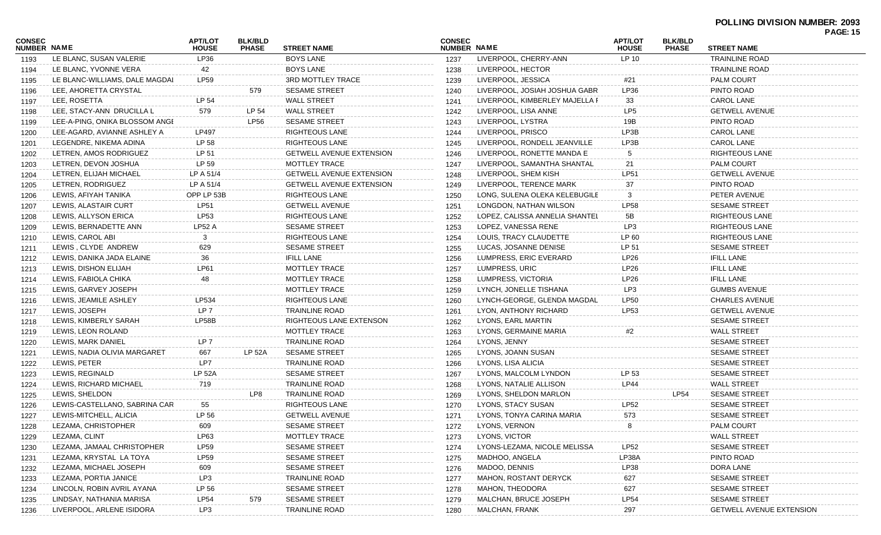### **POLLING DIVISION NUMBER: 2093**

|                              |                                |                                |                                |                                 |                              |                                |                                |                                |                                 | <b>PAGE: 15</b> |
|------------------------------|--------------------------------|--------------------------------|--------------------------------|---------------------------------|------------------------------|--------------------------------|--------------------------------|--------------------------------|---------------------------------|-----------------|
| CONSEC<br><b>NUMBER NAME</b> |                                | <b>APT/LOT</b><br><b>HOUSE</b> | <b>BLK/BLD</b><br><b>PHASE</b> | <b>STREET NAME</b>              | <b>CONSEC</b><br>NUMBER NAME |                                | <b>APT/LOT</b><br><b>HOUSE</b> | <b>BLK/BLD</b><br><b>PHASE</b> | <b>STREET NAME</b>              |                 |
| 1193                         | LE BLANC, SUSAN VALERIE        | LP36                           |                                | <b>BOYS LANE</b>                | 1237                         | LIVERPOOL, CHERRY-ANN          | LP 10                          |                                | <b>TRAINLINE ROAD</b>           |                 |
| 1194                         | LE BLANC, YVONNE VERA          | 42                             |                                | <b>BOYS LANE</b>                | 1238                         | LIVERPOOL, HECTOR              |                                |                                | <b>TRAINLINE ROAD</b>           |                 |
| 1195                         | LE BLANC-WILLIAMS, DALE MAGDAI | <b>LP59</b>                    |                                | 3RD MOTTLEY TRACE               | 1239                         | LIVERPOOL, JESSICA             | #21                            |                                | <b>PALM COURT</b>               |                 |
| 1196                         | LEE, AHORETTA CRYSTAL          |                                | 579                            | <b>SESAME STREET</b>            | 1240                         | LIVERPOOL, JOSIAH JOSHUA GABR  | LP36                           |                                | PINTO ROAD                      |                 |
| 1197                         | LEE, ROSETTA                   | LP 54                          |                                | <b>WALL STREET</b>              | 1241                         | LIVERPOOL, KIMBERLEY MAJELLA F | 33                             |                                | <b>CAROL LANE</b>               |                 |
| 1198                         | LEE, STACY-ANN DRUCILLA L      | 579                            | LP 54                          | <b>WALL STREET</b>              | 1242                         | LIVERPOOL, LISA ANNE           | LP5                            |                                | <b>GETWELL AVENUE</b>           |                 |
| 1199                         | LEE-A-PING, ONIKA BLOSSOM ANGI |                                | LP56                           | <b>SESAME STREET</b>            | 1243                         | LIVERPOOL, LYSTRA              | 19B                            |                                | PINTO ROAD                      |                 |
| 1200                         | LEE-AGARD, AVIANNE ASHLEY A    | <b>LP497</b>                   |                                | <b>RIGHTEOUS LANE</b>           | 1244                         | LIVERPOOL, PRISCO              | LP3B                           |                                | <b>CAROL LANE</b>               |                 |
| 1201                         | LEGENDRE, NIKEMA ADINA         | LP 58                          |                                | <b>RIGHTEOUS LANE</b>           | 1245                         | LIVERPOOL, RONDELL JEANVILLE   | LP3B                           |                                | <b>CAROL LANE</b>               |                 |
| 1202                         | LETREN, AMOS RODRIGUEZ         | LP 51                          |                                | <b>GETWELL AVENUE EXTENSION</b> | 1246                         | LIVERPOOL, RONETTE MANDA E     | 5                              |                                | <b>RIGHTEOUS LANE</b>           |                 |
| 1203                         | LETREN, DEVON JOSHUA           | LP 59                          |                                | MOTTLEY TRACE                   | 1247                         | LIVERPOOL, SAMANTHA SHANTAL    | 21                             |                                | <b>PALM COURT</b>               |                 |
| 1204                         | LETREN, ELIJAH MICHAEL         | LP A 51/4                      |                                | <b>GETWELL AVENUE EXTENSION</b> | 1248                         | LIVERPOOL, SHEM KISH           | <b>LP51</b>                    |                                | <b>GETWELL AVENUE</b>           |                 |
| 1205                         | LETREN, RODRIGUEZ              | LP A 51/4                      |                                | <b>GETWELL AVENUE EXTENSION</b> | 1249                         | LIVERPOOL, TERENCE MARK        | 37                             |                                | PINTO ROAD                      |                 |
| 1206                         | LEWIS, AFIYAH TANIKA           | OPP LP 53B                     |                                | RIGHTEOUS LANE                  | 1250                         | LONG, SULENA OLEKA KELEBUGILE  | 3                              |                                | PETER AVENUE                    |                 |
| 1207                         | LEWIS, ALASTAIR CURT           | <b>LP51</b>                    |                                | <b>GETWELL AVENUE</b>           | 1251                         | LONGDON, NATHAN WILSON         | <b>LP58</b>                    |                                | <b>SESAME STREET</b>            |                 |
| 1208                         | LEWIS, ALLYSON ERICA           | LP53                           |                                | <b>RIGHTEOUS LANE</b>           | 1252                         | LOPEZ, CALISSA ANNELIA SHANTEL | 5B                             |                                | RIGHTEOUS LANE                  |                 |
| 1209                         | LEWIS, BERNADETTE ANN          | <b>LP52 A</b>                  |                                | <b>SESAME STREET</b>            | 1253                         | LOPEZ, VANESSA RENE            | LP3                            |                                | <b>RIGHTEOUS LANE</b>           |                 |
| 1210                         | LEWIS, CAROL ABI               | 3                              |                                | <b>RIGHTEOUS LANE</b>           | 1254                         | LOUIS, TRACY CLAUDETTE         | LP 60                          |                                | RIGHTEOUS LANE                  |                 |
| 1211                         | LEWIS, CLYDE ANDREW            | 629                            |                                | SESAME STREET                   | 1255                         | LUCAS, JOSANNE DENISE          | LP 51                          |                                | <b>SESAME STREET</b>            |                 |
| 1212                         | LEWIS, DANIKA JADA ELAINE      | 36                             |                                | <b>IFILL LANE</b>               | 1256                         | LUMPRESS, ERIC EVERARD         | LP26                           |                                | <b>IFILL LANE</b>               |                 |
| 1213                         | LEWIS, DISHON ELIJAH           | <b>LP61</b>                    |                                | <b>MOTTLEY TRACE</b>            | 1257                         | LUMPRESS, URIC                 | <b>LP26</b>                    |                                | <b>IFILL LANE</b>               |                 |
| 1214                         | LEWIS, FABIOLA CHIKA           | 48                             |                                | MOTTLEY TRACE                   | 1258                         | LUMPRESS, VICTORIA             | <b>LP26</b>                    |                                | <b>IFILL LANE</b>               |                 |
| 1215                         | LEWIS, GARVEY JOSEPH           |                                |                                | MOTTLEY TRACE                   | 1259                         | LYNCH, JONELLE TISHANA         | LP3                            |                                | <b>GUMBS AVENUE</b>             |                 |
| 1216                         | LEWIS, JEAMILE ASHLEY          | LP534                          |                                | RIGHTEOUS LANE                  | 1260                         | LYNCH-GEORGE, GLENDA MAGDAL    | <b>LP50</b>                    |                                | <b>CHARLES AVENUE</b>           |                 |
| 1217                         | LEWIS, JOSEPH                  | LP <sub>7</sub>                |                                | TRAINLINE ROAD                  | 1261                         | LYON, ANTHONY RICHARD          | LP53                           |                                | <b>GETWELL AVENUE</b>           |                 |
| 1218                         | LEWIS, KIMBERLY SARAH          | LP58B                          |                                | RIGHTEOUS LANE EXTENSON         | 1262                         | LYONS, EARL MARTIN             |                                |                                | <b>SESAME STREET</b>            |                 |
| 1219                         | LEWIS, LEON ROLAND             |                                |                                | MOTTLEY TRACE                   | 1263                         | LYONS, GERMAINE MARIA          | #2                             |                                | <b>WALL STREET</b>              |                 |
| 1220                         | LEWIS, MARK DANIEL             | LP 7                           |                                | <b>TRAINLINE ROAD</b>           | 1264                         | LYONS, JENNY                   |                                |                                | <b>SESAME STREET</b>            |                 |
| 1221                         | LEWIS, NADIA OLIVIA MARGARET   | 667                            | <b>LP 52A</b>                  | <b>SESAME STREET</b>            | 1265                         | LYONS, JOANN SUSAN             |                                |                                | <b>SESAME STREET</b>            |                 |
| 1222                         | LEWIS, PETER                   | LP7                            |                                | TRAINLINE ROAD                  | 1266                         | LYONS, LISA ALICIA             |                                |                                | <b>SESAME STREET</b>            |                 |
| 1223                         | LEWIS, REGINALD                | <b>LP 52A</b>                  |                                | <b>SESAME STREET</b>            | 1267                         | LYONS, MALCOLM LYNDON          | LP 53                          |                                | <b>SESAME STREET</b>            |                 |
| 1224                         | LEWIS, RICHARD MICHAEL         | 719                            |                                | <b>TRAINLINE ROAD</b>           | 1268                         | LYONS, NATALIE ALLISON         | <b>LP44</b>                    |                                | <b>WALL STREET</b>              |                 |
| 1225                         | LEWIS, SHELDON                 |                                | LP8                            | <b>TRAINLINE ROAD</b>           | 1269                         | LYONS, SHELDON MARLON          |                                | <b>LP54</b>                    | <b>SESAME STREET</b>            |                 |
| 1226                         | LEWIS-CASTELLANO, SABRINA CAR  | 55                             |                                | <b>RIGHTEOUS LANE</b>           | 1270                         | LYONS, STACY SUSAN             | <b>LP52</b>                    |                                | <b>SESAME STREET</b>            |                 |
| 1227                         | LEWIS-MITCHELL, ALICIA         | LP 56                          |                                | <b>GETWELL AVENUE</b>           | 1271                         | LYONS, TONYA CARINA MARIA      | 573                            |                                | <b>SESAME STREET</b>            |                 |
| 1228                         | LEZAMA, CHRISTOPHER            | 609                            |                                | <b>SESAME STREET</b>            | 1272                         | LYONS, VERNON                  | 8                              |                                | PALM COURT                      |                 |
| 1229                         | LEZAMA, CLINT                  | LP63                           |                                | <b>MOTTLEY TRACE</b>            | 1273                         | LYONS, VICTOR                  |                                |                                | <b>WALL STREET</b>              |                 |
| 1230                         | LEZAMA, JAMAAL CHRISTOPHER     | <b>LP59</b>                    |                                | <b>SESAME STREET</b>            | 1274                         | LYONS-LEZAMA, NICOLE MELISSA   | <b>LP52</b>                    |                                | <b>SESAME STREET</b>            |                 |
| 1231                         | LEZAMA, KRYSTAL LA TOYA        | <b>LP59</b>                    |                                | <b>SESAME STREET</b>            | 1275                         | MADHOO, ANGELA                 | LP38A                          |                                | PINTO ROAD                      |                 |
| 1232                         | LEZAMA, MICHAEL JOSEPH         | 609                            |                                | <b>SESAME STREET</b>            | 1276                         | MADOO, DENNIS                  | LP38                           |                                | DORA LANE                       |                 |
| 1233                         | LEZAMA, PORTIA JANICE          | LP3                            |                                | TRAINLINE ROAD                  | 1277                         | MAHON, ROSTANT DERYCK          | 627                            |                                | <b>SESAME STREET</b>            |                 |
| 1234                         | LINCOLN, ROBIN AVRIL AYANA     | LP 56                          |                                | <b>SESAME STREET</b>            | 1278                         | MAHON, THEODORA                | 627                            |                                | <b>SESAME STREET</b>            |                 |
| 1235                         | LINDSAY, NATHANIA MARISA       | <b>LP54</b>                    | 579                            | SESAME STREET                   | 1279                         | MALCHAN, BRUCE JOSEPH          | <b>LP54</b>                    |                                | <b>SESAME STREET</b>            |                 |
| 1236                         | LIVERPOOL, ARLENE ISIDORA      | LP3                            |                                | <b>TRAINLINE ROAD</b>           | 1280                         | MALCHAN, FRANK                 | 297                            |                                | <b>GETWELL AVENUE EXTENSION</b> |                 |
|                              |                                |                                |                                |                                 |                              |                                |                                |                                |                                 |                 |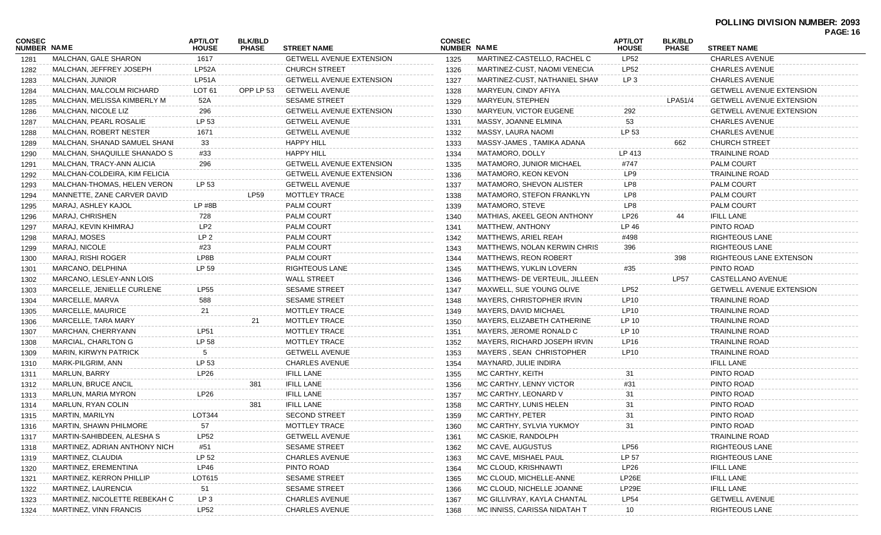|                              |                               |                                |                                |                                 |                              |                                |                                |                                |                                 | <b>PAGE: 10</b> |
|------------------------------|-------------------------------|--------------------------------|--------------------------------|---------------------------------|------------------------------|--------------------------------|--------------------------------|--------------------------------|---------------------------------|-----------------|
| <b>CONSEC</b><br>NUMBER NAME |                               | <b>APT/LOT</b><br><b>HOUSE</b> | <b>BLK/BLD</b><br><b>PHASE</b> | <b>STREET NAME</b>              | <b>CONSEC</b><br>NUMBER NAME |                                | <b>APT/LOT</b><br><b>HOUSE</b> | <b>BLK/BLD</b><br><b>PHASE</b> | <b>STREET NAME</b>              |                 |
| 1281                         | MALCHAN, GALE SHARON          | 1617                           |                                | <b>GETWELL AVENUE EXTENSION</b> | 1325                         | MARTINEZ-CASTELLO, RACHEL C    | LP52                           |                                | <b>CHARLES AVENUE</b>           |                 |
| 1282                         | MALCHAN, JEFFREY JOSEPH       | LP52A                          |                                | <b>CHURCH STREET</b>            | 1326                         | MARTINEZ-CUST, NAOMI VENECIA   | <b>LP52</b>                    |                                | <b>CHARLES AVENUE</b>           |                 |
| 1283                         | MALCHAN, JUNIOR               | LP51A                          |                                | <b>GETWELL AVENUE EXTENSION</b> | 1327                         | MARTINEZ-CUST, NATHANIEL SHAW  | LP <sub>3</sub>                |                                | <b>CHARLES AVENUE</b>           |                 |
| 1284                         | MALCHAN, MALCOLM RICHARD      | LOT 61                         | OPP LP 53                      | <b>GETWELL AVENUE</b>           | 1328                         | MARYEUN, CINDY AFIYA           |                                |                                | <b>GETWELL AVENUE EXTENSION</b> |                 |
| 1285                         | MALCHAN, MELISSA KIMBERLY M   | 52A                            |                                | <b>SESAME STREET</b>            | 1329                         | MARYEUN, STEPHEN               |                                | LPA51/4                        | <b>GETWELL AVENUE EXTENSION</b> |                 |
| 1286                         | MALCHAN, NICOLE LIZ           | 296                            |                                | <b>GETWELL AVENUE EXTENSION</b> | 1330                         | <b>MARYEUN, VICTOR EUGENE</b>  | 292                            |                                | <b>GETWELL AVENUE EXTENSION</b> |                 |
| 1287                         | MALCHAN, PEARL ROSALIE        | LP 53                          |                                | <b>GETWELL AVENUE</b>           | 1331                         | MASSY, JOANNE ELMINA           | 53                             |                                | <b>CHARLES AVENUE</b>           |                 |
| 1288                         | MALCHAN, ROBERT NESTER        | 1671                           |                                | <b>GETWELL AVENUE</b>           | 1332                         | MASSY, LAURA NAOMI             | LP 53                          |                                | <b>CHARLES AVENUE</b>           |                 |
| 1289                         | MALCHAN, SHANAD SAMUEL SHANI  | 33                             |                                | <b>HAPPY HILL</b>               | 1333                         | MASSY-JAMES, TAMIKA ADANA      |                                | 662                            | <b>CHURCH STREET</b>            |                 |
| 1290                         | MALCHAN, SHAQUILLE SHANADO S  | #33                            |                                | <b>HAPPY HILL</b>               | 1334                         | MATAMORO, DOLLY                | LP 413                         |                                | <b>TRAINLINE ROAD</b>           |                 |
| 1291                         | MALCHAN, TRACY-ANN ALICIA     | 296                            |                                | <b>GETWELL AVENUE EXTENSION</b> | 1335                         | MATAMORO, JUNIOR MICHAEL       | #747                           |                                | <b>PALM COURT</b>               |                 |
| 1292                         | MALCHAN-COLDEIRA, KIM FELICIA |                                |                                | <b>GETWELL AVENUE EXTENSION</b> | 1336                         | MATAMORO, KEON KEVON           | LP9                            |                                | <b>TRAINLINE ROAD</b>           |                 |
| 1293                         | MALCHAN-THOMAS, HELEN VERON   | LP 53                          |                                | <b>GETWELL AVENUE</b>           | 1337                         | MATAMORO, SHEVON ALISTER       | LP8                            |                                | <b>PALM COURT</b>               |                 |
| 1294                         | MANNETTE, ZANE CARVER DAVID   |                                | LP59                           | MOTTLEY TRACE                   | 1338                         | MATAMORO, STEFON FRANKLYN      | LP8                            |                                | <b>PALM COURT</b>               |                 |
| 1295                         | MARAJ, ASHLEY KAJOL           | $LP$ #8 $B$                    |                                | PALM COURT                      | 1339                         | MATAMORO, STEVE                | LP8                            |                                | PALM COURT                      |                 |
| 1296                         | MARAJ, CHRISHEN               | 728                            |                                | PALM COURT                      | 1340                         | MATHIAS, AKEEL GEON ANTHONY    | LP26                           | 44                             | <b>IFILL LANE</b>               |                 |
| 1297                         | MARAJ, KEVIN KHIMRAJ          | LP <sub>2</sub>                |                                | PALM COURT                      | 1341                         | MATTHEW, ANTHONY               | LP 46                          |                                | PINTO ROAD                      |                 |
| 1298                         | MARAJ, MOSES                  | LP <sub>2</sub>                |                                | PALM COURT                      | 1342                         | MATTHEWS, ARIEL REAH           | #498                           |                                | <b>RIGHTEOUS LANE</b>           |                 |
| 1299                         | MARAJ, NICOLE                 | #23                            |                                | PALM COURT                      | 1343                         | MATTHEWS, NOLAN KERWIN CHRIS   | 396                            |                                | <b>RIGHTEOUS LANE</b>           |                 |
| 1300                         | MARAJ, RISHI ROGER            | LP8B                           |                                | PALM COURT                      | 1344                         | <b>MATTHEWS, REON ROBERT</b>   |                                | 398                            | RIGHTEOUS LANE EXTENSON         |                 |
| 1301                         | MARCANO, DELPHINA             | LP 59                          |                                | <b>RIGHTEOUS LANE</b>           | 1345                         | MATTHEWS, YUKLIN LOVERN        | #35                            |                                | PINTO ROAD                      |                 |
| 1302                         | MARCANO, LESLEY-ANN LOIS      |                                |                                | <b>WALL STREET</b>              | 1346                         | MATTHEWS- DE VERTEUIL, JILLEEN |                                | <b>LP57</b>                    | CASTELLANO AVENUE               |                 |
| 1303                         | MARCELLE, JENIELLE CURLENE    | <b>LP55</b>                    |                                | <b>SESAME STREET</b>            | 1347                         | MAXWELL, SUE YOUNG OLIVE       | LP52                           |                                | <b>GETWELL AVENUE EXTENSION</b> |                 |
| 1304                         | MARCELLE, MARVA               | 588                            |                                | <b>SESAME STREET</b>            | 1348                         | MAYERS, CHRISTOPHER IRVIN      | LP10                           |                                | <b>TRAINLINE ROAD</b>           |                 |
| 1305                         | MARCELLE, MAURICE             | 21                             |                                | MOTTLEY TRACE                   | 1349                         | MAYERS, DAVID MICHAEL          | <b>LP10</b>                    |                                | <b>TRAINLINE ROAD</b>           |                 |
| 1306                         | MARCELLE, TARA MARY           |                                | 21                             | MOTTLEY TRACE                   | 1350                         | MAYERS, ELIZABETH CATHERINE    | LP 10                          |                                | TRAINLINE ROAD                  |                 |
| 1307                         | MARCHAN, CHERRYANN            | <b>LP51</b>                    |                                | MOTTLEY TRACE                   | 1351                         | MAYERS, JEROME RONALD C        | LP 10                          |                                | <b>TRAINLINE ROAD</b>           |                 |
| 1308                         | MARCIAL, CHARLTON G           | LP 58                          |                                | MOTTLEY TRACE                   | 1352                         | MAYERS, RICHARD JOSEPH IRVIN   | LP16                           |                                | <b>TRAINLINE ROAD</b>           |                 |
| 1309                         | MARIN, KIRWYN PATRICK         | -5                             |                                | <b>GETWELL AVENUE</b>           | 1353                         | MAYERS, SEAN CHRISTOPHER       | LP10                           |                                | <b>TRAINLINE ROAD</b>           |                 |
| 1310                         | MARK-PILGRIM, ANN             | LP 53                          |                                | <b>CHARLES AVENUE</b>           | 1354                         | MAYNARD, JULIE INDIRA          |                                |                                | <b>IFILL LANE</b>               |                 |
| 1311                         | MARLUN, BARRY                 | <b>LP26</b>                    |                                | <b>IFILL LANE</b>               | 1355                         | MC CARTHY, KEITH               | 31                             |                                | PINTO ROAD                      |                 |
| 1312                         | <b>MARLUN, BRUCE ANCIL</b>    |                                | 381                            | <b>IFILL LANE</b>               | 1356                         | MC CARTHY, LENNY VICTOR        | #31                            |                                | PINTO ROAD                      |                 |
| 1313                         | MARLUN, MARIA MYRON           | LP26                           |                                | <b>IFILL LANE</b>               | 1357                         | MC CARTHY, LEONARD V           | 31                             |                                | PINTO ROAD                      |                 |
| 1314                         | MARLUN, RYAN COLIN            |                                | 381                            | <b>IFILL LANE</b>               | 1358                         | MC CARTHY, LUNIS HELEN         | 31                             |                                | PINTO ROAD                      |                 |
| 1315                         | MARTIN, MARILYN               | LOT344                         |                                | <b>SECOND STREET</b>            | 1359                         | MC CARTHY, PETER               | 31                             |                                | PINTO ROAD                      |                 |
| 1316                         | MARTIN, SHAWN PHILMORE        | 57                             |                                | MOTTLEY TRACE                   | 1360                         | MC CARTHY, SYLVIA YUKMOY       | 31                             |                                | PINTO ROAD                      |                 |
| 1317                         | MARTIN-SAHIBDEEN, ALESHA S    | LP52                           |                                | <b>GETWELL AVENUE</b>           | 1361                         | MC CASKIE, RANDOLPH            |                                |                                | <b>TRAINLINE ROAD</b>           |                 |
| 1318                         | MARTINEZ, ADRIAN ANTHONY NICH | #51                            |                                | <b>SESAME STREET</b>            | 1362                         | MC CAVE, AUGUSTUS              | <b>LP56</b>                    |                                | <b>RIGHTEOUS LANE</b>           |                 |
| 1319                         | MARTINEZ, CLAUDIA             | LP 52                          |                                | <b>CHARLES AVENUE</b>           | 1363                         | MC CAVE, MISHAEL PAUL          | LP 57                          |                                | <b>RIGHTEOUS LANE</b>           |                 |
| 1320                         | MARTINEZ, EREMENTINA          | LP46                           |                                | PINTO ROAD                      | 1364                         | MC CLOUD, KRISHNAWTI           | LP26                           |                                | <b>IFILL LANE</b>               |                 |
| 1321                         | MARTINEZ, KERRON PHILLIP      | LOT615                         |                                | <b>SESAME STREET</b>            | 1365                         | MC CLOUD, MICHELLE-ANNE        | LP26E                          |                                | <b>IFILL LANE</b>               |                 |
| 1322                         | MARTINEZ, LAURENCIA           | -51                            |                                | <b>SESAME STREET</b>            | 1366                         | MC CLOUD, NICHELLE JOANNE      | LP29E                          |                                | <b>IFILL LANE</b>               |                 |
| 1323                         | MARTINEZ, NICOLETTE REBEKAH C | LP <sub>3</sub>                |                                | <b>CHARLES AVENUE</b>           | 1367                         | MC GILLIVRAY, KAYLA CHANTAL    | LP54                           |                                | <b>GETWELL AVENUE</b>           |                 |
| 1324                         | MARTINEZ, VINN FRANCIS        | <b>LP52</b>                    |                                | <b>CHARLES AVENUE</b>           | 1368                         | MC INNISS, CARISSA NIDATAH T   | 10                             |                                | <b>RIGHTEOUS LANE</b>           |                 |
|                              |                               |                                |                                |                                 |                              |                                |                                |                                |                                 |                 |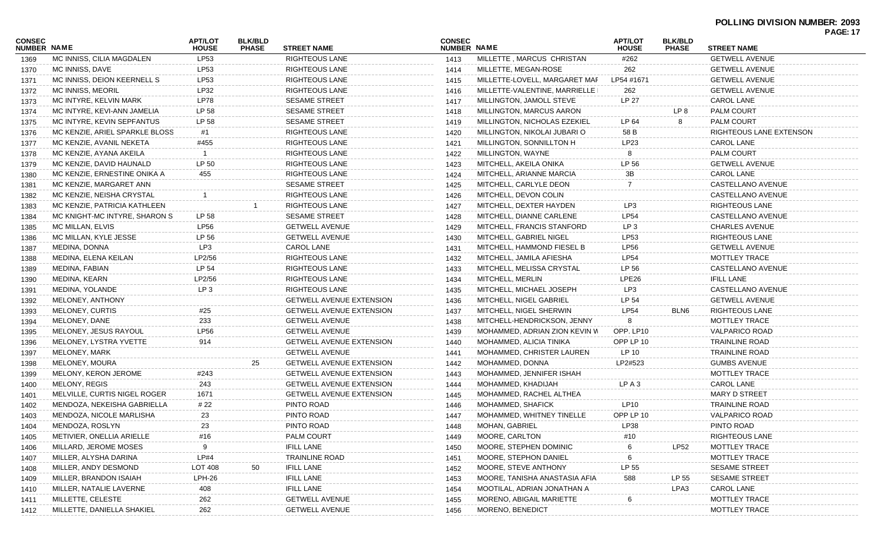|                              |                                |                         |                                |                                 |                              |                               |                                |                                |                         | <b>PAGE: 17</b> |
|------------------------------|--------------------------------|-------------------------|--------------------------------|---------------------------------|------------------------------|-------------------------------|--------------------------------|--------------------------------|-------------------------|-----------------|
| <b>CONSEC</b><br>NUMBER NAME |                                | APT/LOT<br><b>HOUSE</b> | <b>BLK/BLD</b><br><b>PHASE</b> | <b>STREET NAME</b>              | <b>CONSEC</b><br>NUMBER NAME |                               | <b>APT/LOT</b><br><b>HOUSE</b> | <b>BLK/BLD</b><br><b>PHASE</b> | <b>STREET NAME</b>      |                 |
| 1369                         | MC INNISS, CILIA MAGDALEN      | LP53                    |                                | <b>RIGHTEOUS LANE</b>           | 1413                         | MILLETTE, MARCUS CHRISTAN     | #262                           |                                | <b>GETWELL AVENUE</b>   |                 |
| 1370                         | MC INNISS, DAVE                | <b>LP53</b>             |                                | <b>RIGHTEOUS LANE</b>           | 1414                         | MILLETTE, MEGAN-ROSE          | 262                            |                                | <b>GETWELL AVENUE</b>   |                 |
| 1371                         | MC INNISS, DEION KEERNELL S    | LP53                    |                                | <b>RIGHTEOUS LANE</b>           | 1415                         | MILLETTE-LOVELL, MARGARET MAF | LP54 #1671                     |                                | <b>GETWELL AVENUE</b>   |                 |
| 1372                         | MC INNISS, MEORIL              | LP32                    |                                | <b>RIGHTEOUS LANE</b>           | 1416                         | MILLETTE-VALENTINE, MARRIELLE | 262                            |                                | <b>GETWELL AVENUE</b>   |                 |
| 1373                         | MC INTYRE, KELVIN MARK         | <b>LP78</b>             |                                | <b>SESAME STREET</b>            | 1417                         | MILLINGTON, JAMOLL STEVE      | LP 27                          |                                | <b>CAROL LANE</b>       |                 |
| 1374                         | MC INTYRE, KEVI-ANN JAMELIA    | LP 58                   |                                | <b>SESAME STREET</b>            | 1418                         | MILLINGTON, MARCUS AARON      |                                | LP 8                           | <b>PALM COURT</b>       |                 |
| 1375                         | MC INTYRE, KEVIN SEPFANTUS     | LP 58                   |                                | <b>SESAME STREET</b>            | 1419                         | MILLINGTON, NICHOLAS EZEKIEL  | LP 64                          | 8                              | <b>PALM COURT</b>       |                 |
| 1376                         | MC KENZIE, ARIEL SPARKLE BLOSS | #1                      |                                | <b>RIGHTEOUS LANE</b>           | 1420                         | MILLINGTON, NIKOLAI JUBARI O  | 58 B                           |                                | RIGHTEOUS LANE EXTENSON |                 |
| 1377                         | MC KENZIE, AVANIL NEKETA       | #455                    |                                | <b>RIGHTEOUS LANE</b>           | 1421                         | MILLINGTON, SONNILLTON H      | LP23                           |                                | <b>CAROL LANE</b>       |                 |
| 1378                         | MC KENZIE, AYANA AKEILA        | - 1                     |                                | <b>RIGHTEOUS LANE</b>           | 1422                         | MILLINGTON, WAYNE             |                                |                                | <b>PALM COURT</b>       |                 |
| 1379                         | MC KENZIE, DAVID HAUNALD       | LP 50                   |                                | <b>RIGHTEOUS LANE</b>           | 1423                         | MITCHELL, AKEILA ONIKA        | LP 56                          |                                | <b>GETWELL AVENUE</b>   |                 |
| 1380                         | MC KENZIE, ERNESTINE ONIKA A   | 455                     |                                | <b>RIGHTEOUS LANE</b>           | 1424                         | MITCHELL, ARIANNE MARCIA      | 3B                             |                                | <b>CAROL LANE</b>       |                 |
| 1381                         | MC KENZIE, MARGARET ANN        |                         |                                | <b>SESAME STREET</b>            | 1425                         | MITCHELL, CARLYLE DEON        |                                |                                | CASTELLANO AVENUE       |                 |
| 1382                         | MC KENZIE, NEISHA CRYSTAL      |                         |                                | <b>RIGHTEOUS LANE</b>           | 1426                         | MITCHELL, DEVON COLIN         |                                |                                | CASTELLANO AVENUE       |                 |
| 1383                         | MC KENZIE, PATRICIA KATHLEEN   |                         |                                | <b>RIGHTEOUS LANE</b>           | 1427                         | MITCHELL, DEXTER HAYDEN       | LP3                            |                                | RIGHTEOUS LANE          |                 |
| 1384                         | MC KNIGHT-MC INTYRE, SHARON S  | LP 58                   |                                | <b>SESAME STREET</b>            | 1428                         | MITCHELL, DIANNE CARLENE      | <b>LP54</b>                    |                                | CASTELLANO AVENUE       |                 |
| 1385                         | MC MILLAN, ELVIS               | <b>LP56</b>             |                                | <b>GETWELL AVENUE</b>           | 1429                         | MITCHELL, FRANCIS STANFORD    | LP <sub>3</sub>                |                                | <b>CHARLES AVENUE</b>   |                 |
| 1386                         | MC MILLAN, KYLE JESSE          | LP 56                   |                                | <b>GETWELL AVENUE</b>           | 1430                         | MITCHELL, GABRIEL NIGEL       | LP53                           |                                | RIGHTEOUS LANE          |                 |
| 1387                         | MEDINA, DONNA                  | LP3                     |                                | <b>CAROL LANE</b>               | 1431                         | MITCHELL, HAMMOND FIESEL B    | <b>LP56</b>                    |                                | <b>GETWELL AVENUE</b>   |                 |
| 1388                         | MEDINA, ELENA KEILAN           | LP2/56                  |                                | <b>RIGHTEOUS LANE</b>           | 1432                         | MITCHELL, JAMILA AFIESHA      | <b>LP54</b>                    |                                | MOTTLEY TRACE           |                 |
| 1389                         | MEDINA, FABIAN                 | LP 54                   |                                | <b>RIGHTEOUS LANE</b>           | 1433                         | MITCHELL, MELISSA CRYSTAL     | LP 56                          |                                | CASTELLANO AVENUE       |                 |
| 1390                         | MEDINA, KEARN                  | LP2/56                  |                                | <b>RIGHTEOUS LANE</b>           | 1434                         | MITCHELL, MERLIN              | LPE26                          |                                | <b>IFILL LANE</b>       |                 |
| 1391                         | MEDINA, YOLANDE                | LP <sub>3</sub>         |                                | RIGHTEOUS LANE                  | 1435                         | MITCHELL, MICHAEL JOSEPH      | LP3                            |                                | CASTELLANO AVENUE       |                 |
| 1392                         | MELONEY, ANTHONY               |                         |                                | <b>GETWELL AVENUE EXTENSION</b> | 1436                         | MITCHELL, NIGEL GABRIEL       | LP 54                          |                                | <b>GETWELL AVENUE</b>   |                 |
| 1393                         | MELONEY, CURTIS                | #25                     |                                | <b>GETWELL AVENUE EXTENSION</b> | 1437                         | MITCHELL, NIGEL SHERWIN       | <b>LP54</b>                    | BLN6                           | RIGHTEOUS LANE          |                 |
| 1394                         | MELONEY, DANE                  | 233                     |                                | <b>GETWELL AVENUE</b>           | 1438                         | MITCHELL-HENDRICKSON, JENNY   | 8                              |                                | MOTTLEY TRACE           |                 |
| 1395                         | MELONEY, JESUS RAYOUL          | <b>LP56</b>             |                                | <b>GETWELL AVENUE</b>           | 1439                         | MOHAMMED, ADRIAN ZION KEVIN W | OPP. LP10                      |                                | <b>VALPARICO ROAD</b>   |                 |
| 1396                         | MELONEY, LYSTRA YVETTE         | 914                     |                                | <b>GETWELL AVENUE EXTENSION</b> | 1440                         | MOHAMMED, ALICIA TINIKA       | OPP LP 10                      |                                | <b>TRAINLINE ROAD</b>   |                 |
| 1397                         | MELONEY, MARK                  |                         |                                | <b>GETWELL AVENUE</b>           | 1441                         | MOHAMMED, CHRISTER LAUREN     | LP 10                          |                                | <b>TRAINLINE ROAD</b>   |                 |
| 1398                         | MELONEY, MOURA                 |                         | 25                             | <b>GETWELL AVENUE EXTENSION</b> | 1442                         | MOHAMMED, DONNA               | LP2#523                        |                                | <b>GUMBS AVENUE</b>     |                 |
| 1399                         | MELONY, KERON JEROME           | #243                    |                                | <b>GETWELL AVENUE EXTENSION</b> | 1443                         | MOHAMMED, JENNIFER ISHAH      |                                |                                | MOTTLEY TRACE           |                 |
| 1400                         | <b>MELONY, REGIS</b>           | 243                     |                                | <b>GETWELL AVENUE EXTENSION</b> | 1444                         | MOHAMMED, KHADIJAH            | LPA3                           |                                | <b>CAROL LANE</b>       |                 |
| 1401                         | MELVILLE, CURTIS NIGEL ROGER   | 1671                    |                                | <b>GETWELL AVENUE EXTENSION</b> | 1445                         | MOHAMMED, RACHEL ALTHEA       |                                |                                | <b>MARY D STREET</b>    |                 |
| 1402                         | MENDOZA, NEKEISHA GABRIELLA    | # 22                    |                                | PINTO ROAD                      | 1446                         | MOHAMMED, SHAFICK             | LP10                           |                                | <b>TRAINLINE ROAD</b>   |                 |
| 1403                         | MENDOZA, NICOLE MARLISHA       | 23                      |                                | PINTO ROAD                      | 1447                         | MOHAMMED, WHITNEY TINELLE     | OPP LP 10                      |                                | <b>VALPARICO ROAD</b>   |                 |
| 1404                         | MENDOZA, ROSLYN                | 23                      |                                | PINTO ROAD                      | 1448                         | MOHAN, GABRIEL                | LP38                           |                                | PINTO ROAD              |                 |
| 1405                         | METIVIER, ONELLIA ARIELLE      | #16                     |                                | <b>PALM COURT</b>               | 1449                         | MOORE, CARLTON                | #10                            |                                | <b>RIGHTEOUS LANE</b>   |                 |
| 1406                         | MILLARD, JEROME MOSES          | -9                      |                                | <b>IFILL LANE</b>               | 1450                         | MOORE, STEPHEN DOMINIC        |                                | <b>LP52</b>                    | MOTTLEY TRACE           |                 |
| 1407                         | MILLER, ALYSHA DARINA          | LP#4                    |                                | <b>TRAINLINE ROAD</b>           | 1451                         | MOORE, STEPHON DANIEL         | 6                              |                                | MOTTLEY TRACE           |                 |
| 1408                         | MILLER, ANDY DESMOND           | <b>LOT 408</b>          | 50                             | <b>IFILL LANE</b>               | 1452                         | MOORE, STEVE ANTHONY          | LP 55                          |                                | <b>SESAME STREET</b>    |                 |
| 1409                         | MILLER, BRANDON ISAIAH         | $LPH-26$                |                                | <b>IFILL LANE</b>               | 1453                         | MOORE, TANISHA ANASTASIA AFIA | 588                            | LP 55                          | <b>SESAME STREET</b>    |                 |
| 1410                         | MILLER, NATALIE LAVERNE        | 408                     |                                | <b>IFILL LANE</b>               | 1454                         | MOOTILAL, ADRIAN JONATHAN A   |                                | LPA3                           | CAROL LANE              |                 |
| 1411                         | MILLETTE, CELESTE              | 262                     |                                | <b>GETWELL AVENUE</b>           | 1455                         | MORENO, ABIGAIL MARIETTE      |                                |                                | MOTTLEY TRACE           |                 |
| 1412                         | MILLETTE, DANIELLA SHAKIEL     | 262                     |                                | <b>GETWELL AVENUE</b>           | 1456                         | MORENO, BENEDICT              |                                |                                | MOTTLEY TRACE           |                 |
|                              |                                |                         |                                |                                 |                              |                               |                                |                                |                         |                 |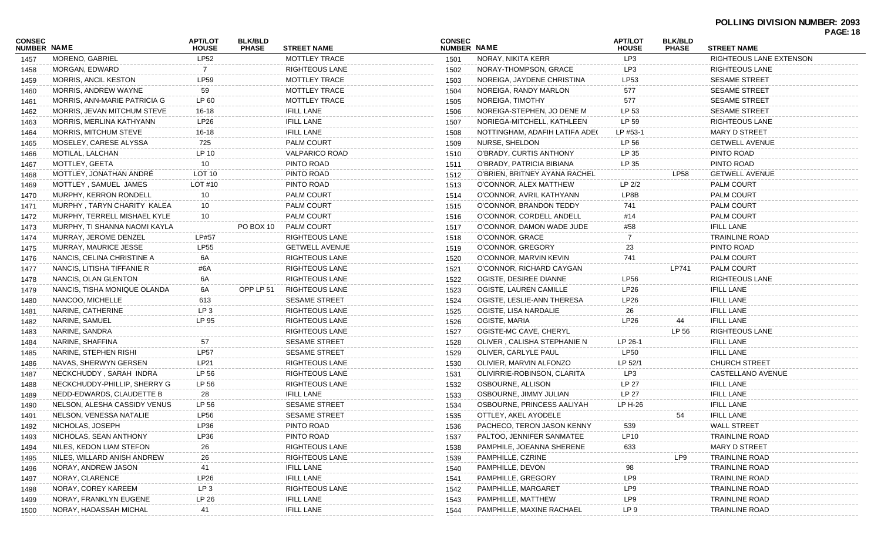### **POLLING DIVISION NUMBER: 2093**

| <b>CONSEC</b><br>NUMBER NAME |                               | <b>APT/LOT</b><br><b>HOUSE</b> | <b>BLK/BLD</b><br><b>PHASE</b> | <b>STREET NAME</b>    | <b>CONSEC</b><br>NUMBER NAME |                                | <b>APT/LOT</b><br><b>HOUSE</b> | <b>BLK/BLD</b><br><b>PHASE</b> | <b>STREET NAME</b>      |
|------------------------------|-------------------------------|--------------------------------|--------------------------------|-----------------------|------------------------------|--------------------------------|--------------------------------|--------------------------------|-------------------------|
| 1457                         | MORENO, GABRIEL               | <b>LP52</b>                    |                                | MOTTLEY TRACE         | 1501                         | NORAY, NIKITA KERR             | LP3                            |                                | RIGHTEOUS LANE EXTENSON |
| 1458                         | MORGAN, EDWARD                | $\overline{7}$                 |                                | <b>RIGHTEOUS LANE</b> | 1502                         | NORAY-THOMPSON, GRACE          | LP <sub>3</sub>                |                                | RIGHTEOUS LANE          |
| 1459                         | MORRIS, ANCIL KESTON          | <b>LP59</b>                    |                                | MOTTLEY TRACE         | 1503                         | NOREIGA, JAYDENE CHRISTINA     | LP53                           |                                | <b>SESAME STREET</b>    |
| 1460                         | MORRIS, ANDREW WAYNE          | 59                             |                                | MOTTLEY TRACE         | 1504                         | NOREIGA, RANDY MARLON          | 577                            |                                | <b>SESAME STREET</b>    |
| 1461                         | MORRIS, ANN-MARIE PATRICIA G  | LP 60                          |                                | MOTTLEY TRACE         | 1505                         | NOREIGA, TIMOTHY               | 577                            |                                | <b>SESAME STREET</b>    |
| 1462                         | MORRIS, JEVAN MITCHUM STEVE   | $16 - 18$                      |                                | <b>IFILL LANE</b>     | 1506                         | NOREIGA-STEPHEN, JO DENE M     | LP 53                          |                                | <b>SESAME STREET</b>    |
| 1463                         | MORRIS, MERLINA KATHYANN      | LP26                           |                                | <b>IFILL LANE</b>     | 1507                         | NORIEGA-MITCHELL, KATHLEEN     | LP 59                          |                                | <b>RIGHTEOUS LANE</b>   |
| 1464                         | MORRIS, MITCHUM STEVE         | $16 - 18$                      |                                | <b>IFILL LANE</b>     | 1508                         | NOTTINGHAM, ADAFIH LATIFA ADEC | LP #53-1                       |                                | <b>MARY D STREET</b>    |
| 1465                         | MOSELEY, CARESE ALYSSA        | 725                            |                                | PALM COURT            | 1509                         | NURSE, SHELDON                 | LP 56                          |                                | <b>GETWELL AVENUE</b>   |
| 1466                         | MOTILAL, LALCHAN              | LP 10                          |                                | <b>VALPARICO ROAD</b> | 1510                         | O'BRADY, CURTIS ANTHONY        | LP 35                          |                                | PINTO ROAD              |
| 1467                         | MOTTLEY, GEETA                | 10                             |                                | PINTO ROAD            | 1511                         | O'BRADY, PATRICIA BIBIANA      | LP 35                          |                                | PINTO ROAD              |
| 1468                         | MOTTLEY, JONATHAN ANDRÉ       | LOT <sub>10</sub>              |                                | PINTO ROAD            | 1512                         | O'BRIEN, BRITNEY AYANA RACHEL  |                                | <b>LP58</b>                    | <b>GETWELL AVENUE</b>   |
| 1469                         | MOTTLEY, SAMUEL JAMES         | LOT #10                        |                                | PINTO ROAD            | 1513                         | O'CONNOR, ALEX MATTHEW         | LP <sub>2/2</sub>              |                                | <b>PALM COURT</b>       |
| 1470                         | MURPHY, KERRON RONDELL        | 10                             |                                | <b>PALM COURT</b>     | 1514                         | O'CONNOR, AVRIL KATHYANN       | LP8B                           |                                | <b>PALM COURT</b>       |
| 1471                         | MURPHY, TARYN CHARITY KALEA   | 10                             |                                | PALM COURT            | 1515                         | O'CONNOR, BRANDON TEDDY        | 741                            |                                | <b>PALM COURT</b>       |
| 1472                         | MURPHY, TERRELL MISHAEL KYLE  | 10                             |                                | <b>PALM COURT</b>     | 1516                         | O'CONNOR, CORDELL ANDELL       | #14                            |                                | <b>PALM COURT</b>       |
| 1473                         | MURPHY, TI SHANNA NAOMI KAYLA |                                | PO BOX 10                      | PALM COURT            | 1517                         | O'CONNOR, DAMON WADE JUDE      | #58                            |                                | <b>IFILL LANE</b>       |
| 1474                         | MURRAY, JEROME DENZEL         | LP#57                          |                                | RIGHTEOUS LANE        | 1518                         | O'CONNOR, GRACE                |                                |                                | <b>TRAINLINE ROAD</b>   |
| 1475                         | MURRAY, MAURICE JESSE         | <b>LP55</b>                    |                                | <b>GETWELL AVENUE</b> | 1519                         | O'CONNOR, GREGORY              | 23                             |                                | PINTO ROAD              |
| 1476                         | NANCIS, CELINA CHRISTINE A    | 6A                             |                                | <b>RIGHTEOUS LANE</b> | 1520                         | O'CONNOR, MARVIN KEVIN         | 741                            |                                | <b>PALM COURT</b>       |
| 1477                         | NANCIS, LITISHA TIFFANIE R    | #6A                            |                                | <b>RIGHTEOUS LANE</b> | 1521                         | O'CONNOR, RICHARD CAYGAN       |                                | LP741                          | PALM COURT              |
| 1478                         | NANCIS, OLAN GLENTON          | 6A                             |                                | <b>RIGHTEOUS LANE</b> | 1522                         | OGISTE, DESIREE DIANNE         | <b>LP56</b>                    |                                | RIGHTEOUS LANE          |
| 1479                         | NANCIS, TISHA MONIQUE OLANDA  | 6A                             | OPP LP 51                      | <b>RIGHTEOUS LANE</b> | 1523                         | OGISTE, LAUREN CAMILLE         | LP26                           |                                | <b>IFILL LANE</b>       |
| 1480                         | NANCOO, MICHELLE              | 613                            |                                | <b>SESAME STREET</b>  | 1524                         | OGISTE, LESLIE-ANN THERESA     | LP26                           |                                | <b>IFILL LANE</b>       |
| 1481                         | NARINE, CATHERINE             | LP <sub>3</sub>                |                                | <b>RIGHTEOUS LANE</b> | 1525                         | OGISTE, LISA NARDALIE          | 26                             |                                | <b>IFILL LANE</b>       |
| 1482                         | NARINE, SAMUEL                | LP 95                          |                                | <b>RIGHTEOUS LANE</b> | 1526                         | OGISTE, MARIA                  | LP26                           | 44                             | <b>IFILL LANE</b>       |
| 1483                         | NARINE, SANDRA                |                                |                                | <b>RIGHTEOUS LANE</b> | 1527                         | OGISTE-MC CAVE, CHERYL         |                                | LP 56                          | <b>RIGHTEOUS LANE</b>   |
| 1484                         | NARINE, SHAFFINA              | 57                             |                                | <b>SESAME STREET</b>  | 1528                         | OLIVER, CALISHA STEPHANIE N    | LP 26-1                        |                                | <b>IFILL LANE</b>       |
| 1485                         | NARINE, STEPHEN RISHI         | <b>LP57</b>                    |                                | <b>SESAME STREET</b>  | 1529                         | OLIVER, CARLYLE PAUL           | <b>LP50</b>                    |                                | <b>IFILL LANE</b>       |
| 1486                         | NAVAS, SHERWYN GERSEN         | <b>LP21</b>                    |                                | <b>RIGHTEOUS LANE</b> | 1530                         | OLIVIER, MARVIN ALFONZO        | LP 52/1                        |                                | <b>CHURCH STREET</b>    |
| 1487                         | NECKCHUDDY, SARAH INDRA       | LP 56                          |                                | <b>RIGHTEOUS LANE</b> | 1531                         | OLIVIRRIE-ROBINSON, CLARITA    | LP3                            |                                | CASTELLANO AVENUE       |
| 1488                         | NECKCHUDDY-PHILLIP, SHERRY G  | LP 56                          |                                | <b>RIGHTEOUS LANE</b> | 1532                         | OSBOURNE, ALLISON              | LP 27                          |                                | <b>IFILL LANE</b>       |
| 1489                         | NEDD-EDWARDS, CLAUDETTE B     | 28                             |                                | <b>IFILL LANE</b>     | 1533                         | OSBOURNE, JIMMY JULIAN         | LP 27                          |                                | <b>IFILL LANE</b>       |
| 1490                         | NELSON, ALESHA CASSIDY VENUS  | LP 56                          |                                | <b>SESAME STREET</b>  | 1534                         | OSBOURNE, PRINCESS AALIYAH     | LP H-26                        |                                | <b>IFILL LANE</b>       |
| 1491                         | NELSON, VENESSA NATALIE       | <b>LP56</b>                    |                                | <b>SESAME STREET</b>  | 1535                         | OTTLEY, AKEL AYODELE           |                                | 54                             | <b>IFILL LANE</b>       |
| 1492                         | NICHOLAS, JOSEPH              | LP36                           |                                | PINTO ROAD            | 1536                         | PACHECO, TERON JASON KENNY     | 539                            |                                | <b>WALL STREET</b>      |
| 1493                         | NICHOLAS, SEAN ANTHONY        | LP36                           |                                | PINTO ROAD            | 1537                         | PALTOO, JENNIFER SANMATEE      | LP10                           |                                | <b>TRAINLINE ROAD</b>   |
| 1494                         | NILES, KEDON LIAM STEFON      | 26                             |                                | RIGHTEOUS LANE        | 1538                         | PAMPHILE, JOEANNA SHERENE      | 633                            |                                | <b>MARY D STREET</b>    |
| 1495                         | NILES, WILLARD ANISH ANDREW   | 26                             |                                | RIGHTEOUS LANE        | 1539                         | PAMPHILLE, CZRINE              |                                | LP9                            | <b>TRAINLINE ROAD</b>   |
| 1496                         | NORAY, ANDREW JASON           | 41                             |                                | <b>IFILL LANE</b>     | 1540                         | PAMPHILLE, DEVON               | 98                             |                                | <b>TRAINLINE ROAD</b>   |
| 1497                         | NORAY, CLARENCE               | LP26                           |                                | <b>IFILL LANE</b>     | 1541                         | PAMPHILLE, GREGORY             | LP9                            |                                | TRAINLINE ROAD          |
| 1498                         | NORAY, COREY KAREEM           | LP <sub>3</sub>                |                                | RIGHTEOUS LANE        | 1542                         | PAMPHILLE, MARGARET            | LP9                            |                                | TRAINLINE ROAD          |
|                              | NORAY, FRANKLYN EUGENE        | LP 26                          |                                | <b>IFILL LANE</b>     | 1543                         | PAMPHILLE, MATTHEW             | LP9                            |                                | TRAINLINE ROAD          |
| 1499                         | NORAY, HADASSAH MICHAL        | 41                             |                                | <b>IFILL LANE</b>     |                              | PAMPHILLE, MAXINE RACHAEL      | LP 9                           |                                | TRAINLINE ROAD          |
| 1500                         |                               |                                |                                |                       | 1544                         |                                |                                |                                |                         |

**PAGE: 18**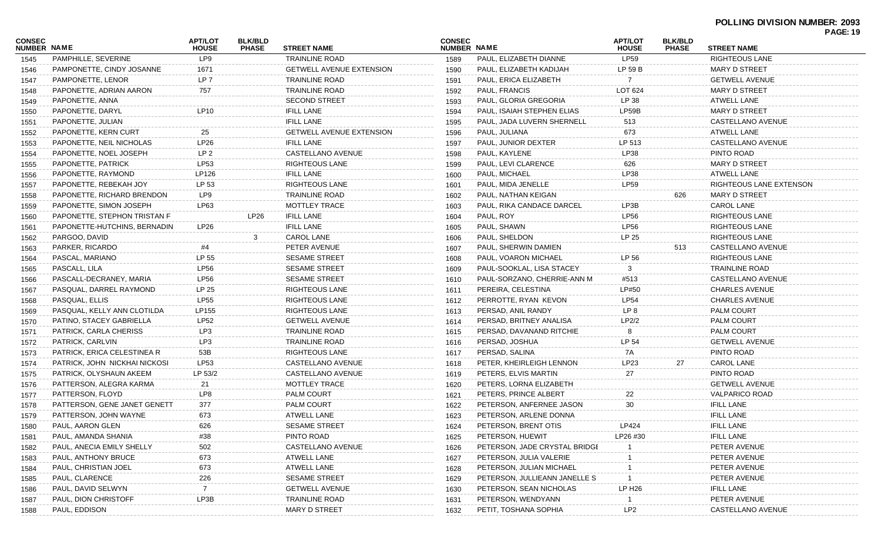|                              |                               |                                |                                |                                 |                              |                               |                                |                                |                         | <b>PAGE: 19</b> |
|------------------------------|-------------------------------|--------------------------------|--------------------------------|---------------------------------|------------------------------|-------------------------------|--------------------------------|--------------------------------|-------------------------|-----------------|
| CONSEC<br><b>NUMBER NAME</b> |                               | <b>APT/LOT</b><br><b>HOUSE</b> | <b>BLK/BLD</b><br><b>PHASE</b> | <b>STREET NAME</b>              | <b>CONSEC</b><br>NUMBER NAME |                               | <b>APT/LOT</b><br><b>HOUSE</b> | <b>BLK/BLD</b><br><b>PHASE</b> | <b>STREET NAME</b>      |                 |
| 1545                         | PAMPHILLE, SEVERINE           | LP9                            |                                | <b>TRAINLINE ROAD</b>           | 1589                         | PAUL, ELIZABETH DIANNE        | <b>LP59</b>                    |                                | <b>RIGHTEOUS LANE</b>   |                 |
| 1546                         | PAMPONETTE, CINDY JOSANNE     | 1671                           |                                | <b>GETWELL AVENUE EXTENSION</b> | 1590                         | PAUL, ELIZABETH KADIJAH       | LP 59 B                        |                                | MARY D STREET           |                 |
| 1547                         | PAMPONETTE, LENOR             | LP 7                           |                                | <b>TRAINLINE ROAD</b>           | 1591                         | PAUL, ERICA ELIZABETH         |                                |                                | <b>GETWELL AVENUE</b>   |                 |
| 1548                         | PAPONETTE, ADRIAN AARON       | 757                            |                                | <b>TRAINLINE ROAD</b>           | 1592                         | PAUL, FRANCIS                 | LOT 624                        |                                | <b>MARY D STREET</b>    |                 |
| 1549                         | PAPONETTE, ANNA               |                                |                                | <b>SECOND STREET</b>            | 1593                         | PAUL, GLORIA GREGORIA         | LP 38                          |                                | <b>ATWELL LANE</b>      |                 |
| 1550                         | PAPONETTE, DARYL              | <b>LP10</b>                    |                                | <b>IFILL LANE</b>               | 1594                         | PAUL, ISAIAH STEPHEN ELIAS    | LP59B                          |                                | MARY D STREET           |                 |
| 1551                         | PAPONETTE, JULIAN             |                                |                                | <b>IFILL LANE</b>               | 1595                         | PAUL, JADA LUVERN SHERNELL    | 513                            |                                | CASTELLANO AVENUE       |                 |
| 1552                         | PAPONETTE, KERN CURT          | 25                             |                                | <b>GETWELL AVENUE EXTENSION</b> | 1596                         | PAUL, JULIANA                 | 673                            |                                | <b>ATWELL LANE</b>      |                 |
| 1553                         | PAPONETTE, NEIL NICHOLAS      | <b>LP26</b>                    |                                | <b>IFILL LANE</b>               | 1597                         | PAUL, JUNIOR DEXTER           | LP 513                         |                                | CASTELLANO AVENUE       |                 |
| 1554                         | PAPONETTE, NOEL JOSEPH        | LP <sub>2</sub>                |                                | CASTELLANO AVENUE               | 1598                         | PAUL, KAYLENE                 | LP38                           |                                | PINTO ROAD              |                 |
| 1555                         | PAPONETTE, PATRICK            | <b>LP53</b>                    |                                | <b>RIGHTEOUS LANE</b>           | 1599                         | PAUL, LEVI CLARENCE           | 626                            |                                | <b>MARY D STREET</b>    |                 |
| 1556                         | PAPONETTE, RAYMOND            | LP126                          |                                | <b>IFILL LANE</b>               | 1600                         | PAUL, MICHAEL                 | LP38                           |                                | <b>ATWELL LANE</b>      |                 |
| 1557                         | PAPONETTE, REBEKAH JOY        | LP 53                          |                                | <b>RIGHTEOUS LANE</b>           | 1601                         | PAUL, MIDA JENELLE            | LP59                           |                                | RIGHTEOUS LANE EXTENSON |                 |
| 1558                         | PAPONETTE, RICHARD BRENDON    | LP9                            |                                | <b>TRAINLINE ROAD</b>           | 1602                         | PAUL, NATHAN KEIGAN           |                                | 626                            | MARY D STREET           |                 |
| 1559                         | PAPONETTE, SIMON JOSEPH       | LP63                           |                                | <b>MOTTLEY TRACE</b>            | 1603                         | PAUL, RIKA CANDACE DARCEL     | LP3B                           |                                | <b>CAROL LANE</b>       |                 |
| 1560                         | PAPONETTE, STEPHON TRISTAN F  |                                | <b>LP26</b>                    | <b>IFILL LANE</b>               | 1604                         | PAUL, ROY                     | <b>LP56</b>                    |                                | <b>RIGHTEOUS LANE</b>   |                 |
| 1561                         | PAPONETTE-HUTCHINS, BERNADIN  | LP <sub>26</sub>               |                                | <b>IFILL LANE</b>               | 1605                         | PAUL, SHAWN                   | <b>LP56</b>                    |                                | RIGHTEOUS LANE          |                 |
| 1562                         | PARGOO, DAVID                 |                                | 3                              | <b>CAROL LANE</b>               | 1606                         | PAUL, SHELDON                 | LP 25                          |                                | RIGHTEOUS LANE          |                 |
| 1563                         | PARKER, RICARDO               | #4                             |                                | PETER AVENUE                    | 1607                         | PAUL, SHERWIN DAMIEN          |                                | 513                            | CASTELLANO AVENUE       |                 |
| 1564                         | PASCAL, MARIANO               | LP 55                          |                                | <b>SESAME STREET</b>            | 1608                         | PAUL, VOARON MICHAEL          | LP 56                          |                                | <b>RIGHTEOUS LANE</b>   |                 |
| 1565                         | PASCALL, LILA                 | <b>LP56</b>                    |                                | <b>SESAME STREET</b>            | 1609                         | PAUL-SOOKLAL, LISA STACEY     | 3                              |                                | TRAINLINE ROAD          |                 |
| 1566                         | PASCALL-DECRANEY, MARIA       | <b>LP56</b>                    |                                | <b>SESAME STREET</b>            | 1610                         | PAUL-SORZANO, CHERRIE-ANN M   | #513                           |                                | CASTELLANO AVENUE       |                 |
| 1567                         | PASQUAL, DARREL RAYMOND       | LP 25                          |                                | RIGHTEOUS LANE                  | 1611                         | PEREIRA, CELESTINA            | LP#50                          |                                | <b>CHARLES AVENUE</b>   |                 |
| 1568                         | PASQUAL, ELLIS                | <b>LP55</b>                    |                                | RIGHTEOUS LANE                  | 1612                         | PERROTTE, RYAN KEVON          | <b>LP54</b>                    |                                | <b>CHARLES AVENUE</b>   |                 |
| 1569                         | PASQUAL, KELLY ANN CLOTILDA   | LP155                          |                                | RIGHTEOUS LANE                  | 1613                         | PERSAD, ANIL RANDY            | LP 8                           |                                | <b>PALM COURT</b>       |                 |
| 1570                         | PATINO, STACEY GABRIELLA      | <b>LP52</b>                    |                                | <b>GETWELL AVENUE</b>           | 1614                         | PERSAD, BRITNEY ANALISA       | LP2/2                          |                                | PALM COURT              |                 |
| 1571                         | PATRICK, CARLA CHERISS        | LP3                            |                                | <b>TRAINLINE ROAD</b>           | 1615                         | PERSAD, DAVANAND RITCHIE      | 8                              |                                | PALM COURT              |                 |
| 1572                         | PATRICK, CARLVIN              | LP3                            |                                | <b>TRAINLINE ROAD</b>           | 1616                         | PERSAD, JOSHUA                | LP 54                          |                                | <b>GETWELL AVENUE</b>   |                 |
| 1573                         | PATRICK, ERICA CELESTINEA R   | 53B                            |                                | RIGHTEOUS LANE                  | 1617                         | PERSAD, SALINA                | 7A                             |                                | PINTO ROAD              |                 |
| 1574                         | PATRICK, JOHN NICKHAI NICKOSI | LP53                           |                                | CASTELLANO AVENUE               | 1618                         | PETER, KHEIRLEIGH LENNON      | LP23                           | 27                             | <b>CAROL LANE</b>       |                 |
| 1575                         | PATRICK, OLYSHAUN AKEEM       | LP 53/2                        |                                | CASTELLANO AVENUE               | 1619                         | PETERS, ELVIS MARTIN          | 27                             |                                | PINTO ROAD              |                 |
| 1576                         | PATTERSON, ALEGRA KARMA       | 21                             |                                | MOTTLEY TRACE                   | 1620                         | PETERS, LORNA ELIZABETH       |                                |                                | <b>GETWELL AVENUE</b>   |                 |
| 1577                         | PATTERSON, FLOYD              | LP8                            |                                | <b>PALM COURT</b>               | 1621                         | PETERS, PRINCE ALBERT         | 22                             |                                | <b>VALPARICO ROAD</b>   |                 |
| 1578                         | PATTERSON, GENE JANET GENETT  | 377                            |                                | PALM COURT                      | 1622                         | PETERSON, ANFERNEE JASON      | 30                             |                                | <b>IFILL LANE</b>       |                 |
| 1579                         | PATTERSON, JOHN WAYNE         | 673                            |                                | ATWELL LANE                     | 1623                         | PETERSON, ARLENE DONNA        |                                |                                | <b>IFILL LANE</b>       |                 |
| 1580                         | PAUL, AARON GLEN              | 626                            |                                | SESAME STREET                   | 1624                         | PETERSON, BRENT OTIS          | LP424                          |                                | IFILL LANE              |                 |
| 1581                         | PAUL, AMANDA SHANIA           | #38                            |                                | PINTO ROAD                      | 1625                         | PETERSON, HUEWIT              | LP26 #30                       |                                | <b>IFILL LANE</b>       |                 |
| 1582                         | PAUL, ANECIA EMILY SHELLY     | 502                            |                                | CASTELLANO AVENUE               | 1626                         | PETERSON, JADE CRYSTAL BRIDGE |                                |                                | PETER AVENUE            |                 |
| 1583                         | PAUL, ANTHONY BRUCE           | 673                            |                                | ATWELL LANE                     | 1627                         | PETERSON, JULIA VALERIE       |                                |                                | PETER AVENUE            |                 |
| 1584                         | PAUL, CHRISTIAN JOEL          | 673                            |                                | ATWELL LANE                     | 1628                         | PETERSON, JULIAN MICHAEL      |                                |                                | PETER AVENUE            |                 |
| 1585                         | PAUL, CLARENCE                | 226                            |                                | <b>SESAME STREET</b>            | 1629                         | PETERSON, JULLIEANN JANELLE S |                                |                                | PETER AVENUE            |                 |
| 1586                         | PAUL, DAVID SELWYN            | $\overline{7}$                 |                                | <b>GETWELL AVENUE</b>           | 1630                         | PETERSON, SEAN NICHOLAS       | LP H <sub>26</sub>             |                                | <b>IFILL LANE</b>       |                 |
| 1587                         | PAUL, DION CHRISTOFF          | LP3B                           |                                | <b>TRAINLINE ROAD</b>           | 1631                         | PETERSON, WENDYANN            |                                |                                | PETER AVENUE            |                 |
| 1588                         | PAUL, EDDISON                 |                                |                                | <b>MARY D STREET</b>            | 1632                         | PETIT, TOSHANA SOPHIA         | LP <sub>2</sub>                |                                | CASTELLANO AVENUE       |                 |
|                              |                               |                                |                                |                                 |                              |                               |                                |                                |                         |                 |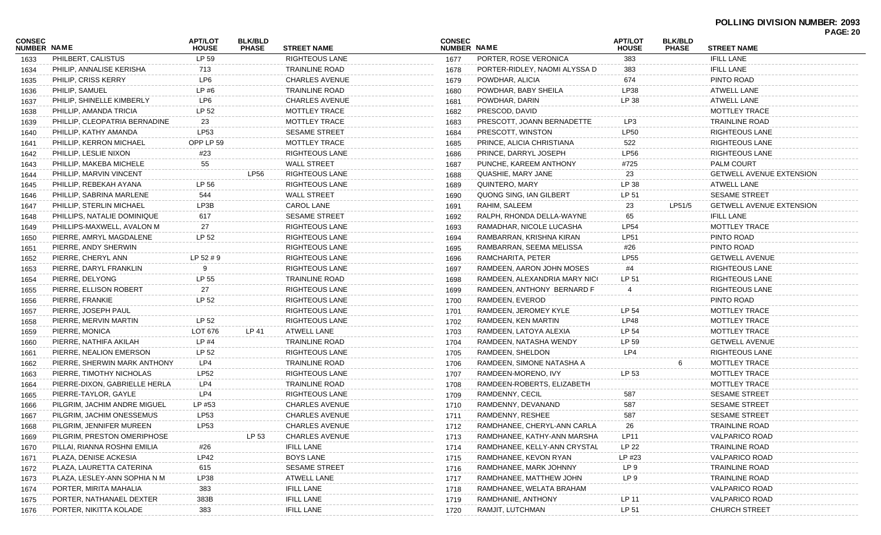|                              |                               |                                |                                |                       |                              |                               |                                |                                |                                 | <b>PAGE: 20</b> |
|------------------------------|-------------------------------|--------------------------------|--------------------------------|-----------------------|------------------------------|-------------------------------|--------------------------------|--------------------------------|---------------------------------|-----------------|
| <b>CONSEC</b><br>NUMBER NAME |                               | <b>APT/LOT</b><br><b>HOUSE</b> | <b>BLK/BLD</b><br><b>PHASE</b> | <b>STREET NAME</b>    | <b>CONSEC</b><br>NUMBER NAME |                               | <b>APT/LOT</b><br><b>HOUSE</b> | <b>BLK/BLD</b><br><b>PHASE</b> | <b>STREET NAME</b>              |                 |
| 1633                         | PHILBERT, CALISTUS            | LP 59                          |                                | RIGHTEOUS LANE        | 1677                         | PORTER, ROSE VERONICA         | 383                            |                                | <b>IFILL LANE</b>               |                 |
| 1634                         | PHILIP, ANNALISE KERISHA      | 713                            |                                | <b>TRAINLINE ROAD</b> | 1678                         | PORTER-RIDLEY, NAOMI ALYSSA D | 383                            |                                | <b>IFILL LANE</b>               |                 |
| 1635                         | <b>PHILIP, CRISS KERRY</b>    | LP6                            |                                | <b>CHARLES AVENUE</b> | 1679                         | POWDHAR, ALICIA               | 674                            |                                | PINTO ROAD                      |                 |
| 1636                         | PHILIP, SAMUEL                | LP #6                          |                                | <b>TRAINLINE ROAD</b> | 1680                         | POWDHAR, BABY SHEILA          | LP38                           |                                | <b>ATWELL LANE</b>              |                 |
| 1637                         | PHILIP, SHINELLE KIMBERLY     | LP6                            |                                | <b>CHARLES AVENUE</b> | 1681                         | POWDHAR, DARIN                | LP 38                          |                                | ATWELL LANE                     |                 |
| 1638                         | PHILLIP, AMANDA TRICIA        | LP 52                          |                                | <b>MOTTLEY TRACE</b>  | 1682                         | PRESCOD, DAVID                |                                |                                | <b>MOTTLEY TRACE</b>            |                 |
| 1639                         | PHILLIP, CLEOPATRIA BERNADINE | 23                             |                                | <b>MOTTLEY TRACE</b>  | 1683                         | PRESCOTT, JOANN BERNADETTE    | LP3                            |                                | <b>TRAINLINE ROAD</b>           |                 |
| 1640                         | PHILLIP, KATHY AMANDA         | LP53                           |                                | <b>SESAME STREET</b>  | 1684                         | PRESCOTT, WINSTON             | <b>LP50</b>                    |                                | <b>RIGHTEOUS LANE</b>           |                 |
| 1641                         | PHILLIP, KERRON MICHAEL       | OPP LP 59                      |                                | <b>MOTTLEY TRACE</b>  | 1685                         | PRINCE, ALICIA CHRISTIANA     | 522                            |                                | <b>RIGHTEOUS LANE</b>           |                 |
| 1642                         | PHILLIP, LESLIE NIXON         | #23                            |                                | RIGHTEOUS LANE        | 1686                         | PRINCE, DARRYL JOSEPH         | <b>LP56</b>                    |                                | <b>RIGHTEOUS LANE</b>           |                 |
| 1643                         | PHILLIP, MAKEBA MICHELE       | 55                             |                                | <b>WALL STREET</b>    | 1687                         | PUNCHE, KAREEM ANTHONY        | #725                           |                                | <b>PALM COURT</b>               |                 |
| 1644                         | PHILLIP, MARVIN VINCENT       |                                | <b>LP56</b>                    | <b>RIGHTEOUS LANE</b> | 1688                         | QUASHIE, MARY JANE            | 23                             |                                | <b>GETWELL AVENUE EXTENSION</b> |                 |
| 1645                         | PHILLIP, REBEKAH AYANA        | LP 56                          |                                | <b>RIGHTEOUS LANE</b> | 1689                         | <b>QUINTERO, MARY</b>         | LP 38                          |                                | ATWELL LANE                     |                 |
| 1646                         | PHILLIP, SABRINA MARLENE      | 544                            |                                | <b>WALL STREET</b>    | 1690                         | QUONG SING, IAN GILBERT       | LP 51                          |                                | <b>SESAME STREET</b>            |                 |
| 1647                         | PHILLIP, STERLIN MICHAEL      | LP3B                           |                                | <b>CAROL LANE</b>     | 1691                         | RAHIM, SALEEM                 | 23                             | LP51/5                         | <b>GETWELL AVENUE EXTENSION</b> |                 |
| 1648                         | PHILLIPS, NATALIE DOMINIQUE   | 617                            |                                | <b>SESAME STREET</b>  | 1692                         | RALPH, RHONDA DELLA-WAYNE     | 65                             |                                | <b>IFILL LANE</b>               |                 |
| 1649                         | PHILLIPS-MAXWELL, AVALON M    | 27                             |                                | RIGHTEOUS LANE        | 1693                         | RAMADHAR, NICOLE LUCASHA      | <b>LP54</b>                    |                                | <b>MOTTLEY TRACE</b>            |                 |
| 1650                         | PIERRE, AMRYL MAGDALENE       | LP 52                          |                                | RIGHTEOUS LANE        | 1694                         | RAMBARRAN, KRISHNA KIRAN      | <b>LP51</b>                    |                                | PINTO ROAD                      |                 |
| 1651                         | PIERRE, ANDY SHERWIN          |                                |                                | RIGHTEOUS LANE        | 1695                         | RAMBARRAN, SEEMA MELISSA      | #26                            |                                | PINTO ROAD                      |                 |
| 1652                         | PIERRE, CHERYL ANN            | LP 52 # 9                      |                                | RIGHTEOUS LANE        | 1696                         | RAMCHARITA, PETER             | <b>LP55</b>                    |                                | <b>GETWELL AVENUE</b>           |                 |
| 1653                         | PIERRE, DARYL FRANKLIN        | 9                              |                                | RIGHTEOUS LANE        | 1697                         | RAMDEEN, AARON JOHN MOSES     | #4                             |                                | <b>RIGHTEOUS LANE</b>           |                 |
| 1654                         | PIERRE, DELYONG               | LP 55                          |                                | <b>TRAINLINE ROAD</b> | 1698                         | RAMDEEN, ALEXANDRIA MARY NICO | LP 51                          |                                | <b>RIGHTEOUS LANE</b>           |                 |
| 1655                         | PIERRE, ELLISON ROBERT        | 27                             |                                | RIGHTEOUS LANE        | 1699                         | RAMDEEN, ANTHONY BERNARD F    | $\overline{4}$                 |                                | <b>RIGHTEOUS LANE</b>           |                 |
| 1656                         | PIERRE, FRANKIE               | LP 52                          |                                | RIGHTEOUS LANE        | 1700                         | RAMDEEN, EVEROD               |                                |                                | PINTO ROAD                      |                 |
| 1657                         | PIERRE, JOSEPH PAUL           |                                |                                | RIGHTEOUS LANE        | 1701                         | RAMDEEN, JEROMEY KYLE         | LP 54                          |                                | <b>MOTTLEY TRACE</b>            |                 |
| 1658                         | PIERRE, MERVIN MARTIN         | LP 52                          |                                | <b>RIGHTEOUS LANE</b> | 1702                         | RAMDEEN, KEN MARTIN           | <b>LP48</b>                    |                                | <b>MOTTLEY TRACE</b>            |                 |
| 1659                         | PIERRE, MONICA                | LOT 676                        | LP 41                          | ATWELL LANE           | 1703                         | RAMDEEN, LATOYA ALEXIA        | LP 54                          |                                | <b>MOTTLEY TRACE</b>            |                 |
| 1660                         | PIERRE, NATHIFA AKILAH        | $LP$ #4                        |                                | <b>TRAINLINE ROAD</b> | 1704                         | RAMDEEN, NATASHA WENDY        | LP 59                          |                                | <b>GETWELL AVENUE</b>           |                 |
| 1661                         | PIERRE, NEALION EMERSON       | LP 52                          |                                | RIGHTEOUS LANE        | 1705                         | RAMDEEN, SHELDON              | LP4                            |                                | <b>RIGHTEOUS LANE</b>           |                 |
| 1662                         | PIERRE, SHERWIN MARK ANTHONY  | LP4                            |                                | <b>TRAINLINE ROAD</b> | 1706                         | RAMDEEN, SIMONE NATASHA A     |                                |                                | MOTTLEY TRACE                   |                 |
| 1663                         | PIERRE, TIMOTHY NICHOLAS      | <b>LP52</b>                    |                                | RIGHTEOUS LANE        | 1707                         | RAMDEEN-MORENO, IVY           | LP 53                          |                                | <b>MOTTLEY TRACE</b>            |                 |
| 1664                         | PIERRE-DIXON, GABRIELLE HERLA | LP4                            |                                | <b>TRAINLINE ROAD</b> | 1708                         | RAMDEEN-ROBERTS, ELIZABETH    |                                |                                | <b>MOTTLEY TRACE</b>            |                 |
| 1665                         | PIERRE-TAYLOR, GAYLE          | LP4                            |                                | <b>RIGHTEOUS LANE</b> | 1709                         | RAMDENNY, CECIL               | 587                            |                                | <b>SESAME STREET</b>            |                 |
| 1666                         | PILGRIM, JACHIM ANDRE MIGUEL  | LP #53                         |                                | <b>CHARLES AVENUE</b> | 1710                         | RAMDENNY, DEVANAND            | 587                            |                                | <b>SESAME STREET</b>            |                 |
| 1667                         | PILGRIM, JACHIM ONESSEMUS     | LP53                           |                                | <b>CHARLES AVENUE</b> | 1711                         | RAMDENNY, RESHEE              | 587                            |                                | <b>SESAME STREET</b>            |                 |
| 1668                         | PILGRIM, JENNIFER MUREEN      | LP53                           |                                | <b>CHARLES AVENUE</b> | 1712                         | RAMDHANEE, CHERYL-ANN CARLA   | 26                             |                                | <b>TRAINLINE ROAD</b>           |                 |
| 1669                         | PILGRIM, PRESTON OMERIPHOSE   |                                | LP 53                          | <b>CHARLES AVENUE</b> | 1713                         | RAMDHANEE, KATHY-ANN MARSHA   | <b>LP11</b>                    |                                | <b>VALPARICO ROAD</b>           |                 |
| 1670                         | PILLAI, RIANNA ROSHNI EMILIA  | #26                            |                                | <b>IFILL LANE</b>     | 1714                         | RAMDHANEE, KELLY-ANN CRYSTAL  | LP 22                          |                                | <b>TRAINLINE ROAD</b>           |                 |
| 1671                         | PLAZA, DENISE ACKESIA         | LP42                           |                                | <b>BOYS LANE</b>      | 1715                         | RAMDHANEE, KEVON RYAN         | LP #23                         |                                | <b>VALPARICO ROAD</b>           |                 |
| 1672                         | PLAZA, LAURETTA CATERINA      | 615                            |                                | <b>SESAME STREET</b>  | 1716                         | RAMDHANEE, MARK JOHNNY        | LP 9                           |                                | <b>TRAINLINE ROAD</b>           |                 |
|                              | PLAZA, LESLEY-ANN SOPHIA N M  | LP38                           |                                | ATWELL LANE           |                              | RAMDHANEE, MATTHEW JOHN       | LP 9                           |                                | <b>TRAINLINE ROAD</b>           |                 |
| 1673                         | PORTER, MIRITA MAHALIA        | 383                            |                                | <b>IFILL LANE</b>     | 1717<br>1718                 | RAMDHANEE, WELATA BRAHAM      |                                |                                | <b>VALPARICO ROAD</b>           |                 |
| 1674                         | PORTER, NATHANAEL DEXTER      | 383B                           |                                | <b>IFILL LANE</b>     | 1719                         | RAMDHANIE, ANTHONY            | LP 11                          |                                | <b>VALPARICO ROAD</b>           |                 |
| 1675                         | PORTER, NIKITTA KOLADE        | 383                            |                                | <b>IFILL LANE</b>     | 1720                         | RAMJIT, LUTCHMAN              | LP 51                          |                                | <b>CHURCH STREET</b>            |                 |
| 1676                         |                               |                                |                                |                       |                              |                               |                                |                                |                                 |                 |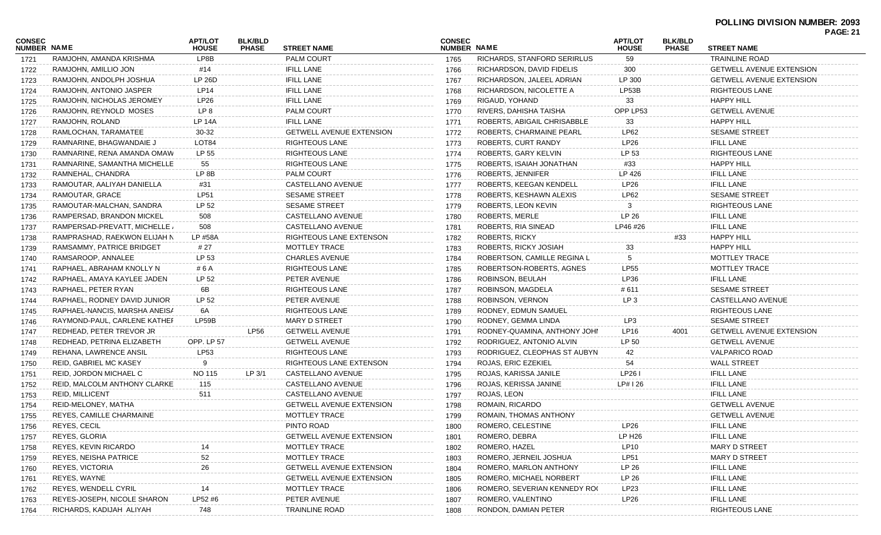| <b>CONSEC</b><br>NUMBER NAME |                                                          | <b>APT/LOT</b><br><b>HOUSE</b> | <b>BLK/BLD</b><br><b>PHASE</b> | <b>STREET NAME</b>              | <b>CONSEC</b><br>NUMBER NAME |                              | <b>APT/LOT</b><br><b>HOUSE</b> | <b>BLK/BLD</b><br><b>PHASE</b> | <b>STREET NAME</b>              |  |
|------------------------------|----------------------------------------------------------|--------------------------------|--------------------------------|---------------------------------|------------------------------|------------------------------|--------------------------------|--------------------------------|---------------------------------|--|
| 1721                         | RAMJOHN, AMANDA KRISHMA                                  | LP8B                           |                                | <b>PALM COURT</b>               | 1765                         | RICHARDS, STANFORD SERIRLUS  | 59                             |                                | <b>TRAINLINE ROAD</b>           |  |
| 1722                         | RAMJOHN, AMILLIO JON                                     | #14                            |                                | <b>IFILL LANE</b>               | 1766                         | RICHARDSON, DAVID FIDELIS    | 300                            |                                | <b>GETWELL AVENUE EXTENSION</b> |  |
| 1723                         | RAMJOHN, ANDOLPH JOSHUA                                  | LP 26D                         |                                | <b>IFILL LANE</b>               | 1767                         | RICHARDSON, JALEEL ADRIAN    | LP 300                         |                                | <b>GETWELL AVENUE EXTENSION</b> |  |
| 1724                         | RAMJOHN, ANTONIO JASPER                                  | LP14                           |                                | <b>IFILL LANE</b>               | 1768                         | RICHARDSON, NICOLETTE A      | LP53B                          |                                | <b>RIGHTEOUS LANE</b>           |  |
| 1725                         | RAMJOHN, NICHOLAS JEROMEY                                | LP26                           |                                | <b>IFILL LANE</b>               | 1769                         | RIGAUD, YOHAND               | 33                             |                                | <b>HAPPY HILL</b>               |  |
| 1726                         | RAMJOHN, REYNOLD MOSES                                   | LP 8                           |                                | <b>PALM COURT</b>               | 1770                         | RIVERS, DAHISHA TAISHA       | OPP LP53                       |                                | <b>GETWELL AVENUE</b>           |  |
| 1727                         | RAMJOHN, ROLAND                                          | <b>LP 14A</b>                  |                                | <b>IFILL LANE</b>               | 1771                         | ROBERTS, ABIGAIL CHRISABBLE  | 33                             |                                | <b>HAPPY HILL</b>               |  |
| 1728                         | RAMLOCHAN, TARAMATEE                                     | 30-32                          |                                | <b>GETWELL AVENUE EXTENSION</b> | 1772                         | ROBERTS, CHARMAINE PEARL     | LP62                           |                                | <b>SESAME STREET</b>            |  |
| 1729                         | RAMNARINE, BHAGWANDAIE J                                 | LOT84                          |                                | <b>RIGHTEOUS LANE</b>           | 1773                         | ROBERTS, CURT RANDY          | LP26                           |                                | <b>IFILL LANE</b>               |  |
| 1730                         | RAMNARINE, RENA AMANDA OMAW                              | LP 55                          |                                | <b>RIGHTEOUS LANE</b>           | 1774                         | ROBERTS, GARY KELVIN         | LP 53                          |                                | RIGHTEOUS LANE                  |  |
| 1731                         | RAMNARINE, SAMANTHA MICHELLE                             | 55                             |                                | <b>RIGHTEOUS LANE</b>           | 1775                         | ROBERTS, ISAIAH JONATHAN     | #33                            |                                | <b>HAPPY HILL</b>               |  |
| 1732                         | RAMNEHAL, CHANDRA                                        | LP 8B                          |                                | <b>PALM COURT</b>               | 1776                         | ROBERTS, JENNIFER            | LP 426                         |                                | <b>IFILL LANE</b>               |  |
| 1733                         | RAMOUTAR, AALIYAH DANIELLA                               | #31                            |                                | CASTELLANO AVENUE               | 1777                         | ROBERTS, KEEGAN KENDELL      | LP26                           |                                | <b>IFILL LANE</b>               |  |
| 1734                         | RAMOUTAR, GRACE                                          | LP51                           |                                | <b>SESAME STREET</b>            | 1778                         | ROBERTS, KESHAWN ALEXIS      | LP62                           |                                | <b>SESAME STREET</b>            |  |
| 1735                         | RAMOUTAR-MALCHAN, SANDRA                                 | LP 52                          |                                | <b>SESAME STREET</b>            | 1779                         | ROBERTS, LEON KEVIN          | 3                              |                                | <b>RIGHTEOUS LANE</b>           |  |
| 1736                         | RAMPERSAD, BRANDON MICKEL                                | 508                            |                                | CASTELLANO AVENUE               | 1780                         | ROBERTS, MERLE               | LP 26                          |                                | <b>IFILL LANE</b>               |  |
| 1737                         | RAMPERSAD-PREVATT, MICHELLE                              | 508                            |                                | CASTELLANO AVENUE               | 1781                         | ROBERTS, RIA SINEAD          | LP46 #26                       |                                | <b>IFILL LANE</b>               |  |
| 1738                         | RAMPRASHAD, RAEKWON ELIJAH N                             | LP #58A                        |                                | RIGHTEOUS LANE EXTENSON         | 1782                         | <b>ROBERTS, RICKY</b>        |                                | #33                            | <b>HAPPY HILL</b>               |  |
| 1739                         | RAMSAMMY, PATRICE BRIDGET                                | # 27                           |                                | MOTTLEY TRACE                   | 1783                         | ROBERTS, RICKY JOSIAH        | 33                             |                                | <b>HAPPY HILL</b>               |  |
| 1740                         | RAMSAROOP, ANNALEE                                       | LP 53                          |                                | <b>CHARLES AVENUE</b>           | 1784                         | ROBERTSON, CAMILLE REGINA L  | 5                              |                                | MOTTLEY TRACE                   |  |
| 1741                         | RAPHAEL, ABRAHAM KNOLLY N                                | # 6 A                          |                                | <b>RIGHTEOUS LANE</b>           | 1785                         | ROBERTSON-ROBERTS, AGNES     | <b>LP55</b>                    |                                | MOTTLEY TRACE                   |  |
| 1742                         | RAPHAEL, AMAYA KAYLEE JADEN                              | LP 52                          |                                | PETER AVENUE                    | 1786                         | ROBINSON, BEULAH             | LP36                           |                                | <b>IFILL LANE</b>               |  |
| 1743                         | RAPHAEL, PETER RYAN                                      | 6B                             |                                | RIGHTEOUS LANE                  | 1787                         | ROBINSON, MAGDELA            | #611                           |                                | <b>SESAME STREET</b>            |  |
|                              | RAPHAEL, RODNEY DAVID JUNIOR                             | LP 52                          |                                | PETER AVENUE                    |                              | ROBINSON, VERNON             | LP <sub>3</sub>                |                                | CASTELLANO AVENUE               |  |
| 1744                         | RAPHAEL-NANCIS, MARSHA ANEISA                            | 6A                             |                                | RIGHTEOUS LANE                  | 1788                         | RODNEY, EDMUN SAMUEL         |                                |                                | <b>RIGHTEOUS LANE</b>           |  |
| 1745                         |                                                          | LP59B                          |                                | <b>MARY D STREET</b>            | 1789                         | RODNEY, GEMMA LINDA          | LP3                            |                                | <b>SESAME STREET</b>            |  |
| 1746                         | RAYMOND-PAUL, CARLENE KATHEF<br>REDHEAD, PETER TREVOR JR |                                | <b>LP56</b>                    | <b>GETWELL AVENUE</b>           | 1790                         | RODNEY-QUAMINA, ANTHONY JOHN | <b>LP16</b>                    | 4001                           | <b>GETWELL AVENUE EXTENSION</b> |  |
| 1747                         |                                                          |                                |                                |                                 | 1791                         |                              | LP 50                          |                                |                                 |  |
| 1748                         | REDHEAD, PETRINA ELIZABETH                               | OPP. LP 57                     |                                | <b>GETWELL AVENUE</b>           | 1792                         | RODRIGUEZ, ANTONIO ALVIN     |                                |                                | <b>GETWELL AVENUE</b>           |  |
| 1749                         | REHANA, LAWRENCE ANSIL                                   | <b>LP53</b>                    |                                | <b>RIGHTEOUS LANE</b>           | 1793                         | RODRIGUEZ, CLEOPHAS ST AUBYN | 42                             |                                | <b>VALPARICO ROAD</b>           |  |
| 1750                         | <b>REID, GABRIEL MC KASEY</b>                            | 9                              |                                | RIGHTEOUS LANE EXTENSON         | 1794                         | ROJAS, ERIC EZEKIEL          | 54                             |                                | <b>WALL STREET</b>              |  |
| 1751                         | REID, JORDON MICHAEL C                                   | <b>NO 115</b>                  | LP 3/1                         | CASTELLANO AVENUE               | 1795                         | ROJAS, KARISSA JANILE        | LP261                          |                                | <b>IFILL LANE</b>               |  |
| 1752                         | REID, MALCOLM ANTHONY CLARKE                             | 115                            |                                | CASTELLANO AVENUE               | 1796                         | ROJAS, KERISSA JANINE        | LP#126                         |                                | <b>IFILL LANE</b>               |  |
| 1753                         | <b>REID, MILLICENT</b>                                   | 511                            |                                | CASTELLANO AVENUE               | 1797                         | ROJAS, LEON                  |                                |                                | <b>IFILL LANE</b>               |  |
| 1754                         | REID-MELONEY, MATHA                                      |                                |                                | <b>GETWELL AVENUE EXTENSION</b> | 1798                         | ROMAIN, RICARDO              |                                |                                | <b>GETWELL AVENUE</b>           |  |
| 1755                         | REYES, CAMILLE CHARMAINE                                 |                                |                                | MOTTLEY TRACE                   | 1799                         | ROMAIN. THOMAS ANTHONY       |                                |                                | <b>GETWELL AVENUE</b>           |  |
| 1756                         | REYES, CECIL                                             |                                |                                | PINTO ROAD                      | 1800                         | ROMERO, CELESTINE            | LP26                           |                                | <b>IFILL LANE</b>               |  |
| 1757                         | REYES, GLORIA                                            |                                |                                | <b>GETWELL AVENUE EXTENSION</b> | 1801                         | ROMERO, DEBRA                | LP H26                         |                                | <b>IFILL LANE</b>               |  |
| 1758                         | <b>REYES, KEVIN RICARDO</b>                              |                                |                                | MOTTLEY TRACE                   | 1802                         | ROMERO, HAZEL                | <b>LP10</b>                    |                                | MARY D STREE                    |  |
| 1759                         | REYES, NEISHA PATRICE                                    | 52                             |                                | MOTTLEY TRACE                   | 1803                         | ROMERO, JERNEIL JOSHUA       | LP51                           |                                | MARY D STREET                   |  |
| 1760                         | <b>REYES, VICTORIA</b>                                   | 26                             |                                | <b>GETWELL AVENUE EXTENSION</b> | 1804                         | ROMERO, MARLON ANTHONY       | LP 26                          |                                | <b>IFILL LANE</b>               |  |
| 1761                         | REYES, WAYNE                                             |                                |                                | <b>GETWELL AVENUE EXTENSION</b> | 1805                         | ROMERO, MICHAEL NORBERT      | LP 26                          |                                | <b>IFILL LANE</b>               |  |
| 1762                         | REYES, WENDELL CYRIL                                     | 14                             |                                | MOTTLEY TRACE                   | 1806                         | ROMERO, SEVERIAN KENNEDY ROO | LP23                           |                                | <b>IFILL LANE</b>               |  |
| 1763                         | REYES-JOSEPH, NICOLE SHARON                              | LP52 #6                        |                                | PETER AVENUE                    | 1807                         | ROMERO, VALENTINO            | LP26                           |                                | <b>IFILL LANE</b>               |  |
| 1764                         | RICHARDS, KADIJAH ALIYAH                                 | 748                            |                                | <b>TRAINLINE ROAD</b>           | 1808                         | RONDON, DAMIAN PETER         |                                |                                | <b>RIGHTEOUS LANE</b>           |  |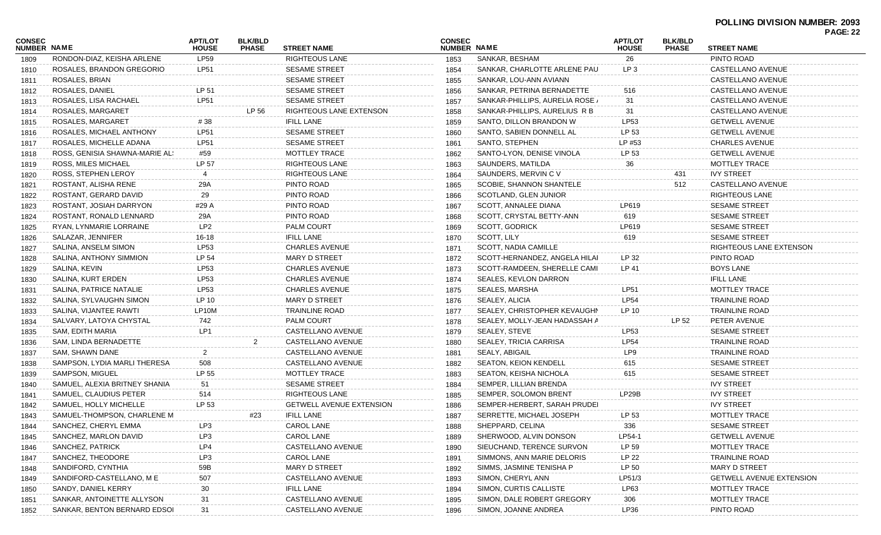|                              |                                |                                |                                |                                 |                              |                                 |                                |                                |                                 | FAUL. 22 |
|------------------------------|--------------------------------|--------------------------------|--------------------------------|---------------------------------|------------------------------|---------------------------------|--------------------------------|--------------------------------|---------------------------------|----------|
| <b>CONSEC</b><br>NUMBER NAME |                                | <b>APT/LOT</b><br><b>HOUSE</b> | <b>BLK/BLD</b><br><b>PHASE</b> | <b>STREET NAME</b>              | <b>CONSEC</b><br>NUMBER NAME |                                 | <b>APT/LOT</b><br><b>HOUSE</b> | <b>BLK/BLD</b><br><b>PHASE</b> | <b>STREET NAME</b>              |          |
| 1809                         | RONDON-DIAZ, KEISHA ARLENE     | <b>LP59</b>                    |                                | <b>RIGHTEOUS LANE</b>           | 1853                         | SANKAR, BESHAM                  | 26                             |                                | PINTO ROAD                      |          |
| 1810                         | ROSALES, BRANDON GREGORIO      | LP51                           |                                | <b>SESAME STREET</b>            | 1854                         | SANKAR, CHARLOTTE ARLENE PAU    | LP 3                           |                                | CASTELLANO AVENUE               |          |
| 1811                         | ROSALES, BRIAN                 |                                |                                | <b>SESAME STREET</b>            | 1855                         | SANKAR, LOU-ANN AVIANN          |                                |                                | CASTELLANO AVENUE               |          |
| 1812                         | ROSALES, DANIEL                | LP 51                          |                                | <b>SESAME STREET</b>            | 1856                         | SANKAR, PETRINA BERNADETTE      | 516                            |                                | CASTELLANO AVENUE               |          |
| 1813                         | ROSALES, LISA RACHAEL          | <b>LP51</b>                    |                                | <b>SESAME STREET</b>            | 1857                         | SANKAR-PHILLIPS, AURELIA ROSE / | 31                             |                                | CASTELLANO AVENUE               |          |
| 1814                         | ROSALES, MARGARET              |                                | LP 56                          | RIGHTEOUS LANE EXTENSON         | 1858                         | SANKAR-PHILLIPS, AURELIUS R B   | 31                             |                                | CASTELLANO AVENUE               |          |
| 1815                         | ROSALES, MARGARET              | #38                            |                                | <b>IFILL LANE</b>               | 1859                         | SANTO, DILLON BRANDON W         | LP53                           |                                | <b>GETWELL AVENUE</b>           |          |
| 1816                         | ROSALES, MICHAEL ANTHONY       | <b>LP51</b>                    |                                | SESAME STREET                   | 1860                         | SANTO, SABIEN DONNELL AL        | LP 53                          |                                | <b>GETWELL AVENUE</b>           |          |
| 1817                         | ROSALES, MICHELLE ADANA        | LP51                           |                                | <b>SESAME STREET</b>            | 1861                         | SANTO, STEPHEN                  | LP #53                         |                                | <b>CHARLES AVENUE</b>           |          |
| 1818                         | ROSS, GENISIA SHAWNA-MARIE AL! | #59                            |                                | MOTTLEY TRACE                   | 1862                         | SANTO-LYON, DENISE VINOLA       | LP 53                          |                                | <b>GETWELL AVENUE</b>           |          |
| 1819                         | ROSS, MILES MICHAEL            | LP 57                          |                                | <b>RIGHTEOUS LANE</b>           | 1863                         | SAUNDERS, MATILDA               | 36                             |                                | <b>MOTTLEY TRACE</b>            |          |
| 1820                         | ROSS, STEPHEN LEROY            | 4                              |                                | RIGHTEOUS LANE                  | 1864                         | SAUNDERS, MERVIN C V            |                                | 431                            | <b>IVY STREET</b>               |          |
| 1821                         | ROSTANT, ALISHA RENE           | 29A                            |                                | PINTO ROAD                      | 1865                         | SCOBIE, SHANNON SHANTELE        |                                | 512                            | CASTELLANO AVENUE               |          |
| 1822                         | ROSTANT, GERARD DAVID          | 29                             |                                | PINTO ROAD                      | 1866                         | SCOTLAND, GLEN JUNIOR           |                                |                                | RIGHTEOUS LANE                  |          |
| 1823                         | ROSTANT, JOSIAH DARRYON        | #29 A                          |                                | PINTO ROAD                      | 1867                         | SCOTT, ANNALEE DIANA            | LP619                          |                                | <b>SESAME STREET</b>            |          |
| 1824                         | ROSTANT, RONALD LENNARD        | 29A                            |                                | PINTO ROAD                      | 1868                         | SCOTT, CRYSTAL BETTY-ANN        | 619                            |                                | <b>SESAME STREET</b>            |          |
| 1825                         | RYAN, LYNMARIE LORRAINE        | LP <sub>2</sub>                |                                | PALM COURT                      | 1869                         | SCOTT, GODRICK                  | LP619                          |                                | <b>SESAME STREET</b>            |          |
| 1826                         | SALAZAR, JENNIFER              | $16 - 18$                      |                                | <b>IFILL LANE</b>               | 1870                         | SCOTT, LILY                     | 619                            |                                | <b>SESAME STREET</b>            |          |
| 1827                         | SALINA, ANSELM SIMON           | LP53                           |                                | <b>CHARLES AVENUE</b>           | 1871                         | SCOTT, NADIA CAMILLE            |                                |                                | RIGHTEOUS LANE EXTENSON         |          |
| 1828                         | SALINA, ANTHONY SIMMION        | LP 54                          |                                | MARY D STREET                   | 1872                         | SCOTT-HERNANDEZ, ANGELA HILAI   | LP 32                          |                                | PINTO ROAD                      |          |
| 1829                         | SALINA, KEVIN                  | LP53                           |                                | <b>CHARLES AVENUE</b>           | 1873                         | SCOTT-RAMDEEN, SHERELLE CAMI    | LP 41                          |                                | <b>BOYS LANE</b>                |          |
| 1830                         | SALINA, KURT ERDEN             | LP53                           |                                | <b>CHARLES AVENUE</b>           | 1874                         | SEALES, KEVLON DARRON           |                                |                                | <b>IFILL LANE</b>               |          |
| 1831                         | SALINA, PATRICE NATALIE        | <b>LP53</b>                    |                                | <b>CHARLES AVENUE</b>           | 1875                         | SEALES, MARSHA                  | <b>LP51</b>                    |                                | MOTTLEY TRACE                   |          |
| 1832                         | SALINA, SYLVAUGHN SIMON        | LP 10                          |                                | MARY D STREET                   | 1876                         | SEALEY, ALICIA                  | <b>LP54</b>                    |                                | TRAINLINE ROAD                  |          |
| 1833                         | SALINA, VIJANTEE RAWTI         | LP10M                          |                                | <b>TRAINLINE ROAD</b>           | 1877                         | SEALEY, CHRISTOPHER KEVAUGHN    | LP 10                          |                                | <b>TRAINLINE ROAD</b>           |          |
| 1834                         | SALVARY, LATOYA CHYSTAL        | 742                            |                                | PALM COURT                      | 1878                         | SEALEY, MOLLY-JEAN HADASSAH A   |                                | LP 52                          | PETER AVENUE                    |          |
| 1835                         | SAM, EDITH MARIA               | LP1                            |                                | CASTELLANO AVENUE               | 1879                         | SEALEY, STEVE                   | LP53                           |                                | <b>SESAME STREET</b>            |          |
| 1836                         | SAM, LINDA BERNADETTE          |                                |                                | CASTELLANO AVENUE               | 1880                         | SEALEY, TRICIA CARRISA          | <b>LP54</b>                    |                                | <b>TRAINLINE ROAD</b>           |          |
| 1837                         | SAM, SHAWN DANE                | $\overline{2}$                 |                                | CASTELLANO AVENUE               | 1881                         | SEALY, ABIGAIL                  | LP9                            |                                | <b>TRAINLINE ROAD</b>           |          |
| 1838                         | SAMPSON, LYDIA MARLI THERESA   | 508                            |                                | CASTELLANO AVENUE               | 1882                         | <b>SEATON, KEION KENDELL</b>    | 615                            |                                | <b>SESAME STREET</b>            |          |
| 1839                         | SAMPSON, MIGUEL                | LP 55                          |                                | MOTTLEY TRACE                   | 1883                         | SEATON, KEISHA NICHOLA          | 615                            |                                | <b>SESAME STREET</b>            |          |
| 1840                         | SAMUEL, ALEXIA BRITNEY SHANIA  | 51                             |                                | <b>SESAME STREET</b>            | 1884                         | SEMPER, LILLIAN BRENDA          |                                |                                | <b>IVY STREET</b>               |          |
| 1841                         | SAMUEL, CLAUDIUS PETER         | 514                            |                                | RIGHTEOUS LANE                  | 1885                         | SEMPER, SOLOMON BRENT           | LP29B                          |                                | <b>IVY STREET</b>               |          |
| 1842                         | SAMUEL, HOLLY MICHELLE         | LP 53                          |                                | <b>GETWELL AVENUE EXTENSION</b> | 1886                         | SEMPER-HERBERT, SARAH PRUDEI    |                                |                                | <b>IVY STREET</b>               |          |
| 1843                         | SAMUEL-THOMPSON, CHARLENE M    |                                | #23                            | <b>IFILL LANE</b>               | 1887                         | SERRETTE, MICHAEL JOSEPH        | LP 53                          |                                | MOTTLEY TRACE                   |          |
| 1844                         | SANCHEZ, CHERYL EMMA           | LP3                            |                                | CAROL LANE                      | 1888                         | SHEPPARD, CELINA                | 336                            |                                | SESAME STREET                   |          |
| 1845                         | SANCHEZ, MARLON DAVID          | LP3                            |                                | CAROL LANE                      | 1889                         | SHERWOOD, ALVIN DONSON          | LP54-1                         |                                | <b>GETWELL AVENUE</b>           |          |
| 1846                         | SANCHEZ, PATRICK               | LP4                            |                                | CASTELLANO AVENUE               | 1890                         | SIEUCHAND, TERENCE SURVON       | LP 59                          |                                | MOTTLEY TRACE                   |          |
| 1847                         | SANCHEZ, THEODORE              | LP3                            |                                | CAROL LANE                      | 1891                         | SIMMONS, ANN MARIE DELORIS      | LP 22                          |                                | <b>TRAINLINE ROAD</b>           |          |
| 1848                         | SANDIFORD, CYNTHIA             | 59B                            |                                | <b>MARY D STREET</b>            | 1892                         | SIMMS, JASMINE TENISHA P        | LP 50                          |                                | <b>MARY D STREET</b>            |          |
| 1849                         | SANDIFORD-CASTELLANO, M E      | 507                            |                                | CASTELLANO AVENUE               | 1893                         | SIMON, CHERYL ANN               | LP51/3                         |                                | <b>GETWELL AVENUE EXTENSION</b> |          |
| 1850                         | SANDY, DANIEL KERRY            | 30                             |                                | <b>IFILL LANE</b>               | 1894                         | SIMON, CURTIS CALLISTE          | LP63                           |                                | MOTTLEY TRACE                   |          |
| 1851                         | SANKAR, ANTOINETTE ALLYSON     | 31                             |                                | CASTELLANO AVENUE               | 1895                         | SIMON, DALE ROBERT GREGORY      | 306                            |                                | <b>MOTTLEY TRACE</b>            |          |
| 1852                         | SANKAR, BENTON BERNARD EDSOI   | 31                             |                                | CASTELLANO AVENUE               | 1896                         | SIMON, JOANNE ANDREA            | LP36                           |                                | PINTO ROAD                      |          |
|                              |                                |                                |                                |                                 |                              |                                 |                                |                                |                                 |          |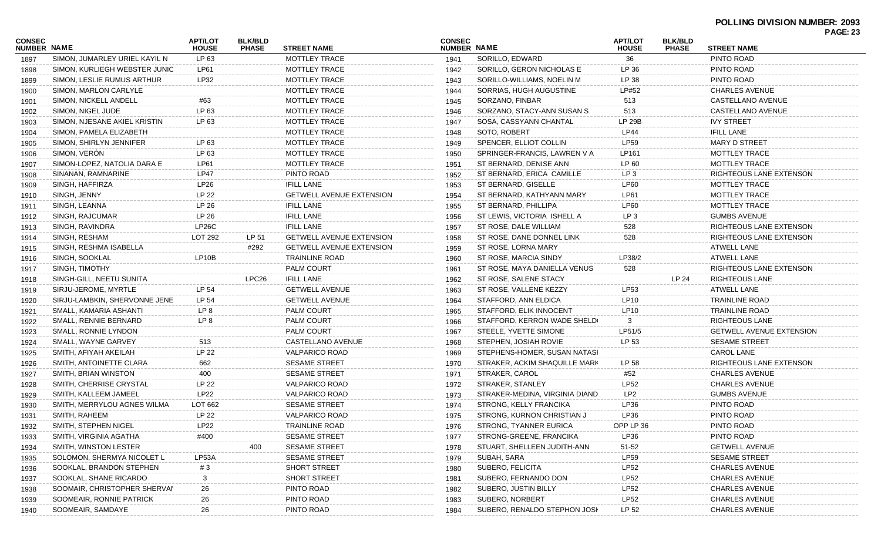| <b>CONSEC</b><br>NUMBER NAME |                               | <b>APT/LOT</b><br><b>HOUSE</b> | <b>BLK/BLD</b><br><b>PHASE</b> | <b>STREET NAME</b>              | <b>CONSEC</b><br>NUMBER NAME |                                | <b>APT/LOT</b><br><b>HOUSE</b> | <b>BLK/BLD</b><br><b>PHASE</b> | <b>STREET NAME</b>              |  |
|------------------------------|-------------------------------|--------------------------------|--------------------------------|---------------------------------|------------------------------|--------------------------------|--------------------------------|--------------------------------|---------------------------------|--|
| 1897                         | SIMON, JUMARLEY URIEL KAYIL N | LP 63                          |                                | <b>MOTTLEY TRACE</b>            | 1941                         | SORILLO, EDWARD                | 36                             |                                | PINTO ROAD                      |  |
| 1898                         | SIMON, KURLIEGH WEBSTER JUNIC | LP61                           |                                | <b>MOTTLEY TRACE</b>            | 1942                         | SORILLO, GERON NICHOLAS E      | LP 36                          |                                | PINTO ROAD                      |  |
| 1899                         | SIMON, LESLIE RUMUS ARTHUR    | LP32                           |                                | <b>MOTTLEY TRACE</b>            | 1943                         | SORILLO-WILLIAMS, NOELIN M     | LP 38                          |                                | PINTO ROAD                      |  |
| 1900                         | SIMON, MARLON CARLYLE         |                                |                                | <b>MOTTLEY TRACE</b>            | 1944                         | SORRIAS, HUGH AUGUSTINE        | LP#52                          |                                | <b>CHARLES AVENUE</b>           |  |
| 1901                         | SIMON, NICKELL ANDELL         | #63                            |                                | <b>MOTTLEY TRACE</b>            | 1945                         | SORZANO, FINBAR                | 513                            |                                | CASTELLANO AVENUE               |  |
| 1902                         | SIMON, NIGEL JUDE             | LP 63                          |                                | MOTTLEY TRACE                   | 1946                         | SORZANO, STACY-ANN SUSAN S     | 513                            |                                | CASTELLANO AVENUE               |  |
| 1903                         | SIMON, NJESANE AKIEL KRISTIN  | LP 63                          |                                | MOTTLEY TRACE                   | 1947                         | SOSA, CASSYANN CHANTAL         | <b>LP 29B</b>                  |                                | <b>IVY STREET</b>               |  |
| 1904                         | SIMON, PAMELA ELIZABETH       |                                |                                | <b>MOTTLEY TRACE</b>            | 1948                         | SOTO, ROBERT                   | <b>LP44</b>                    |                                | <b>IFILL LANE</b>               |  |
| 1905                         | SIMON, SHIRLYN JENNIFER       | LP 63                          |                                | MOTTLEY TRACE                   | 1949                         | SPENCER, ELLIOT COLLIN         | LP59                           |                                | <b>MARY D STREET</b>            |  |
| 1906                         | SIMON, VERÓN                  | LP 63                          |                                | MOTTLEY TRACE                   | 1950                         | SPRINGER-FRANCIS, LAWREN V A   | LP161                          |                                | MOTTLEY TRACE                   |  |
| 1907                         | SIMON-LOPEZ, NATOLIA DARA E   | LP61                           |                                | MOTTLEY TRACE                   | 1951                         | ST BERNARD, DENISE ANN         | LP 60                          |                                | MOTTLEY TRACE                   |  |
| 1908                         | SINANAN, RAMNARINE            | <b>LP47</b>                    |                                | PINTO ROAD                      | 1952                         | ST BERNARD, ERICA CAMILLE      | LP <sub>3</sub>                |                                | RIGHTEOUS LANE EXTENSON         |  |
| 1909                         | SINGH, HAFFIRZA               | LP <sub>26</sub>               |                                | <b>IFILL LANE</b>               | 1953                         | ST BERNARD, GISELLE            | <b>LP60</b>                    |                                | MOTTLEY TRACE                   |  |
| 1910                         | SINGH, JENNY                  | LP 22                          |                                | <b>GETWELL AVENUE EXTENSION</b> | 1954                         | ST BERNARD, KATHYANN MARY      | LP61                           |                                | MOTTLEY TRACE                   |  |
| 1911                         | SINGH, LEANNA                 | LP 26                          |                                | <b>IFILL LANE</b>               | 1955                         | ST BERNARD, PHILLIPA           | <b>LP60</b>                    |                                | MOTTLEY TRACE                   |  |
| 1912                         | SINGH, RAJCUMAR               | LP 26                          |                                | <b>IFILL LANE</b>               | 1956                         | ST LEWIS, VICTORIA ISHELL A    | LP <sub>3</sub>                |                                | <b>GUMBS AVENUE</b>             |  |
| 1913                         | SINGH, RAVINDRA               | LP26C                          |                                | <b>IFILL LANE</b>               | 1957                         | ST ROSE, DALE WILLIAM          | 528                            |                                | RIGHTEOUS LANE EXTENSON         |  |
| 1914                         | SINGH, RESHAM                 | LOT 292                        | LP 51                          | <b>GETWELL AVENUE EXTENSION</b> | 1958                         | ST ROSE, DANE DONNEL LINK      | 528                            |                                | RIGHTEOUS LANE EXTENSON         |  |
|                              | SINGH, RESHMA ISABELLA        |                                | #292                           | <b>GETWELL AVENUE EXTENSION</b> | 1959                         | ST ROSE, LORNA MARY            |                                |                                | <b>ATWELL LANE</b>              |  |
| 1915                         | SINGH, SOOKLAL                | LP10B                          |                                | <b>TRAINLINE ROAD</b>           |                              | ST ROSE, MARCIA SINDY          | LP38/2                         |                                | ATWELL LANE                     |  |
| 1916                         | SINGH, TIMOTHY                |                                |                                | <b>PALM COURT</b>               | 1960                         |                                | 528                            |                                | RIGHTEOUS LANE EXTENSON         |  |
| 1917                         |                               |                                |                                |                                 | 1961                         | ST ROSE, MAYA DANIELLA VENUS   |                                |                                |                                 |  |
| 1918                         | SINGH-GILL, NEETU SUNITA      |                                | LPC <sub>26</sub>              | <b>IFILL LANE</b>               | 1962                         | ST ROSE, SALENE STACY          |                                | LP 24                          | RIGHTEOUS LANE                  |  |
| 1919                         | SIRJU-JEROME, MYRTLE          | LP 54                          |                                | <b>GETWELL AVENUE</b>           | 1963                         | ST ROSE, VALLENE KEZZY         | LP53                           |                                | <b>ATWELL LANE</b>              |  |
| 1920                         | SIRJU-LAMBKIN, SHERVONNE JENE | LP 54                          |                                | <b>GETWELL AVENUE</b>           | 1964                         | STAFFORD, ANN ELDICA           | LP10                           |                                | <b>TRAINLINE ROAD</b>           |  |
| 1921                         | SMALL, KAMARIA ASHANTI        | LP 8                           |                                | PALM COURT                      | 1965                         | STAFFORD, ELIK INNOCENT        | LP10                           |                                | <b>TRAINLINE ROAD</b>           |  |
| 1922                         | SMALL, RENNIE BERNARD         | LP <sub>8</sub>                |                                | PALM COURT                      | 1966                         | STAFFORD, KERRON WADE SHELD(   |                                |                                | RIGHTEOUS LANE                  |  |
| 1923                         | SMALL, RONNIE LYNDON          |                                |                                | <b>PALM COURT</b>               | 1967                         | STEELE, YVETTE SIMONE          | LP51/5                         |                                | <b>GETWELL AVENUE EXTENSION</b> |  |
| 1924                         | SMALL, WAYNE GARVEY           | 513                            |                                | CASTELLANO AVENUE               | 1968                         | STEPHEN, JOSIAH ROVIE          | LP 53                          |                                | <b>SESAME STREET</b>            |  |
| 1925                         | SMITH, AFIYAH AKEILAH         | LP 22                          |                                | <b>VALPARICO ROAD</b>           | 1969                         | STEPHENS-HOMER, SUSAN NATASI   |                                |                                | CAROL LANE                      |  |
| 1926                         | SMITH, ANTOINETTE CLARA       | 662                            |                                | <b>SESAME STREET</b>            | 1970                         | STRAKER, ACKIM SHAQUILLE MARK  | LP 58                          |                                | RIGHTEOUS LANE EXTENSON         |  |
| 1927                         | SMITH, BRIAN WINSTON          | 400                            |                                | <b>SESAME STREET</b>            | 1971                         | STRAKER, CAROL                 | #52                            |                                | <b>CHARLES AVENUE</b>           |  |
| 1928                         | SMITH, CHERRISE CRYSTAL       | LP 22                          |                                | <b>VALPARICO ROAD</b>           | 1972                         | STRAKER, STANLEY               | LP52                           |                                | <b>CHARLES AVENUE</b>           |  |
| 1929                         | SMITH, KALLEEM JAMEEL         | <b>LP22</b>                    |                                | <b>VALPARICO ROAD</b>           | 1973                         | STRAKER-MEDINA, VIRGINIA DIAND | LP <sub>2</sub>                |                                | <b>GUMBS AVENUE</b>             |  |
| 1930                         | SMITH, MERRYLOU AGNES WILMA   | LOT 662                        |                                | <b>SESAME STREET</b>            | 1974                         | STRONG, KELLY FRANCIKA         | LP36                           |                                | PINTO ROAD                      |  |
| 1931                         | SMITH, RAHEEM                 | LP 22                          |                                | <b>VALPARICO ROAD</b>           | 1975                         | STRONG, KURNON CHRISTIAN J     | LP36                           |                                | PINTO ROAD                      |  |
| 1932                         | SMITH, STEPHEN NIGEL          | <b>LP22</b>                    |                                | TRAINLINE ROAD                  | 1976                         | STRONG, TYANNER EURICA         | OPP LP 36                      |                                | PINTO ROAD                      |  |
| 1933                         | SMITH, VIRGINIA AGATHA        | #400                           |                                | <b>SESAME STREET</b>            | 1977                         | STRONG-GREENE, FRANCIKA        | LP36                           |                                | PINTO ROAD                      |  |
| 1934                         | SMITH, WINSTON LESTER         |                                | 400                            | <b>SESAME STREET</b>            | 1978                         | STUART, SHELLEEN JUDITH-ANN    | 51-52                          |                                | <b>GETWELL AVENUE</b>           |  |
| 1935                         | SOLOMON, SHERMYA NICOLET L    | LP53A                          |                                | <b>SESAME STREET</b>            | 1979                         | SUBAH, SARA                    | <b>LP59</b>                    |                                | <b>SESAME STREET</b>            |  |
| 1936                         | SOOKLAL, BRANDON STEPHEN      | #3                             |                                | <b>SHORT STREET</b>             | 1980                         | SUBERO, FELICITA               | <b>LP52</b>                    |                                | <b>CHARLES AVENUE</b>           |  |
| 1937                         | SOOKLAL, SHANE RICARDO        |                                |                                | <b>SHORT STREET</b>             | 1981                         | SUBERO, FERNANDO DON           | <b>LP52</b>                    |                                | <b>CHARLES AVENUE</b>           |  |
| 1938                         | SOOMAIR, CHRISTOPHER SHERVAN  | 26                             |                                | PINTO ROAD                      | 1982                         | SUBERO, JUSTIN BILLY           | <b>LP52</b>                    |                                | <b>CHARLES AVENUE</b>           |  |
| 1939                         | SOOMEAIR, RONNIE PATRICK      | 26                             |                                | PINTO ROAD                      | 1983                         | SUBERO, NORBERT                | <b>LP52</b>                    |                                | <b>CHARLES AVENUE</b>           |  |
| 1940                         | SOOMEAIR, SAMDAYE             | 26                             |                                | PINTO ROAD                      | 1984                         | SUBERO, RENALDO STEPHON JOSH   | LP 52                          |                                | <b>CHARLES AVENUE</b>           |  |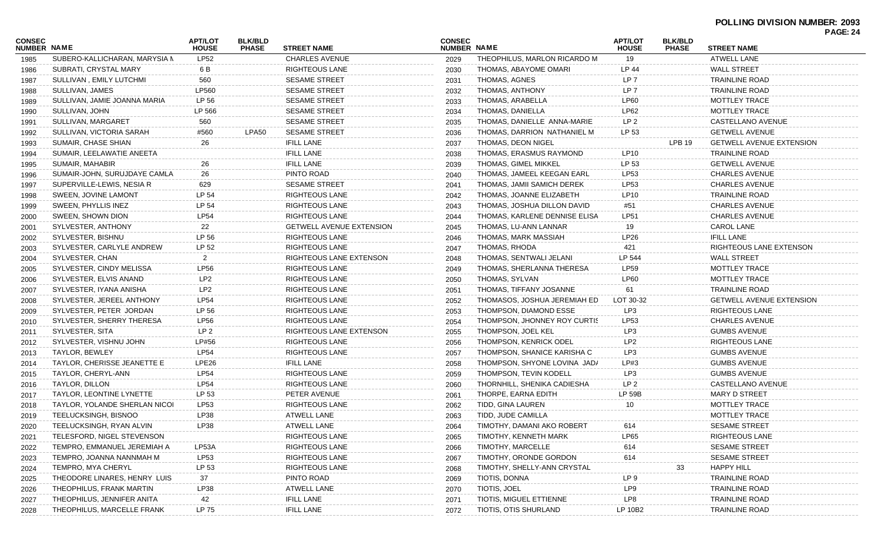|                              |                               |                                |                                |                          |                              |                               |                                |                                |                                 | PAGE: 24 |
|------------------------------|-------------------------------|--------------------------------|--------------------------------|--------------------------|------------------------------|-------------------------------|--------------------------------|--------------------------------|---------------------------------|----------|
| CONSEC<br><b>NUMBER NAME</b> |                               | <b>APT/LOT</b><br><b>HOUSE</b> | <b>BLK/BLD</b><br><b>PHASE</b> | <b>STREET NAME</b>       | <b>CONSEC</b><br>NUMBER NAME |                               | <b>APT/LOT</b><br><b>HOUSE</b> | <b>BLK/BLD</b><br><b>PHASE</b> | <b>STREET NAME</b>              |          |
| 1985                         | SUBERO-KALLICHARAN, MARYSIA N | LP52                           |                                | <b>CHARLES AVENUE</b>    | 2029                         | THEOPHILUS, MARLON RICARDO M  | 19                             |                                | <b>ATWELL LANE</b>              |          |
| 1986                         | SUBRATI, CRYSTAL MARY         | 6 B                            |                                | RIGHTEOUS LANE           | 2030                         | THOMAS, ABAYOME OMARI         | LP 44                          |                                | <b>WALL STREET</b>              |          |
| 1987                         | SULLIVAN, EMILY LUTCHMI       | 560                            |                                | <b>SESAME STREET</b>     | 2031                         | THOMAS, AGNES                 | LP 7                           |                                | <b>TRAINLINE ROAD</b>           |          |
| 1988                         | SULLIVAN, JAMES               | LP560                          |                                | <b>SESAME STREET</b>     | 2032                         | THOMAS, ANTHONY               | LP <sub>7</sub>                |                                | <b>TRAINLINE ROAD</b>           |          |
| 1989                         | SULLIVAN, JAMIE JOANNA MARIA  | LP 56                          |                                | <b>SESAME STREET</b>     | 2033                         | THOMAS, ARABELLA              | <b>LP60</b>                    |                                | MOTTLEY TRACE                   |          |
| 1990                         | SULLIVAN, JOHN                | LP 566                         |                                | <b>SESAME STREET</b>     | 2034                         | THOMAS, DANIELLA              | LP62                           |                                | MOTTLEY TRACE                   |          |
| 1991                         | SULLIVAN, MARGARET            | 560                            |                                | <b>SESAME STREET</b>     | 2035                         | THOMAS, DANIELLE ANNA-MARIE   | LP <sub>2</sub>                |                                | CASTELLANO AVENUE               |          |
| 1992                         | SULLIVAN, VICTORIA SARAH      | #560                           | LPA50                          | <b>SESAME STREET</b>     | 2036                         | THOMAS, DARRION NATHANIEL M   | LP 53                          |                                | <b>GETWELL AVENUE</b>           |          |
| 1993                         | SUMAIR, CHASE SHIAN           | 26                             |                                | <b>IFILL LANE</b>        | 2037                         | THOMAS, DEON NIGEL            |                                | LPB 19                         | <b>GETWELL AVENUE EXTENSION</b> |          |
| 1994                         | SUMAIR, LEELAWATIE ANEETA     |                                |                                | <b>IFILL LANE</b>        | 2038                         | THOMAS, ERASMUS RAYMOND       | LP10                           |                                | TRAINLINE ROAD                  |          |
| 1995                         | SUMAIR, MAHABIR               | 26                             |                                | <b>IFILL LANE</b>        | 2039                         | THOMAS, GIMEL MIKKEL          | LP 53                          |                                | <b>GETWELL AVENUE</b>           |          |
| 1996                         | SUMAIR-JOHN, SURUJDAYE CAMLA  | 26                             |                                | PINTO ROAD               | 2040                         | THOMAS, JAMEEL KEEGAN EARL    | LP53                           |                                | <b>CHARLES AVENUE</b>           |          |
| 1997                         | SUPERVILLE-LEWIS, NESIA R     | 629                            |                                | <b>SESAME STREET</b>     | 2041                         | THOMAS, JAMII SAMICH DEREK    | LP53                           |                                | <b>CHARLES AVENUE</b>           |          |
| 1998                         | SWEEN, JOVINE LAMONT          | LP 54                          |                                | RIGHTEOUS LANE           | 2042                         | THOMAS, JOANNE ELIZABETH      | LP10                           |                                | TRAINLINE ROAD                  |          |
| 1999                         | SWEEN, PHYLLIS INEZ           | LP 54                          |                                | RIGHTEOUS LANE           | 2043                         | THOMAS, JOSHUA DILLON DAVID   | #51                            |                                | <b>CHARLES AVENUE</b>           |          |
| 2000                         | SWEEN, SHOWN DION             | <b>LP54</b>                    |                                | RIGHTEOUS LANE           | 2044                         | THOMAS, KARLENE DENNISE ELISA | <b>LP51</b>                    |                                | <b>CHARLES AVENUE</b>           |          |
| 2001                         | SYLVESTER, ANTHONY            | 22                             |                                | GETWELL AVENUE EXTENSION | 2045                         | THOMAS, LU-ANN LANNAR         | 19                             |                                | CAROL LANE                      |          |
| 2002                         | SYLVESTER, BISHNU             | LP 56                          |                                | RIGHTEOUS LANE           | 2046                         | THOMAS, MARK MASSIAH          | LP26                           |                                | <b>IFILL LANE</b>               |          |
| 2003                         | SYLVESTER, CARLYLE ANDREW     | LP 52                          |                                | RIGHTEOUS LANE           | 2047                         | THOMAS, RHODA                 | 421                            |                                | RIGHTEOUS LANE EXTENSON         |          |
| 2004                         | SYLVESTER, CHAN               | $\mathbf{2}$                   |                                | RIGHTEOUS LANE EXTENSON  | 2048                         | THOMAS, SENTWALI JELANI       | LP 544                         |                                | <b>WALL STREET</b>              |          |
| 2005                         | SYLVESTER, CINDY MELISSA      | <b>LP56</b>                    |                                | RIGHTEOUS LANE           | 2049                         | THOMAS, SHERLANNA THERESA     | <b>LP59</b>                    |                                | MOTTLEY TRACE                   |          |
| 2006                         | SYLVESTER, ELVIS ANAND        | LP2                            |                                | RIGHTEOUS LANE           | 2050                         | THOMAS, SYLVAN                | <b>LP60</b>                    |                                | MOTTLEY TRACE                   |          |
| 2007                         | SYLVESTER, IYANA ANISHA       | LP <sub>2</sub>                |                                | RIGHTEOUS LANE           | 2051                         | THOMAS, TIFFANY JOSANNE       | 61                             |                                | TRAINLINE ROAD                  |          |
| 2008                         | SYLVESTER, JEREEL ANTHONY     | LP54                           |                                | RIGHTEOUS LANE           | 2052                         | THOMASOS, JOSHUA JEREMIAH ED  | LOT 30-32                      |                                | <b>GETWELL AVENUE EXTENSION</b> |          |
| 2009                         | SYLVESTER, PETER JORDAN       | LP 56                          |                                | RIGHTEOUS LANE           | 2053                         | THOMPSON, DIAMOND ESSE        | LP3                            |                                | RIGHTEOUS LANE                  |          |
| 2010                         | SYLVESTER, SHERRY THERESA     | LP56                           |                                | RIGHTEOUS LANE           | 2054                         | THOMPSON, JHONNEY ROY CURTIS  | LP53                           |                                | <b>CHARLES AVENUE</b>           |          |
| 2011                         | SYLVESTER, SITA               | LP <sub>2</sub>                |                                | RIGHTEOUS LANE EXTENSON  | 2055                         | THOMPSON, JOEL KEL            | LP3                            |                                | <b>GUMBS AVENUE</b>             |          |
| 2012                         | SYLVESTER, VISHNU JOHN        | LP#56                          |                                | RIGHTEOUS LANE           | 2056                         | THOMPSON, KENRICK ODEL        | LP <sub>2</sub>                |                                | <b>RIGHTEOUS LANE</b>           |          |
| 2013                         | <b>TAYLOR, BEWLEY</b>         | LP54                           |                                | RIGHTEOUS LANE           | 2057                         | THOMPSON, SHANICE KARISHA C   | LP3                            |                                | <b>GUMBS AVENUE</b>             |          |
| 2014                         | TAYLOR, CHERISSE JEANETTE E   | LPE26                          |                                | <b>IFILL LANE</b>        | 2058                         | THOMPSON, SHYONE LOVINA JADA  | LP#3                           |                                | <b>GUMBS AVENUE</b>             |          |
| 2015                         | TAYLOR, CHERYL-ANN            | <b>LP54</b>                    |                                | RIGHTEOUS LANE           | 2059                         | THOMPSON, TEVIN KODELL        | LP3                            |                                | <b>GUMBS AVENUE</b>             |          |
| 2016                         | TAYLOR, DILLON                | LP54                           |                                | RIGHTEOUS LANE           | 2060                         | THORNHILL, SHENIKA CADIESHA   | LP <sub>2</sub>                |                                | CASTELLANO AVENUE               |          |
| 2017                         | TAYLOR, LEONTINE LYNETTE      | LP 53                          |                                | PETER AVENUE             | 2061                         | THORPE, EARNA EDITH           | LP 59B                         |                                | <b>MARY D STREET</b>            |          |
| 2018                         | TAYLOR, YOLANDE SHERLAN NICOI | LP53                           |                                | RIGHTEOUS LANE           | 2062                         | TIDD, GINA LAUREN             | 10                             |                                | MOTTLEY TRACE                   |          |
| 2019                         | TEELUCKSINGH, BISNOO          | LP38                           |                                | ATWELL LANE              | 2063                         | TIDD, JUDE CAMILLA            |                                |                                | MOTTLEY TRACE                   |          |
| 2020                         | TEELUCKSINGH, RYAN ALVIN      | LP38                           |                                | ATWELL LANE              | 2064                         | TIMOTHY, DAMANI AKO ROBERT    | 614                            |                                | SESAME STREET                   |          |
| 2021                         | TELESFORD, NIGEL STEVENSON    |                                |                                | RIGHTEOUS LANE           | 2065                         | TIMOTHY, KENNETH MARK         | <b>LP65</b>                    |                                | <b>RIGHTEOUS LANE</b>           |          |
| 2022                         | TEMPRO, EMMANUEL JEREMIAH A   | LP53A                          |                                | RIGHTEOUS LANE           | 2066                         | TIMOTHY, MARCELLE             | 614                            |                                | <b>SESAME STREET</b>            |          |
| 2023                         | TEMPRO, JOANNA NANNMAH M      | LP53                           |                                | RIGHTEOUS LANE           | 2067                         | TIMOTHY, ORONDE GORDON        | 614                            |                                | <b>SESAME STREET</b>            |          |
| 2024                         | TEMPRO, MYA CHERYL            | LP 53                          |                                | RIGHTEOUS LANE           | 2068                         | TIMOTHY, SHELLY-ANN CRYSTAL   |                                | 33                             | <b>HAPPY HILL</b>               |          |
| 2025                         | THEODORE LINARES, HENRY LUIS  | 37                             |                                | PINTO ROAD               | 2069                         | TIOTIS, DONNA                 | LP 9                           |                                | <b>TRAINLINE ROAD</b>           |          |
| 2026                         | THEOPHILUS, FRANK MARTIN      | LP38                           |                                | ATWELL LANE              | 2070                         | TIOTIS, JOEL                  | LP9                            |                                | <b>TRAINLINE ROAD</b>           |          |
| 2027                         | THEOPHILUS, JENNIFER ANITA    | 42                             |                                | <b>IFILL LANE</b>        | 2071                         | TIOTIS, MIGUEL ETTIENNE       | LP8                            |                                | <b>TRAINLINE ROAD</b>           |          |
|                              | THEOPHILUS, MARCELLE FRANK    | LP 75                          |                                | <b>IFILL LANE</b>        |                              | TIOTIS, OTIS SHURLAND         | LP 10B2                        |                                | TRAINLINE ROAD                  |          |
| 2028                         |                               |                                |                                |                          | 2072                         |                               |                                |                                |                                 |          |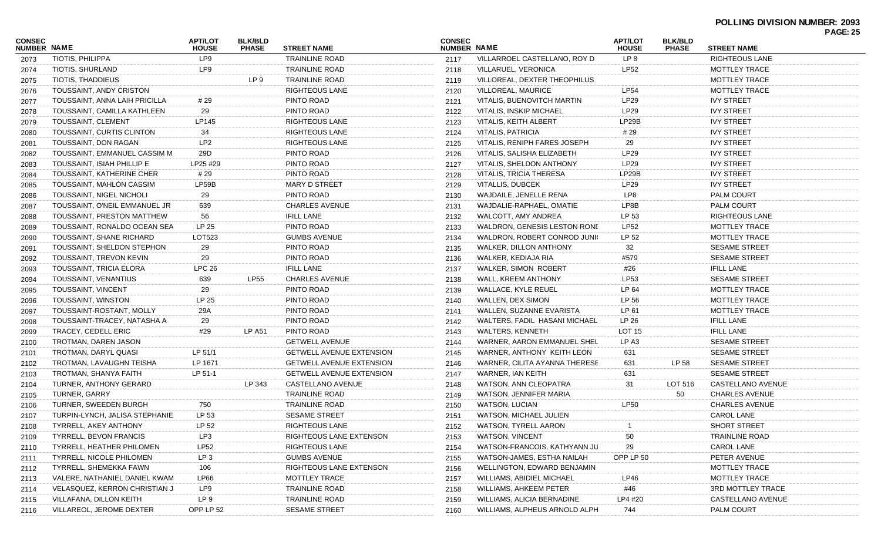| CONSEC<br><b>NUMBER NAME</b> |                                 |                                |                                |                                 |                                     |                                  |                                |                                |                          | <b>PAGE: 25</b> |
|------------------------------|---------------------------------|--------------------------------|--------------------------------|---------------------------------|-------------------------------------|----------------------------------|--------------------------------|--------------------------------|--------------------------|-----------------|
|                              |                                 | <b>APT/LOT</b><br><b>HOUSE</b> | <b>BLK/BLD</b><br><b>PHASE</b> | <b>STREET NAME</b>              | <b>CONSEC</b><br><b>NUMBER NAME</b> |                                  | <b>APT/LOT</b><br><b>HOUSE</b> | <b>BLK/BLD</b><br><b>PHASE</b> | <b>STREET NAME</b>       |                 |
| 2073                         | TIOTIS, PHILIPPA                | LP9                            |                                | <b>TRAINLINE ROAD</b>           | 2117                                | VILLARROEL CASTELLANO, ROY D     | LP 8                           |                                | <b>RIGHTEOUS LANE</b>    |                 |
| 2074                         | TIOTIS, SHURLAND                | LP9                            |                                | <b>TRAINLINE ROAD</b>           | 2118                                | VILLARUEL, VERONICA              | <b>LP52</b>                    |                                | <b>MOTTLEY TRACE</b>     |                 |
| 2075                         | TIOTIS, THADDIEUS               |                                | LP 9                           | <b>TRAINLINE ROAD</b>           | 2119                                | VILLOREAL, DEXTER THEOPHILUS     |                                |                                | <b>MOTTLEY TRACE</b>     |                 |
| 2076                         | TOUSSAINT, ANDY CRISTON         |                                |                                | <b>RIGHTEOUS LANE</b>           | 2120                                | VILLOREAL, MAURICE               | <b>LP54</b>                    |                                | <b>MOTTLEY TRACE</b>     |                 |
| 2077                         | TOUSSAINT, ANNA LAIH PRICILLA   | # 29                           |                                | PINTO ROAD                      | 2121                                | VITALIS, BUENOVITCH MARTIN       | <b>LP29</b>                    |                                | <b>IVY STREET</b>        |                 |
| 2078                         | TOUSSAINT, CAMILLA KATHLEEN     | 29                             |                                | PINTO ROAD                      | 2122                                | <b>VITALIS, INSKIP MICHAEL</b>   | LP29                           |                                | <b>IVY STREET</b>        |                 |
| 2079                         | TOUSSAINT, CLEMENT              | LP145                          |                                | <b>RIGHTEOUS LANE</b>           | 2123                                | VITALIS, KEITH ALBERT            | LP29B                          |                                | <b>IVY STREET</b>        |                 |
| 2080                         | TOUSSAINT, CURTIS CLINTON       | 34                             |                                | <b>RIGHTEOUS LANE</b>           | 2124                                | <b>VITALIS, PATRICIA</b>         | #29                            |                                | <b>IVY STREET</b>        |                 |
| 2081                         | TOUSSAINT, DON RAGAN            | LP <sub>2</sub>                |                                | <b>RIGHTEOUS LANE</b>           | 2125                                | VITALIS, RENIPH FARES JOSEPH     | 29                             |                                | <b>IVY STREET</b>        |                 |
| 2082                         | TOUSSAINT, EMMANUEL CASSIM M    | 29D                            |                                | PINTO ROAD                      | 2126                                | VITALIS, SALISHA ELIZABETH       | LP29                           |                                | <b>IVY STREET</b>        |                 |
| 2083                         | TOUSSAINT, ISIAH PHILLIP E      | LP25 #29                       |                                | PINTO ROAD                      | 2127                                | VITALIS, SHELDON ANTHONY         | <b>LP29</b>                    |                                | <b>IVY STREET</b>        |                 |
| 2084                         | TOUSSAINT, KATHERINE CHER       | # 29                           |                                | PINTO ROAD                      | 2128                                | <b>VITALIS, TRICIA THERESA</b>   | LP29B                          |                                | <b>IVY STREET</b>        |                 |
| 2085                         | TOUSSAINT, MAHLÓN CASSIM        | LP59B                          |                                | <b>MARY D STREET</b>            | 2129                                | VITALLIS, DUBCEK                 | LP29                           |                                | <b>IVY STREET</b>        |                 |
| 2086                         | TOUSSAINT, NIGEL NICHOLI        | 29                             |                                | PINTO ROAD                      | 2130                                | WAJDAILE, JENELLE RENA           | LP8                            |                                | <b>PALM COURT</b>        |                 |
| 2087                         | TOUSSAINT, O'NEIL EMMANUEL JR   | 639                            |                                | <b>CHARLES AVENUE</b>           | 2131                                | WAJDALIE-RAPHAEL, OMATIE         | LP8B                           |                                | <b>PALM COURT</b>        |                 |
| 2088                         | TOUSSAINT, PRESTON MATTHEW      | 56                             |                                | <b>IFILL LANE</b>               | 2132                                | WALCOTT, AMY ANDREA              | LP 53                          |                                | <b>RIGHTEOUS LANE</b>    |                 |
| 2089                         | TOUSSAINT, RONALDO OCEAN SEA    | LP 25                          |                                | PINTO ROAD                      | 2133                                | WALDRON, GENESIS LESTON RONE     | <b>LP52</b>                    |                                | <b>MOTTLEY TRACE</b>     |                 |
| 2090                         | <b>TOUSSAINT, SHANE RICHARD</b> | LOT523                         |                                | <b>GUMBS AVENUE</b>             | 2134                                | WALDRON, ROBERT CONROD JUNIC     | LP 52                          |                                | <b>MOTTLEY TRACE</b>     |                 |
| 2091                         | TOUSSAINT, SHELDON STEPHON      | 29                             |                                | PINTO ROAD                      | 2135                                | WALKER, DILLON ANTHONY           | 32                             |                                | <b>SESAME STREET</b>     |                 |
| 2092                         | TOUSSAINT, TREVON KEVIN         | 29                             |                                | PINTO ROAD                      | 2136                                | WALKER, KEDIAJA RIA              | #579                           |                                | <b>SESAME STREET</b>     |                 |
| 2093                         | <b>TOUSSAINT, TRICIA ELORA</b>  | <b>LPC 26</b>                  |                                | <b>IFILL LANE</b>               | 2137                                | <b>WALKER, SIMON ROBERT</b>      | #26                            |                                | <b>IFILL LANE</b>        |                 |
| 2094                         | TOUSSAINT, VENANTIUS            | 639                            | <b>LP55</b>                    | <b>CHARLES AVENUE</b>           | 2138                                | WALL, KREEM ANTHONY              | LP53                           |                                | <b>SESAME STREET</b>     |                 |
| 2095                         | <b>TOUSSAINT, VINCENT</b>       | 29                             |                                | PINTO ROAD                      | 2139                                | WALLACE, KYLE REUEL              | LP 64                          |                                | <b>MOTTLEY TRACE</b>     |                 |
| 2096                         | TOUSSAINT, WINSTON              | LP 25                          |                                | PINTO ROAD                      | 2140                                | WALLEN, DEX SIMON                | LP 56                          |                                | <b>MOTTLEY TRACE</b>     |                 |
| 2097                         | TOUSSAINT-ROSTANT, MOLLY        | 29A                            |                                | PINTO ROAD                      | 2141                                | WALLEN, SUZANNE EVARISTA         | LP 61                          |                                | <b>MOTTLEY TRACE</b>     |                 |
| 2098                         | TOUSSAINT-TRACEY, NATASHA A     | 29                             |                                | PINTO ROAD                      | 2142                                | WALTERS, FADIL HASANI MICHAEL    | LP 26                          |                                | <b>IFILL LANE</b>        |                 |
| 2099                         | TRACEY, CEDELL ERIC             | #29                            | <b>LP A51</b>                  | PINTO ROAD                      | 2143                                | <b>WALTERS, KENNETH</b>          | <b>LOT 15</b>                  |                                | <b>IFILL LANE</b>        |                 |
| 2100                         | TROTMAN, DAREN JASON            |                                |                                | <b>GETWELL AVENUE</b>           | 2144                                | WARNER, AARON EMMANUEL SHEL      | LP A3                          |                                | <b>SESAME STREET</b>     |                 |
| 2101                         | TROTMAN, DARYL QUASI            | LP 51/1                        |                                | <b>GETWELL AVENUE EXTENSION</b> | 2145                                | WARNER, ANTHONY KEITH LEON       | 631                            |                                | <b>SESAME STREET</b>     |                 |
| 2102                         | TROTMAN, LAVAUGHN TEISHA        | LP 1671                        |                                | <b>GETWELL AVENUE EXTENSION</b> | 2146                                | WARNER, CILITA AYANNA THERESE    | 631                            | LP 58                          | <b>SESAME STREET</b>     |                 |
| 2103                         | TROTMAN, SHANYA FAITH           | LP 51-1                        |                                | <b>GETWELL AVENUE EXTENSION</b> | 2147                                | <b>WARNER, IAN KEITH</b>         | 631                            |                                | <b>SESAME STREET</b>     |                 |
| 2104                         | TURNER, ANTHONY GERARD          |                                | LP 343                         | CASTELLANO AVENUE               | 2148                                | WATSON, ANN CLEOPATRA            | 31                             | LOT 516                        | CASTELLANO AVENUE        |                 |
| 2105                         | TURNER, GARRY                   |                                |                                | <b>TRAINLINE ROAD</b>           | 2149                                | WATSON, JENNIFER MARIA           |                                | 50                             | <b>CHARLES AVENUE</b>    |                 |
| 2106                         | TURNER, SWEEDEN BURGH           | 750                            |                                | <b>TRAINLINE ROAD</b>           | 2150                                | <b>WATSON, LUCIAN</b>            | <b>LP50</b>                    |                                | <b>CHARLES AVENUE</b>    |                 |
| 2107                         | TURPIN-LYNCH, JALISA STEPHANIE  | LP 53                          |                                | <b>SESAME STREET</b>            | 2151                                | WATSON, MICHAEL JULIEN           |                                |                                | CAROL LANE               |                 |
| 2108                         | TYRRELL, AKEY ANTHONY           | LP 52                          |                                | RIGHTEOUS LANE                  | 2152                                | WATSON, TYRELL AARON             | $\mathbf{1}$                   |                                | <b>SHORT STREET</b>      |                 |
| 2109                         | <b>TYRRELL, BEVON FRANCIS</b>   | LP3                            |                                | RIGHTEOUS LANE EXTENSON         | 2153                                | <b>WATSON, VINCENT</b>           | 50                             |                                | <b>TRAINLINE ROAD</b>    |                 |
| 2110                         | TYRRELL, HEATHER PHILOMEN       | <b>LP52</b>                    |                                | <b>RIGHTEOUS LANE</b>           | 2154                                | WATSON-FRANCOIS, KATHYANN JU     | 29                             |                                | <b>CAROL LANE</b>        |                 |
| 2111                         | <b>TYRRELL, NICOLE PHILOMEN</b> | LP <sub>3</sub>                |                                | <b>GUMBS AVENUE</b>             | 2155                                | WATSON-JAMES, ESTHA NAILAH       | OPP LP 50                      |                                | PETER AVENUE             |                 |
| 2112                         | TYRRELL, SHEMEKKA FAWN          | 106                            |                                | RIGHTEOUS LANE EXTENSON         | 2156                                | WELLINGTON, EDWARD BENJAMIN      |                                |                                | MOTTLEY TRACE            |                 |
| 2113                         | VALERE, NATHANIEL DANIEL KWAM   | <b>LP66</b>                    |                                | MOTTLEY TRACE                   | 2157                                | <b>WILLIAMS, ABIDIEL MICHAEL</b> | LP46                           |                                | MOTTLEY TRACE            |                 |
| 2114                         | VELASQUEZ, KERRON CHRISTIAN J   | LP9                            |                                | <b>TRAINLINE ROAD</b>           | 2158                                | WILLIAMS, AHKEEM PETER           | #46                            |                                | <b>3RD MOTTLEY TRACE</b> |                 |
| 2115                         | VILLAFANA, DILLON KEITH         | LP 9                           |                                | <b>TRAINLINE ROAD</b>           | 2159                                | WILLIAMS, ALICIA BERNADINE       | LP4 #20                        |                                | CASTELLANO AVENUE        |                 |
| 2116                         | VILLAREOL, JEROME DEXTER        | OPP LP 52                      |                                | <b>SESAME STREET</b>            | 2160                                | WILLIAMS, ALPHEUS ARNOLD ALPH    | 744                            |                                | PALM COURT               |                 |
|                              |                                 |                                |                                |                                 |                                     |                                  |                                |                                |                          |                 |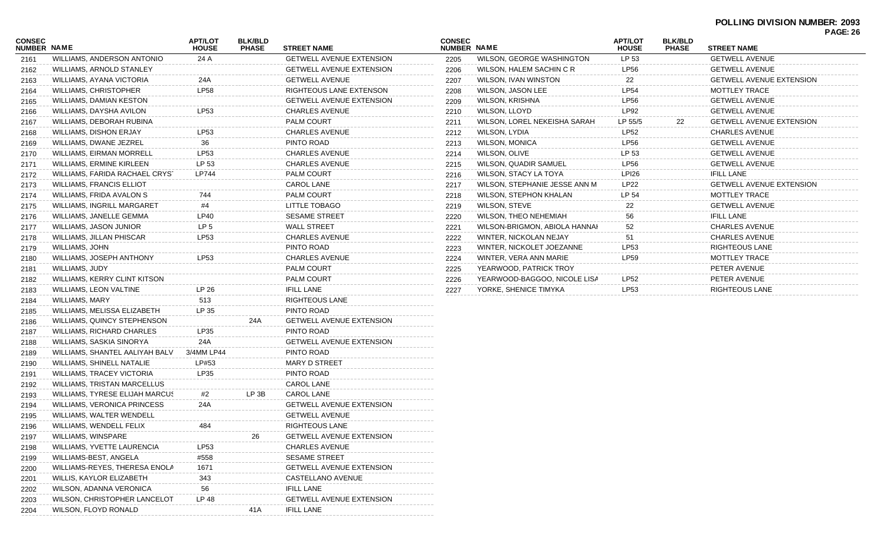| <b>CONSEC</b><br>NUMBER NAME |                                 | <b>APT/LOT</b><br><b>HOUSE</b> | <b>BLK/BLD</b><br><b>PHASE</b> | <b>STREET NAME</b>              | <b>CONSEC</b><br>NUMBER NAME |                               | <b>APT/LOT</b><br><b>HOUSE</b> | <b>BLK/BLD</b><br><b>PHASE</b> | <b>STREET NAME</b>              |  |
|------------------------------|---------------------------------|--------------------------------|--------------------------------|---------------------------------|------------------------------|-------------------------------|--------------------------------|--------------------------------|---------------------------------|--|
| 2161                         | WILLIAMS, ANDERSON ANTONIO      | 24 A                           |                                | <b>GETWELL AVENUE EXTENSION</b> | 2205                         | WILSON, GEORGE WASHINGTON     | LP 53                          |                                | <b>GETWELL AVENUE</b>           |  |
| 2162                         | WILLIAMS, ARNOLD STANLEY        |                                |                                | <b>GETWELL AVENUE EXTENSION</b> | 2206                         | WILSON, HALEM SACHIN C R      | <b>LP56</b>                    |                                | <b>GETWELL AVENUE</b>           |  |
| 2163                         | WILLIAMS, AYANA VICTORIA        | 24A                            |                                | <b>GETWELL AVENUE</b>           | 2207                         | WILSON, IVAN WINSTON          | 22                             |                                | <b>GETWELL AVENUE EXTENSION</b> |  |
| 2164                         | WILLIAMS, CHRISTOPHER           | <b>LP58</b>                    |                                | RIGHTEOUS LANE EXTENSON         | 2208                         | WILSON, JASON LEE             | <b>LP54</b>                    |                                | MOTTLEY TRACE                   |  |
| 2165                         | WILLIAMS, DAMIAN KESTON         |                                |                                | <b>GETWELL AVENUE EXTENSION</b> | 2209                         | WILSON, KRISHNA               | <b>LP56</b>                    |                                | <b>GETWELL AVENUE</b>           |  |
| 2166                         | WILLIAMS, DAYSHA AVILON         | LP53                           |                                | <b>CHARLES AVENUE</b>           | 2210                         | WILSON, LLOYD                 | <b>LP92</b>                    |                                | <b>GETWELL AVENUE</b>           |  |
| 2167                         | WILLIAMS, DEBORAH RUBINA        |                                |                                | <b>PALM COURT</b>               | 2211                         | WILSON, LOREL NEKEISHA SARAH  | LP 55/5                        | 22                             | <b>GETWELL AVENUE EXTENSION</b> |  |
| 2168                         | WILLIAMS, DISHON ERJAY          | LP53                           |                                | <b>CHARLES AVENUE</b>           | 2212                         | WILSON, LYDIA                 | <b>LP52</b>                    |                                | <b>CHARLES AVENUE</b>           |  |
| 2169                         | WILLIAMS, DWANE JEZREL          | 36                             |                                | PINTO ROAD                      | 2213                         | <b>WILSON, MONICA</b>         | <b>LP56</b>                    |                                | <b>GETWELL AVENUE</b>           |  |
| 2170                         | WILLIAMS, EIRMAN MORRELL        | LP53                           |                                | <b>CHARLES AVENUE</b>           | 2214                         | WILSON, OLIVE                 | LP 53                          |                                | <b>GETWELL AVENUE</b>           |  |
| 2171                         | WILLIAMS, ERMINE KIRLEEN        | LP 53                          |                                | <b>CHARLES AVENUE</b>           | 2215                         | WILSON, QUADIR SAMUEL         | <b>LP56</b>                    |                                | <b>GETWELL AVENUE</b>           |  |
| 2172                         | WILLIAMS, FARIDA RACHAEL CRYST  | LP744                          |                                | <b>PALM COURT</b>               | 2216                         | WILSON, STACY LA TOYA         | <b>LPI26</b>                   |                                | <b>IFILL LANE</b>               |  |
| 2173                         | <b>WILLIAMS, FRANCIS ELLIOT</b> |                                |                                | <b>CAROL LANE</b>               | 2217                         | WILSON, STEPHANIE JESSE ANN M | <b>LP22</b>                    |                                | <b>GETWELL AVENUE EXTENSION</b> |  |
| 2174                         | WILLIAMS, FRIDA AVALON S        | 744                            |                                | PALM COURT                      | 2218                         | WILSON, STEPHON KHALAN        | LP 54                          |                                | MOTTLEY TRACE                   |  |
| 2175                         | WILLIAMS, INGRILL MARGARET      | #4                             |                                | LITTLE TOBAGO                   | 2219                         | WILSON, STEVE                 | 22                             |                                | <b>GETWELL AVENUE</b>           |  |
| 2176                         | WILLIAMS, JANELLE GEMMA         | LP40                           |                                | <b>SESAME STREET</b>            | 2220                         | <b>WILSON, THEO NEHEMIAH</b>  | 56                             |                                | <b>IFILL LANE</b>               |  |
| 2177                         | WILLIAMS, JASON JUNIOR          | LP <sub>5</sub>                |                                | <b>WALL STREET</b>              | 2221                         | WILSON-BRIGMON, ABIOLA HANNAI | 52                             |                                | <b>CHARLES AVENUE</b>           |  |
| 2178                         | WILLIAMS, JILLAN PHISCAR        | LP53                           |                                | <b>CHARLES AVENUE</b>           | 2222                         | WINTER, NICKOLAN NEJAY        | 51                             |                                | <b>CHARLES AVENUE</b>           |  |
| 2179                         | WILLIAMS, JOHN                  |                                |                                | PINTO ROAD                      | 2223                         | WINTER, NICKOLET JOEZANNE     | LP53                           |                                | <b>RIGHTEOUS LANE</b>           |  |
| 2180                         | WILLIAMS, JOSEPH ANTHONY        | LP53                           |                                | <b>CHARLES AVENUE</b>           | 2224                         | WINTER, VERA ANN MARIE        | <b>LP59</b>                    |                                | MOTTLEY TRACE                   |  |
| 2181                         | WILLIAMS, JUDY                  |                                |                                | <b>PALM COURT</b>               | 2225                         | YEARWOOD, PATRICK TROY        |                                |                                | PETER AVENUE                    |  |
| 2182                         | WILLIAMS, KERRY CLINT KITSON    |                                |                                | <b>PALM COURT</b>               | 2226                         | YEARWOOD-BAGGOO, NICOLE LISA  | LP52                           |                                | PETER AVENUE                    |  |
| 2183                         | WILLIAMS, LEON VALTINE          | LP 26                          |                                | <b>IFILL LANE</b>               | 2227                         | YORKE, SHENICE TIMYKA         | LP53                           |                                | RIGHTEOUS LANE                  |  |
| 2184                         | WILLIAMS, MARY                  | 513                            |                                | <b>RIGHTEOUS LANE</b>           |                              |                               |                                |                                |                                 |  |
| 2185                         | WILLIAMS, MELISSA ELIZABETH     | LP 35                          |                                | PINTO ROAD                      |                              |                               |                                |                                |                                 |  |
| 2186                         | WILLIAMS, QUINCY STEPHENSON     |                                | 24A                            | <b>GETWELL AVENUE EXTENSION</b> |                              |                               |                                |                                |                                 |  |
| 2187                         | WILLIAMS, RICHARD CHARLES       | <b>LP35</b>                    |                                | PINTO ROAD                      |                              |                               |                                |                                |                                 |  |
| 2188                         | WILLIAMS, SASKIA SINORYA        | 24A                            |                                | <b>GETWELL AVENUE EXTENSION</b> |                              |                               |                                |                                |                                 |  |
| 2189                         | WILLIAMS, SHANTEL AALIYAH BALV  | 3/4MM LP44                     |                                | PINTO ROAD                      |                              |                               |                                |                                |                                 |  |
| 2190                         | WILLIAMS, SHINELL NATALIE       | LP#53                          |                                | <b>MARY D STREET</b>            |                              |                               |                                |                                |                                 |  |
| 2191                         | WILLIAMS, TRACEY VICTORIA       | LP35                           |                                | PINTO ROAD                      |                              |                               |                                |                                |                                 |  |
| 2192                         | WILLIAMS, TRISTAN MARCELLUS     |                                |                                | <b>CAROL LANE</b>               |                              |                               |                                |                                |                                 |  |
| 2193                         | WILLIAMS, TYRESE ELIJAH MARCUS  | #2                             | LP 3B                          | <b>CAROL LANE</b>               |                              |                               |                                |                                |                                 |  |
| 2194                         | WILLIAMS, VERONICA PRINCESS     | 24A                            |                                | <b>GETWELL AVENUE EXTENSION</b> |                              |                               |                                |                                |                                 |  |
| 2195                         | WILLIAMS, WALTER WENDELL        |                                |                                | <b>GETWELL AVENUE</b>           |                              |                               |                                |                                |                                 |  |
| 2196                         | WILLIAMS, WENDELL FELIX         |                                |                                | RIGHTEOUS LANE                  |                              |                               |                                |                                |                                 |  |
| 2197                         | WILLIAMS, WINSPARE              |                                | 26                             | <b>GETWELL AVENUE EXTENSION</b> |                              |                               |                                |                                |                                 |  |
| 2198                         | WILLIAMS, YVETTE LAURENCIA      | LP53                           |                                | <b>CHARLES AVENUE</b>           |                              |                               |                                |                                |                                 |  |
| 2199                         | WILLIAMS-BEST, ANGELA           | #558                           |                                | <b>SESAME STREET</b>            |                              |                               |                                |                                |                                 |  |
| 2200                         | WILLIAMS-REYES, THERESA ENOLA   | 1671                           |                                | <b>GETWELL AVENUE EXTENSION</b> |                              |                               |                                |                                |                                 |  |
| 2201                         | WILLIS, KAYLOR ELIZABETH        | 343                            |                                | CASTELLANO AVENUE               |                              |                               |                                |                                |                                 |  |
| 2202                         | WILSON, ADANNA VERONICA         | 56                             |                                | <b>IFILL LANE</b>               |                              |                               |                                |                                |                                 |  |
| 2203                         | WILSON, CHRISTOPHER LANCELOT    | LP 48                          |                                | <b>GETWELL AVENUE EXTENSION</b> |                              |                               |                                |                                |                                 |  |
| 2204                         | WILSON, FLOYD RONALD            |                                | 41 A                           | IFILL LANE                      |                              |                               |                                |                                |                                 |  |
|                              |                                 |                                |                                |                                 |                              |                               |                                |                                |                                 |  |